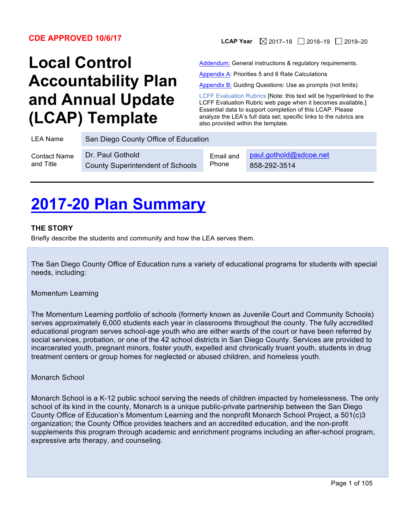# **Local Control Accountability Plan and Annual Update (LCAP) Template**

**CDE APPROVED 10/6/17 LCAP Year**  $\boxtimes$  2017–18 2018–19 2019–20

Addendum: General instructions & regulatory requirements.

Appendix A: Priorities 5 and 6 Rate Calculations

Appendix B: Guiding Questions: Use as prompts (not limits)

LCFF Evaluation Rubrics [Note: this text will be hyperlinked to the LCFF Evaluation Rubric web page when it becomes available.]: Essential data to support completion of this LCAP. Please analyze the LEA's full data set; specific links to the rubrics are also provided within the template.

| LEA Name            | San Diego County Office of Education    |           |                        |
|---------------------|-----------------------------------------|-----------|------------------------|
| <b>Contact Name</b> | Dr. Paul Gothold                        | Email and | paul.gothold@sdcoe.net |
| and Title           | <b>County Superintendent of Schools</b> | Phone     | 858-292-3514           |

# **2017-20 Plan Summary**

### **THE STORY**

Briefly describe the students and community and how the LEA serves them.

The San Diego County Office of Education runs a variety of educational programs for students with special needs, including:

#### Momentum Learning

The Momentum Learning portfolio of schools (formerly known as Juvenile Court and Community Schools) serves approximately 6,000 students each year in classrooms throughout the county. The fully accredited educational program serves school-age youth who are either wards of the court or have been referred by social services, probation, or one of the 42 school districts in San Diego County. Services are provided to incarcerated youth, pregnant minors, foster youth, expelled and chronically truant youth, students in drug treatment centers or group homes for neglected or abused children, and homeless youth.

#### Monarch School

Monarch School is a K-12 public school serving the needs of children impacted by homelessness. The only school of its kind in the county, Monarch is a unique public-private partnership between the San Diego County Office of Education's Momentum Learning and the nonprofit Monarch School Project, a 501(c)3 organization; the County Office provides teachers and an accredited education, and the non-profit supplements this program through academic and enrichment programs including an after-school program, expressive arts therapy, and counseling.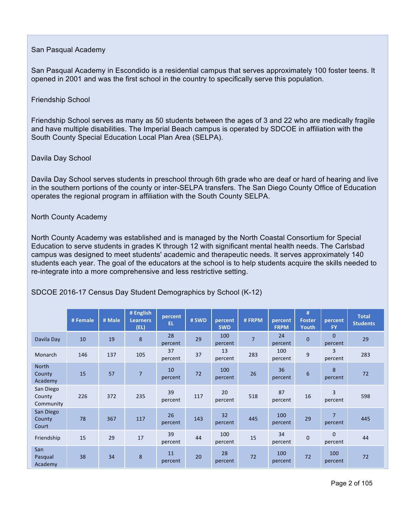### San Pasqual Academy

San Pasqual Academy in Escondido is a residential campus that serves approximately 100 foster teens. It opened in 2001 and was the first school in the country to specifically serve this population.

#### Friendship School

Friendship School serves as many as 50 students between the ages of 3 and 22 who are medically fragile and have multiple disabilities. The Imperial Beach campus is operated by SDCOE in affiliation with the South County Special Education Local Plan Area (SELPA).

### Davila Day School

Davila Day School serves students in preschool through 6th grade who are deaf or hard of hearing and live in the southern portions of the county or inter-SELPA transfers. The San Diego County Office of Education operates the regional program in affiliation with the South County SELPA.

### North County Academy

North County Academy was established and is managed by the North Coastal Consortium for Special Education to serve students in grades K through 12 with significant mental health needs. The Carlsbad campus was designed to meet students' academic and therapeutic needs. It serves approximately 140 students each year. The goal of the educators at the school is to help students acquire the skills needed to re-integrate into a more comprehensive and less restrictive setting.

|                                  | # Female | # Male | # English<br><b>Learners</b><br>(EL) | percent<br>EL. | # SWD | percent<br><b>SWD</b> | #FRPM          | percent<br><b>FRPM</b> | #<br><b>Foster</b><br>Youth | percent<br><b>FY</b>      | <b>Total</b><br><b>Students</b> |
|----------------------------------|----------|--------|--------------------------------------|----------------|-------|-----------------------|----------------|------------------------|-----------------------------|---------------------------|---------------------------------|
| Davila Day                       | 10       | 19     | 8                                    | 28<br>percent  | 29    | 100<br>percent        | $\overline{7}$ | 24<br>percent          | $\mathbf{0}$                | $\mathbf{0}$<br>percent   | 29                              |
| Monarch                          | 146      | 137    | 105                                  | 37<br>percent  | 37    | 13<br>percent         | 283            | 100<br>percent         | 9                           | 3<br>percent              | 283                             |
| North<br>County<br>Academy       | 15       | 57     | $\overline{7}$                       | 10<br>percent  | 72    | 100<br>percent        | 26             | 36<br>percent          | 6                           | 8<br>percent              | 72                              |
| San Diego<br>County<br>Community | 226      | 372    | 235                                  | 39<br>percent  | 117   | 20<br>percent         | 518            | 87<br>percent          | 16                          | 3<br>percent              | 598                             |
| San Diego<br>County<br>Court     | 78       | 367    | 117                                  | 26<br>percent  | 143   | 32<br>percent         | 445            | 100<br>percent         | 29                          | $\overline{7}$<br>percent | 445                             |
| Friendship                       | 15       | 29     | 17                                   | 39<br>percent  | 44    | 100<br>percent        | 15             | 34<br>percent          | $\pmb{0}$                   | $\Omega$<br>percent       | 44                              |
| San<br>Pasqual<br>Academy        | 38       | 34     | 8                                    | 11<br>percent  | 20    | 28<br>percent         | 72             | 100<br>percent         | 72                          | 100<br>percent            | 72                              |

## SDCOE 2016-17 Census Day Student Demographics by School (K-12)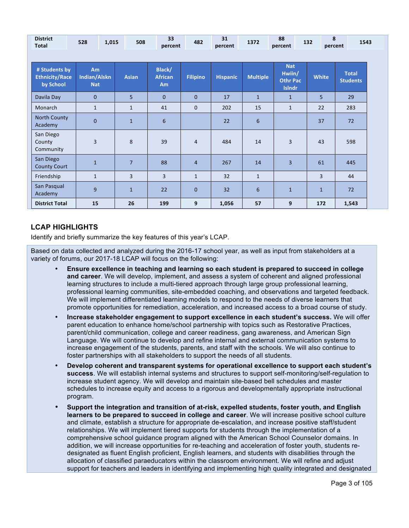| <b>District</b><br><b>Total</b>                     | 528                              | 1,015 | 508            | 33<br>percent                              | 482             | 31<br>percent   | 1372            | 88<br>percent                                            | 8<br>132       | 1543<br>percent                 |
|-----------------------------------------------------|----------------------------------|-------|----------------|--------------------------------------------|-----------------|-----------------|-----------------|----------------------------------------------------------|----------------|---------------------------------|
|                                                     |                                  |       |                |                                            |                 |                 |                 |                                                          |                |                                 |
| # Students by<br><b>Ethnicity/Race</b><br>by School | Am<br>Indian/Alskn<br><b>Nat</b> |       | <b>Asian</b>   | Black/<br><b>African</b><br>A <sub>m</sub> | <b>Filipino</b> | <b>Hispanic</b> | <b>Multiple</b> | <b>Nat</b><br>Hwiin/<br><b>Othr Pac</b><br><b>Islndr</b> | <b>White</b>   | <b>Total</b><br><b>Students</b> |
| Davila Day                                          | $\mathbf{0}$                     |       | 5              | $\mathbf{0}$                               | $\mathbf{0}$    | 17              | $\overline{1}$  | $\mathbf{1}$                                             | 5 <sup>1</sup> | 29                              |
| Monarch                                             | $\mathbf{1}$                     |       | $\mathbf{1}$   | 41                                         | $\mathbf{0}$    | 202             | 15              | $\mathbf{1}$                                             | 22             | 283                             |
| <b>North County</b><br>Academy                      | $\mathbf 0$                      |       | $\mathbf{1}$   | 6                                          |                 | 22              | 6               |                                                          | 37             | 72                              |
| San Diego<br>County<br>Community                    | 3                                |       | 8              | 39                                         | 4               | 484             | 14              | 3                                                        | 43             | 598                             |
| San Diego<br><b>County Court</b>                    | $\mathbf{1}$                     |       | $\overline{7}$ | 88                                         | $\overline{4}$  | 267             | 14              | 3                                                        | 61             | 445                             |
| Friendship                                          | $\mathbf{1}$                     |       | $\overline{3}$ | 3                                          | $\mathbf{1}$    | 32              | $\mathbf{1}$    |                                                          | 3              | 44                              |
| San Pasqual<br>Academy                              | 9                                |       | $\mathbf{1}$   | 22                                         | $\Omega$        | 32              | 6               | $\mathbf{1}$                                             | $\mathbf{1}$   | 72                              |
| <b>District Total</b>                               | 15                               |       | 26             | 199                                        | 9               | 1,056           | 57              | 9                                                        | 172            | 1,543                           |

## **LCAP HIGHLIGHTS**

Identify and briefly summarize the key features of this year's LCAP.

Based on data collected and analyzed during the 2016-17 school year, as well as input from stakeholders at a variety of forums, our 2017-18 LCAP will focus on the following:

- **Ensure excellence in teaching and learning so each student is prepared to succeed in college and career**. We will develop, implement, and assess a system of coherent and aligned professional learning structures to include a multi-tiered approach through large group professional learning, professional learning communities, site-embedded coaching, and observations and targeted feedback. We will implement differentiated learning models to respond to the needs of diverse learners that promote opportunities for remediation, acceleration, and increased access to a broad course of study.
- **Increase stakeholder engagement to support excellence in each student's success.** We will offer parent education to enhance home/school partnership with topics such as Restorative Practices, parent/child communication, college and career readiness, gang awareness, and American Sign Language. We will continue to develop and refine internal and external communication systems to increase engagement of the students, parents, and staff with the schools. We will also continue to foster partnerships with all stakeholders to support the needs of all students.
- **Develop coherent and transparent systems for operational excellence to support each student's success**. We will establish internal systems and structures to support self-monitoring/self-regulation to increase student agency. We will develop and maintain site-based bell schedules and master schedules to increase equity and access to a rigorous and developmentally appropriate instructional program.
- **Support the integration and transition of at-risk, expelled students, foster youth, and English learners to be prepared to succeed in college and career**. We will increase positive school culture and climate, establish a structure for appropriate de-escalation, and increase positive staff/student relationships. We will implement tiered supports for students through the implementation of a comprehensive school guidance program aligned with the American School Counselor domains. In addition, we will increase opportunities for re-teaching and acceleration of foster youth, students redesignated as fluent English proficient, English learners, and students with disabilities through the allocation of classified paraeducators within the classroom environment. We will refine and adjust support for teachers and leaders in identifying and implementing high quality integrated and designated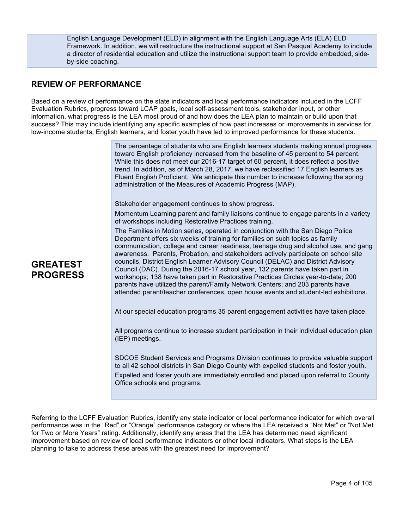English Language Development (ELD) in alignment with the English Language Arts (ELA) ELD Framework. In addition, we will restructure the instructional support at San Pasqual Academy to include a director of residential education and utilize the instructional support team to provide embedded, sideby-side coaching.

# **REVIEW OF PERFORMANCE**

Based on a review of performance on the state indicators and local performance indicators included in the LCFF Evaluation Rubrics, progress toward LCAP goals, local self-assessment tools, stakeholder input, or other information, what progress is the LEA most proud of and how does the LEA plan to maintain or build upon that success? This may include identifying any specific examples of how past increases or improvements in services for low-income students, English learners, and foster youth have led to improved performance for these students.

> The percentage of students who are English learners students making annual progress toward English proficiency increased from the baseline of 45 percent to 54 percent. While this does not meet our 2016-17 target of 60 percent, it does reflect a positive trend. In addition, as of March 28, 2017, we have reclassified 17 English learners as Fluent English Proficient. We anticipate this number to increase following the spring administration of the Measures of Academic Progress (MAP).

Stakeholder engagement continues to show progress.

Momentum Learning parent and family liaisons continue to engage parents in a variety of workshops including Restorative Practices training.

The Families in Motion series, operated in conjunction with the San Diego Police Department offers six weeks of training for families on such topics as family communication, college and career readiness, teenage drug and alcohol use, and gang awareness. Parents, Probation, and stakeholders actively participate on school site councils, District English Learner Advisory Council (DELAC) and District Advisory Council (DAC). During the 2016-17 school year, 132 parents have taken part in workshops; 138 have taken part in Restorative Practices Circles year-to-date; 200 parents have utilized the parent/Family Network Centers; and 203 parents have attended parent/teacher conferences, open house events and student-led exhibitions.

At our special education programs 35 parent engagement activities have taken place.

All programs continue to increase student participation in their individual education plan (IEP) meetings.

SDCOE Student Services and Programs Division continues to provide valuable support to all 42 school districts in San Diego County with expelled students and foster youth. Expelled and foster youth are immediately enrolled and placed upon referral to County Office schools and programs.

Referring to the LCFF Evaluation Rubrics, identify any state indicator or local performance indicator for which overall performance was in the "Red" or "Orange" performance category or where the LEA received a "Not Met" or "Not Met for Two or More Years" rating. Additionally, identify any areas that the LEA has determined need significant improvement based on review of local performance indicators or other local indicators. What steps is the LEA planning to take to address these areas with the greatest need for improvement?

# **GREATEST PROGRESS**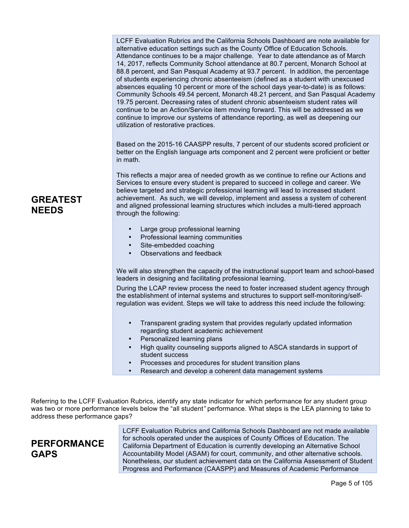LCFF Evaluation Rubrics and the California Schools Dashboard are note available for alternative education settings such as the County Office of Education Schools. Attendance continues to be a major challenge. Year to date attendance as of March 14, 2017, reflects Community School attendance at 80.7 percent, Monarch School at 88.8 percent, and San Pasqual Academy at 93.7 percent. In addition, the percentage of students experiencing chronic absenteeism (defined as a student with unexcused absences equaling 10 percent or more of the school days year-to-date) is as follows: Community Schools 49.54 percent, Monarch 48.21 percent, and San Pasqual Academy 19.75 percent. Decreasing rates of student chronic absenteeism student rates will continue to be an Action/Service item moving forward. This will be addressed as we continue to improve our systems of attendance reporting, as well as deepening our utilization of restorative practices.

Based on the 2015-16 CAASPP results, 7 percent of our students scored proficient or better on the English language arts component and 2 percent were proficient or better in math.

This reflects a major area of needed growth as we continue to refine our Actions and Services to ensure every student is prepared to succeed in college and career. We believe targeted and strategic professional learning will lead to increased student achievement. As such, we will develop, implement and assess a system of coherent and aligned professional learning structures which includes a multi-tiered approach through the following:

- Large group professional learning
- Professional learning communities
- Site-embedded coaching
- Observations and feedback

We will also strengthen the capacity of the instructional support team and school-based leaders in designing and facilitating professional learning.

During the LCAP review process the need to foster increased student agency through the establishment of internal systems and structures to support self-monitoring/selfregulation was evident. Steps we will take to address this need include the following:

- Transparent grading system that provides regularly updated information regarding student academic achievement
- Personalized learning plans
- High quality counseling supports aligned to ASCA standards in support of student success
- Processes and procedures for student transition plans
- Research and develop a coherent data management systems

Referring to the LCFF Evaluation Rubrics, identify any state indicator for which performance for any student group was two or more performance levels below the "all student*"* performance. What steps is the LEA planning to take to address these performance gaps?

# **PERFORMANCE GAPS**

LCFF Evaluation Rubrics and California Schools Dashboard are not made available for schools operated under the auspices of County Offices of Education. The California Department of Education is currently developing an Alternative School Accountability Model (ASAM) for court, community, and other alternative schools. Nonetheless, our student achievement data on the California Assessment of Student Progress and Performance (CAASPP) and Measures of Academic Performance

# **GREATEST NEEDS**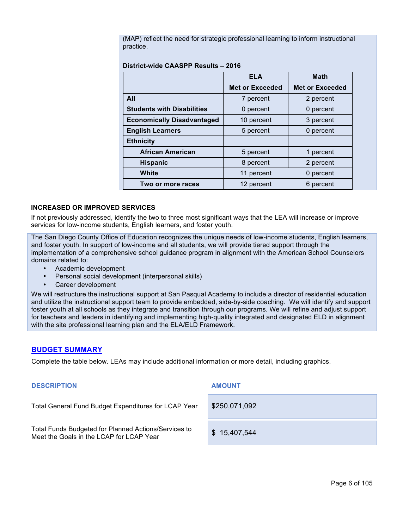(MAP) reflect the need for strategic professional learning to inform instructional practice.

#### **District-wide CAASPP Results – 2016**

|                                   | <b>ELA</b>             | <b>Math</b>            |
|-----------------------------------|------------------------|------------------------|
|                                   | <b>Met or Exceeded</b> | <b>Met or Exceeded</b> |
| All                               | 7 percent              | 2 percent              |
| <b>Students with Disabilities</b> | 0 percent              | 0 percent              |
| <b>Economically Disadvantaged</b> | 10 percent             | 3 percent              |
| <b>English Learners</b>           | 5 percent              | 0 percent              |
| <b>Ethnicity</b>                  |                        |                        |
| <b>African American</b>           | 5 percent              | 1 percent              |
| <b>Hispanic</b>                   | 8 percent              | 2 percent              |
| White                             | 11 percent             | 0 percent              |
| Two or more races                 | 12 percent             | 6 percent              |

#### **INCREASED OR IMPROVED SERVICES**

If not previously addressed, identify the two to three most significant ways that the LEA will increase or improve services for low-income students, English learners, and foster youth.

The San Diego County Office of Education recognizes the unique needs of low-income students, English learners, and foster youth. In support of low-income and all students, we will provide tiered support through the implementation of a comprehensive school guidance program in alignment with the American School Counselors domains related to:

- Academic development
- Personal social development (interpersonal skills)
- Career development

We will restructure the instructional support at San Pasqual Academy to include a director of residential education and utilize the instructional support team to provide embedded, side-by-side coaching. We will identify and support foster youth at all schools as they integrate and transition through our programs. We will refine and adjust support for teachers and leaders in identifying and implementing high-quality integrated and designated ELD in alignment with the site professional learning plan and the ELA/ELD Framework.

#### **BUDGET SUMMARY**

Complete the table below. LEAs may include additional information or more detail, including graphics.

#### **DESCRIPTION AMOUNT**

Total General Fund Budget Expenditures for LCAP Year \$250,071,092

Total Funds Budgeted for Planned Actions/Services to Total Purius Budgeted for Planned Actions/Services to **\$ 15,407,544**<br>Meet the Goals in the LCAP for LCAP Year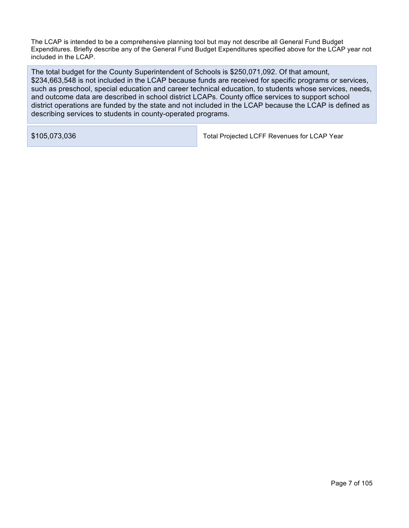The LCAP is intended to be a comprehensive planning tool but may not describe all General Fund Budget Expenditures. Briefly describe any of the General Fund Budget Expenditures specified above for the LCAP year not included in the LCAP.

The total budget for the County Superintendent of Schools is \$250,071,092. Of that amount, \$234,663,548 is not included in the LCAP because funds are received for specific programs or services, such as preschool, special education and career technical education, to students whose services, needs, and outcome data are described in school district LCAPs. County office services to support school district operations are funded by the state and not included in the LCAP because the LCAP is defined as describing services to students in county-operated programs.

\$105,073,036 Total Projected LCFF Revenues for LCAP Year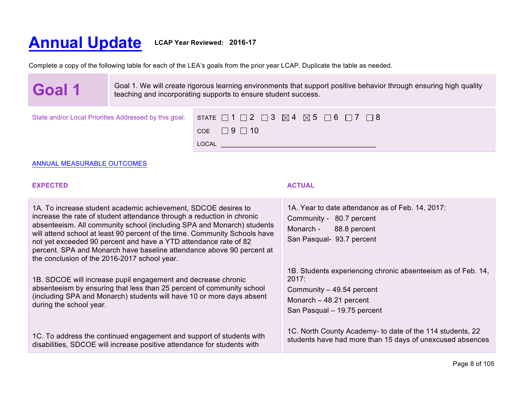# **Annual Update LCAP Year Reviewed: 2016-17**

Complete a copy of the following table for each of the LEA's goals from the prior year LCAP. Duplicate the table as needed.

LOCAL  $\overline{\phantom{a}}$ 

 $COE$  9 10

**Goal 1** Goal 1. We will create rigorous learning environments that support positive behavior through ensuring high quality teaching and incorporating supports to ensure student success teaching and incorporating supports to ensure student success. State and/or Local Priorities Addressed by this goal:  $\Box$  STATE  $\Box$  1  $\Box$  2  $\Box$  3  $\boxtimes$  4  $\boxtimes$  5  $\Box$  6  $\Box$  7  $\Box$  8

| ANNUAL MEASURABLE OUTCOMES |  |
|----------------------------|--|

#### **EXPECTED ACTUAL**

1A. To increase student academic achievement, SDCOE desires to increase the rate of student attendance through a reduction in chronic absenteeism. All community school (including SPA and Monarch) students will attend school at least 90 percent of the time. Community Schools have not yet exceeded 90 percent and have a YTD attendance rate of 82 percent. SPA and Monarch have baseline attendance above 90 percent at the conclusion of the 2016-2017 school year.

1B. SDCOE will increase pupil engagement and decrease chronic absenteeism by ensuring that less than 25 percent of community school (including SPA and Monarch) students will have 10 or more days absent during the school year.

1C. To address the continued engagement and support of students with disabilities, SDCOE will increase positive attendance for students with

1A. Year to date attendance as of Feb. 14, 2017: Community - 80.7 percent Monarch - 88.8 percent San Pasqual- 93.7 percent

1B. Students experiencing chronic absenteeism as of Feb. 14, 2017:

Community – 49.54 percent Monarch – 48.21 percent San Pasqual – 19.75 percent

1C. North County Academy- to date of the 114 students, 22 students have had more than 15 days of unexcused absences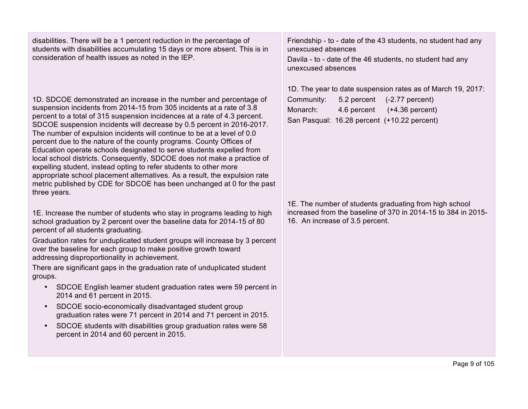disabilities. There will be a 1 percent reduction in the percentage of students with disabilities accumulating 15 days or more absent. This is in consideration of health issues as noted in the IEP.

1D. SDCOE demonstrated an increase in the number and percentage of suspension incidents from 2014-15 from 305 incidents at a rate of 3.8 percent to a total of 315 suspension incidences at a rate of 4.3 percent. SDCOE suspension incidents will decrease by 0.5 percent in 2016-2017. The number of expulsion incidents will continue to be at a level of 0.0 percent due to the nature of the county programs. County Offices of Education operate schools designated to serve students expelled from local school districts. Consequently, SDCOE does not make a practice of expelling student, instead opting to refer students to other more appropriate school placement alternatives. As a result, the expulsion rate metric published by CDE for SDCOE has been unchanged at 0 for the past three years.

1E. Increase the number of students who stay in programs leading to high school graduation by 2 percent over the baseline data for 2014-15 of 80 percent of all students graduating.

Graduation rates for unduplicated student groups will increase by 3 percent over the baseline for each group to make positive growth toward addressing disproportionality in achievement.

There are significant gaps in the graduation rate of unduplicated student groups.

- SDCOE English learner student graduation rates were 59 percent in 2014 and 61 percent in 2015.
- SDCOE socio-economically disadvantaged student group graduation rates were 71 percent in 2014 and 71 percent in 2015.
- SDCOE students with disabilities group graduation rates were 58 percent in 2014 and 60 percent in 2015.

Friendship - to - date of the 43 students, no student had any unexcused absences

Davila - to - date of the 46 students, no student had any unexcused absences

1D. The year to date suspension rates as of March 19, 2017: Community: 5.2 percent (-2.77 percent)

Monarch: 4.6 percent (+4.36 percent) San Pasqual: 16.28 percent (+10.22 percent)

1E. The number of students graduating from high school increased from the baseline of 370 in 2014-15 to 384 in 2015- 16. An increase of 3.5 percent.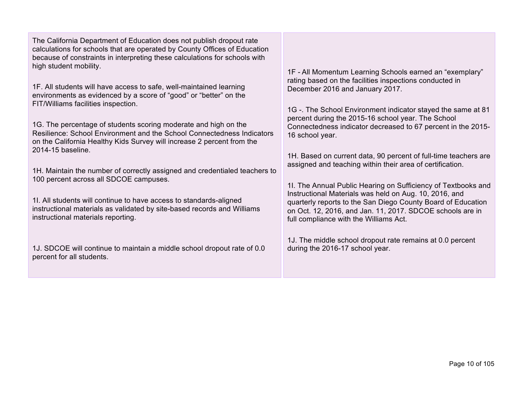The California Department of Education does not publish dropout rate calculations for schools that are operated by County Offices of Education because of constraints in interpreting these calculations for schools with high student mobility.

1F. All students will have access to safe, well-maintained learning environments as evidenced by a score of "good" or "better" on the FIT/Williams facilities inspection.

1G. The percentage of students scoring moderate and high on the Resilience: School Environment and the School Connectedness Indicators on the California Healthy Kids Survey will increase 2 percent from the 2014-15 baseline.

1H. Maintain the number of correctly assigned and credentialed teachers to 100 percent across all SDCOE campuses.

1I. All students will continue to have access to standards-aligned instructional materials as validated by site-based records and Williams instructional materials reporting.

1J. SDCOE will continue to maintain a middle school dropout rate of 0.0 percent for all students.

1F - All Momentum Learning Schools earned an "exemplary" rating based on the facilities inspections conducted in December 2016 and January 2017.

1G -. The School Environment indicator stayed the same at 81 percent during the 2015-16 school year. The School Connectedness indicator decreased to 67 percent in the 2015- 16 school year.

1H. Based on current data, 90 percent of full-time teachers are assigned and teaching within their area of certification.

1I. The Annual Public Hearing on Sufficiency of Textbooks and Instructional Materials was held on Aug. 10, 2016, and quarterly reports to the San Diego County Board of Education on Oct. 12, 2016, and Jan. 11, 2017. SDCOE schools are in full compliance with the Williams Act.

1J. The middle school dropout rate remains at 0.0 percent during the 2016-17 school year.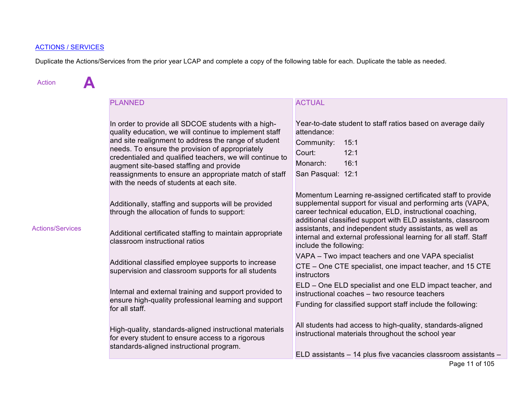# ACTIONS / SERVICES

Duplicate the Actions/Services from the prior year LCAP and complete a copy of the following table for each. Duplicate the table as needed.

| <b>Action</b>           |                                                                                                                                                                                                                                                                                                                                                                                                                                      |                                                                                                                                                                                                                                                                                                                                                                                                                 |  |  |  |  |
|-------------------------|--------------------------------------------------------------------------------------------------------------------------------------------------------------------------------------------------------------------------------------------------------------------------------------------------------------------------------------------------------------------------------------------------------------------------------------|-----------------------------------------------------------------------------------------------------------------------------------------------------------------------------------------------------------------------------------------------------------------------------------------------------------------------------------------------------------------------------------------------------------------|--|--|--|--|
|                         | <b>PLANNED</b>                                                                                                                                                                                                                                                                                                                                                                                                                       | <b>ACTUAL</b>                                                                                                                                                                                                                                                                                                                                                                                                   |  |  |  |  |
|                         | In order to provide all SDCOE students with a high-<br>quality education, we will continue to implement staff<br>and site realignment to address the range of student<br>needs. To ensure the provision of appropriately<br>credentialed and qualified teachers, we will continue to<br>augment site-based staffing and provide<br>reassignments to ensure an appropriate match of staff<br>with the needs of students at each site. | Year-to-date student to staff ratios based on average daily<br>attendance:<br>Community:<br>15:1<br>Court:<br>12:1<br>16:1<br>Monarch:<br>San Pasqual: 12:1                                                                                                                                                                                                                                                     |  |  |  |  |
| <b>Actions/Services</b> | Additionally, staffing and supports will be provided<br>through the allocation of funds to support:<br>Additional certificated staffing to maintain appropriate<br>classroom instructional ratios                                                                                                                                                                                                                                    | Momentum Learning re-assigned certificated staff to provide<br>supplemental support for visual and performing arts (VAPA,<br>career technical education, ELD, instructional coaching,<br>additional classified support with ELD assistants, classroom<br>assistants, and independent study assistants, as well as<br>internal and external professional learning for all staff. Staff<br>include the following: |  |  |  |  |
|                         | Additional classified employee supports to increase<br>supervision and classroom supports for all students                                                                                                                                                                                                                                                                                                                           | VAPA - Two impact teachers and one VAPA specialist<br>CTE – One CTE specialist, one impact teacher, and 15 CTE<br>instructors                                                                                                                                                                                                                                                                                   |  |  |  |  |
|                         | Internal and external training and support provided to<br>ensure high-quality professional learning and support<br>for all staff.                                                                                                                                                                                                                                                                                                    | ELD – One ELD specialist and one ELD impact teacher, and<br>instructional coaches - two resource teachers<br>Funding for classified support staff include the following:                                                                                                                                                                                                                                        |  |  |  |  |
|                         | High-quality, standards-aligned instructional materials<br>for every student to ensure access to a rigorous<br>standards-aligned instructional program.                                                                                                                                                                                                                                                                              | All students had access to high-quality, standards-aligned<br>instructional materials throughout the school year<br>ELD assistants - 14 plus five vacancies classroom assistants -                                                                                                                                                                                                                              |  |  |  |  |
|                         |                                                                                                                                                                                                                                                                                                                                                                                                                                      | Dao 11 of 105                                                                                                                                                                                                                                                                                                                                                                                                   |  |  |  |  |

Page 11 of 105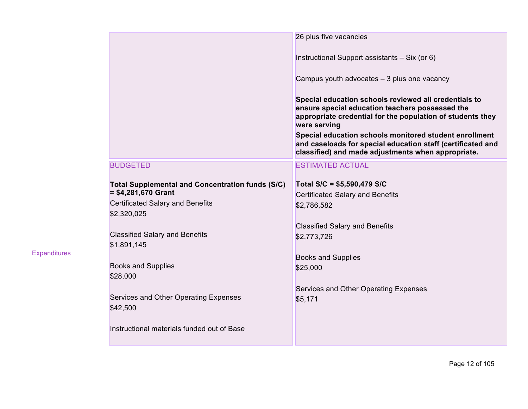|                                                                                                                                           | 26 plus five vacancies                                                                                                                                                                                                                                                                                                                                                |
|-------------------------------------------------------------------------------------------------------------------------------------------|-----------------------------------------------------------------------------------------------------------------------------------------------------------------------------------------------------------------------------------------------------------------------------------------------------------------------------------------------------------------------|
|                                                                                                                                           | Instructional Support assistants - Six (or 6)                                                                                                                                                                                                                                                                                                                         |
|                                                                                                                                           | Campus youth advocates - 3 plus one vacancy                                                                                                                                                                                                                                                                                                                           |
|                                                                                                                                           | Special education schools reviewed all credentials to<br>ensure special education teachers possessed the<br>appropriate credential for the population of students they<br>were serving<br>Special education schools monitored student enrollment<br>and caseloads for special education staff (certificated and<br>classified) and made adjustments when appropriate. |
| <b>BUDGETED</b>                                                                                                                           | <b>ESTIMATED ACTUAL</b>                                                                                                                                                                                                                                                                                                                                               |
| <b>Total Supplemental and Concentration funds (S/C)</b><br>$= $4,281,670$ Grant<br><b>Certificated Salary and Benefits</b><br>\$2,320,025 | Total S/C = \$5,590,479 S/C<br><b>Certificated Salary and Benefits</b><br>\$2,786,582                                                                                                                                                                                                                                                                                 |
| <b>Classified Salary and Benefits</b><br>\$1,891,145                                                                                      | <b>Classified Salary and Benefits</b><br>\$2,773,726                                                                                                                                                                                                                                                                                                                  |
| <b>Books and Supplies</b><br>\$28,000                                                                                                     | <b>Books and Supplies</b><br>\$25,000                                                                                                                                                                                                                                                                                                                                 |
| Services and Other Operating Expenses<br>\$42,500                                                                                         | Services and Other Operating Expenses<br>\$5,171                                                                                                                                                                                                                                                                                                                      |
| Instructional materials funded out of Base                                                                                                |                                                                                                                                                                                                                                                                                                                                                                       |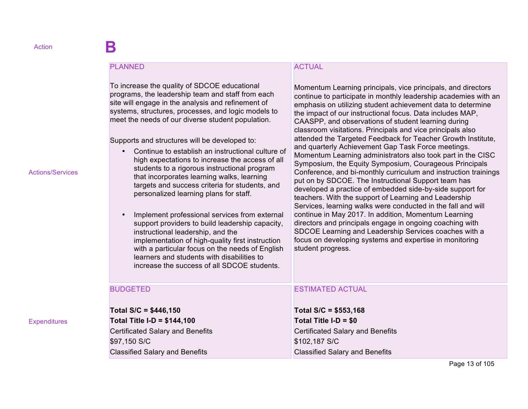#### PLANNED

To increase the quality of SDCOE educational programs, the leadership team and staff from each site will engage in the analysis and refinement of systems, structures, processes, and logic models to meet the needs of our diverse student population.

Supports and structures will be developed to:

- Continue to establish an instructional culture of high expectations to increase the access of all students to a rigorous instructional program that incorporates learning walks, learning targets and success criteria for students, and personalized learning plans for staff.
- Implement professional services from external support providers to build leadership capacity, instructional leadership, and the implementation of high-quality first instruction with a particular focus on the needs of English learners and students with disabilities to increase the success of all SDCOE students.

# ACTUAL

Momentum Learning principals, vice principals, and directors continue to participate in monthly leadership academies with an emphasis on utilizing student achievement data to determine the impact of our instructional focus. Data includes MAP, CAASPP, and observations of student learning during classroom visitations. Principals and vice principals also attended the Targeted Feedback for Teacher Growth Institute, and quarterly Achievement Gap Task Force meetings. Momentum Learning administrators also took part in the CISC Symposium, the Equity Symposium, Courageous Principals Conference, and bi-monthly curriculum and instruction trainings put on by SDCOE. The Instructional Support team has developed a practice of embedded side-by-side support for teachers. With the support of Learning and Leadership Services, learning walks were conducted in the fall and will continue in May 2017. In addition, Momentum Learning directors and principals engage in ongoing coaching with SDCOE Learning and Leadership Services coaches with a focus on developing systems and expertise in monitoring student progress.

| <b>BUDGETED</b>                         | <b>ESTIMATED ACTUAL</b>                 |
|-----------------------------------------|-----------------------------------------|
|                                         |                                         |
| Total $S/C = $446,150$                  | Total $S/C = $553,168$                  |
| Total Title I-D = $$144,100$            | Total Title I-D = \$0                   |
| <b>Certificated Salary and Benefits</b> | <b>Certificated Salary and Benefits</b> |
| \$97,150 S/C                            | \$102,187 S/C                           |
| <b>Classified Salary and Benefits</b>   | <b>Classified Salary and Benefits</b>   |

Actions/Services

**Expenditures**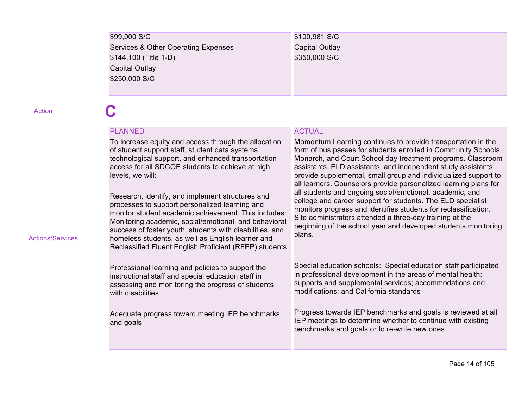| \$99,000 S/C                        | \$100,981 S/C  |
|-------------------------------------|----------------|
| Services & Other Operating Expenses | Capital Outlay |
| \$144,100 (Title 1-D)               | \$350,000 S/C  |
| Capital Outlay                      |                |
| \$250,000 S/C                       |                |
|                                     |                |

Action **C** 

Actions/Services

### PLANNED

To increase equity and access through the allocation of student support staff, student data systems, technological support, and enhanced transportation access for all SDCOE students to achieve at high levels, we will:

Research, identify, and implement structures and processes to support personalized learning and monitor student academic achievement. This includes: Monitoring academic, social/emotional, and behavioral success of foster youth, students with disabilities, and homeless students, as well as English learner and Reclassified Fluent English Proficient (RFEP) students

Professional learning and policies to support the instructional staff and special education staff in assessing and monitoring the progress of students with disabilities

Adequate progress toward meeting IEP benchmarks and goals

### ACTUAL

Momentum Learning continues to provide transportation in the form of bus passes for students enrolled in Community Schools, Monarch, and Court School day treatment programs. Classroom assistants, ELD assistants, and independent study assistants provide supplemental, small group and individualized support to all learners. Counselors provide personalized learning plans for all students and ongoing social/emotional, academic, and college and career support for students. The ELD specialist monitors progress and identifies students for reclassification. Site administrators attended a three-day training at the beginning of the school year and developed students monitoring plans.

Special education schools: Special education staff participated in professional development in the areas of mental health; supports and supplemental services; accommodations and modifications; and California standards

Progress towards IEP benchmarks and goals is reviewed at all IEP meetings to determine whether to continue with existing benchmarks and goals or to re-write new ones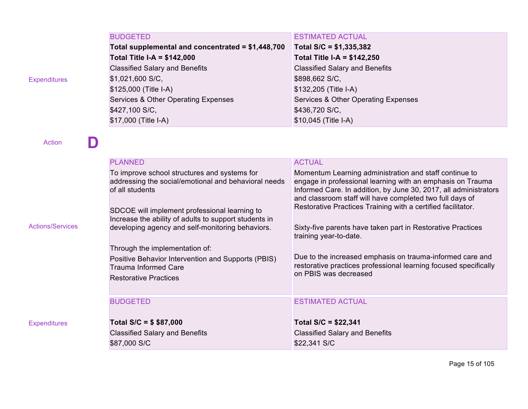| <b>BUDGETED</b>                                   | <b>ESTIMATED ACTUAL</b>               |
|---------------------------------------------------|---------------------------------------|
| Total supplemental and concentrated = \$1,448,700 | Total S/C = \$1,335,382               |
| <b>Total Title I-A = \$142,000</b>                | <b>Total Title I-A = \$142,250</b>    |
| <b>Classified Salary and Benefits</b>             | <b>Classified Salary and Benefits</b> |
| \$1,021,600 S/C,                                  | \$898,662 S/C,                        |
| \$125,000 (Title I-A)                             | \$132,205 (Title I-A)                 |
| Services & Other Operating Expenses               | Services & Other Operating Expenses   |
| \$427,100 S/C,                                    | \$436,720 S/C,                        |
| \$17,000 (Title I-A)                              | \$10,045 (Title I-A)                  |

**D Example Empty Cell Empty Cell Empty Cell Empty Cell Empty** Cell

| <b>Actions/Services</b> | <b>PLANNED</b><br>To improve school structures and systems for<br>addressing the social/emotional and behavioral needs<br>of all students<br>SDCOE will implement professional learning to<br>Increase the ability of adults to support students in<br>developing agency and self-monitoring behaviors.<br>Through the implementation of:<br>Positive Behavior Intervention and Supports (PBIS)<br><b>Trauma Informed Care</b><br><b>Restorative Practices</b> | <b>ACTUAL</b><br>Momentum Learning administration and staff continue to<br>engage in professional learning with an emphasis on Trauma<br>Informed Care. In addition, by June 30, 2017, all administrators<br>and classroom staff will have completed two full days of<br>Restorative Practices Training with a certified facilitator.<br>Sixty-five parents have taken part in Restorative Practices<br>training year-to-date.<br>Due to the increased emphasis on trauma-informed care and<br>restorative practices professional learning focused specifically<br>on PBIS was decreased |
|-------------------------|----------------------------------------------------------------------------------------------------------------------------------------------------------------------------------------------------------------------------------------------------------------------------------------------------------------------------------------------------------------------------------------------------------------------------------------------------------------|------------------------------------------------------------------------------------------------------------------------------------------------------------------------------------------------------------------------------------------------------------------------------------------------------------------------------------------------------------------------------------------------------------------------------------------------------------------------------------------------------------------------------------------------------------------------------------------|
|                         | <b>BUDGETED</b>                                                                                                                                                                                                                                                                                                                                                                                                                                                | <b>ESTIMATED ACTUAL</b>                                                                                                                                                                                                                                                                                                                                                                                                                                                                                                                                                                  |
| <b>Expenditures</b>     | Total $S/C = $ $37,000$<br><b>Classified Salary and Benefits</b><br>\$87,000 S/C                                                                                                                                                                                                                                                                                                                                                                               | Total $S/C = $22,341$<br><b>Classified Salary and Benefits</b><br>\$22,341 S/C                                                                                                                                                                                                                                                                                                                                                                                                                                                                                                           |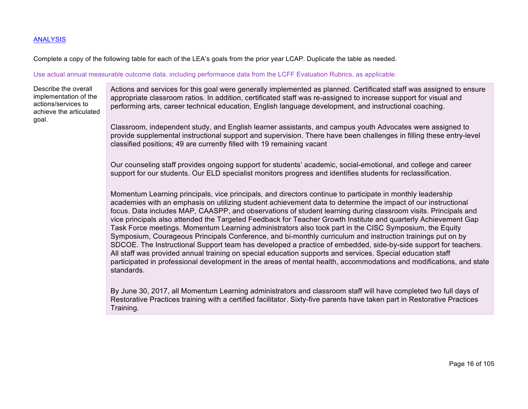#### ANALYSIS

Complete a copy of the following table for each of the LEA's goals from the prior year LCAP. Duplicate the table as needed.

#### Use actual annual measurable outcome data, including performance data from the LCFF Evaluation Rubrics, as applicable.

Describe the overall implementation of the actions/services to achieve the articulated goal.

Actions and services for this goal were generally implemented as planned. Certificated staff was assigned to ensure appropriate classroom ratios. In addition, certificated staff was re-assigned to increase support for visual and performing arts, career technical education, English language development, and instructional coaching.

Classroom, independent study, and English learner assistants, and campus youth Advocates were assigned to provide supplemental instructional support and supervision. There have been challenges in filling these entry-level classified positions; 49 are currently filled with 19 remaining vacant

Our counseling staff provides ongoing support for students' academic, social-emotional, and college and career support for our students. Our ELD specialist monitors progress and identifies students for reclassification.

Momentum Learning principals, vice principals, and directors continue to participate in monthly leadership academies with an emphasis on utilizing student achievement data to determine the impact of our instructional focus. Data includes MAP, CAASPP, and observations of student learning during classroom visits. Principals and vice principals also attended the Targeted Feedback for Teacher Growth Institute and quarterly Achievement Gap Task Force meetings. Momentum Learning administrators also took part in the CISC Symposium, the Equity Symposium, Courageous Principals Conference, and bi-monthly curriculum and instruction trainings put on by SDCOE. The Instructional Support team has developed a practice of embedded, side-by-side support for teachers. All staff was provided annual training on special education supports and services. Special education staff participated in professional development in the areas of mental health, accommodations and modifications, and state standards.

By June 30, 2017, all Momentum Learning administrators and classroom staff will have completed two full days of Restorative Practices training with a certified facilitator. Sixty-five parents have taken part in Restorative Practices Training.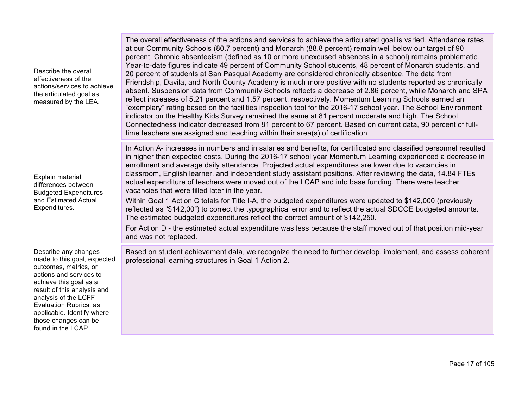Describe the overall effectiveness of the actions/services to achieve the articulated goal as measured by the LEA. The overall effectiveness of the actions and services to achieve the articulated goal is varied. Attendance rates at our Community Schools (80.7 percent) and Monarch (88.8 percent) remain well below our target of 90 percent. Chronic absenteeism (defined as 10 or more unexcused absences in a school) remains problematic. Year-to-date figures indicate 49 percent of Community School students, 48 percent of Monarch students, and 20 percent of students at San Pasqual Academy are considered chronically absentee. The data from Friendship, Davila, and North County Academy is much more positive with no students reported as chronically absent. Suspension data from Community Schools reflects a decrease of 2.86 percent, while Monarch and SPA reflect increases of 5.21 percent and 1.57 percent, respectively. Momentum Learning Schools earned an "exemplary" rating based on the facilities inspection tool for the 2016-17 school year. The School Environment indicator on the Healthy Kids Survey remained the same at 81 percent moderate and high. The School Connectedness indicator decreased from 81 percent to 67 percent. Based on current data, 90 percent of fulltime teachers are assigned and teaching within their area(s) of certification Explain material differences between Budgeted Expenditures and Estimated Actual Expenditures. In Action A- increases in numbers and in salaries and benefits, for certificated and classified personnel resulted in higher than expected costs. During the 2016-17 school year Momentum Learning experienced a decrease in enrollment and average daily attendance. Projected actual expenditures are lower due to vacancies in classroom, English learner, and independent study assistant positions. After reviewing the data, 14.84 FTEs actual expenditure of teachers were moved out of the LCAP and into base funding. There were teacher vacancies that were filled later in the year. Within Goal 1 Action C totals for Title I-A, the budgeted expenditures were updated to \$142,000 (previously reflected as "\$142,00") to correct the typographical error and to reflect the actual SDCOE budgeted amounts. The estimated budgeted expenditures reflect the correct amount of \$142,250. For Action D - the estimated actual expenditure was less because the staff moved out of that position mid-year and was not replaced. Describe any changes made to this goal, expected outcomes, metrics, or actions and services to achieve this goal as a result of this analysis and analysis of the LCFF Evaluation Rubrics, as applicable. Identify where those changes can be found in the LCAP. Based on student achievement data, we recognize the need to further develop, implement, and assess coherent professional learning structures in Goal 1 Action 2.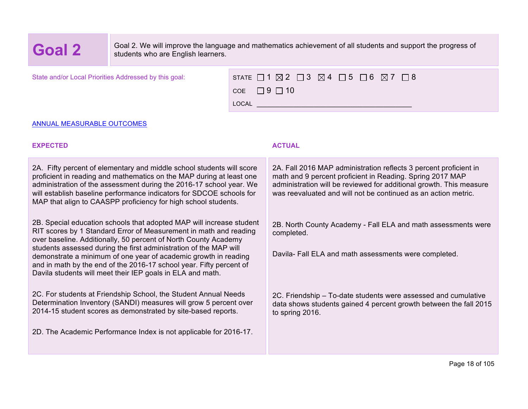**Goal 2** Goal 2. We will improve the language and mathematics achievement of all students and support the progress of students who are English learners. students who are English learners.

State and/or Local Priorities Addressed by this goal:

| STATE $\Box$ 1 $\boxtimes$ 2 $\Box$ 3 $\boxtimes$ 4 $\Box$ 5 $\Box$ 6 $\boxtimes$ 7 $\Box$ 8 |  |  |  |  |  |
|----------------------------------------------------------------------------------------------|--|--|--|--|--|
| $COE$ $\Box$ 9 $\Box$ 10                                                                     |  |  |  |  |  |
| <b>LOCAL</b>                                                                                 |  |  |  |  |  |

#### ANNUAL MEASURABLE OUTCOMES

## **EXPECTED ACTUAL**

| 2A. Fifty percent of elementary and middle school students will score<br>proficient in reading and mathematics on the MAP during at least one<br>administration of the assessment during the 2016-17 school year. We<br>will establish baseline performance indicators for SDCOE schools for<br>MAP that align to CAASPP proficiency for high school students.                                                                                                                            | 2A. Fall 2016 MAP administration reflects 3 percent proficient in<br>math and 9 percent proficient in Reading. Spring 2017 MAP<br>administration will be reviewed for additional growth. This measure<br>was reevaluated and will not be continued as an action metric. |
|-------------------------------------------------------------------------------------------------------------------------------------------------------------------------------------------------------------------------------------------------------------------------------------------------------------------------------------------------------------------------------------------------------------------------------------------------------------------------------------------|-------------------------------------------------------------------------------------------------------------------------------------------------------------------------------------------------------------------------------------------------------------------------|
| 2B. Special education schools that adopted MAP will increase student<br>RIT scores by 1 Standard Error of Measurement in math and reading<br>over baseline. Additionally, 50 percent of North County Academy<br>students assessed during the first administration of the MAP will<br>demonstrate a minimum of one year of academic growth in reading<br>and in math by the end of the 2016-17 school year. Fifty percent of<br>Davila students will meet their IEP goals in ELA and math. | 2B. North County Academy - Fall ELA and math assessments were<br>completed.<br>Davila- Fall ELA and math assessments were completed.                                                                                                                                    |
| 2C. For students at Friendship School, the Student Annual Needs<br>Determination Inventory (SANDI) measures will grow 5 percent over<br>2014-15 student scores as demonstrated by site-based reports.<br>2D. The Academic Performance Index is not applicable for 2016-17.                                                                                                                                                                                                                | 2C. Friendship – To-date students were assessed and cumulative<br>data shows students gained 4 percent growth between the fall 2015<br>to spring 2016.                                                                                                                  |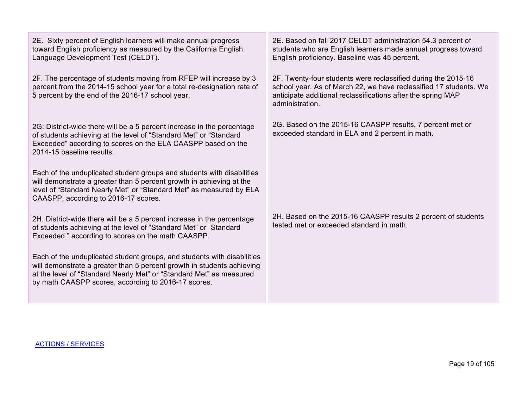2E. Sixty percent of English learners will make annual progress toward English proficiency as measured by the California English Language Development Test (CELDT).

2F. The percentage of students moving from RFEP will increase by 3 percent from the 2014-15 school year for a total re-designation rate of 5 percent by the end of the 2016-17 school year.

2G: District-wide there will be a 5 percent increase in the percentage of students achieving at the level of "Standard Met" or "Standard Exceeded" according to scores on the ELA CAASPP based on the 2014-15 baseline results.

Each of the unduplicated student groups and students with disabilities will demonstrate a greater than 5 percent growth in achieving at the level of "Standard Nearly Met" or "Standard Met" as measured by ELA CAASPP, according to 2016-17 scores.

2H. District-wide there will be a 5 percent increase in the percentage of students achieving at the level of "Standard Met" or "Standard Exceeded," according to scores on the math CAASPP.

Each of the unduplicated student groups, and students with disabilities will demonstrate a greater than 5 percent growth in students achieving at the level of "Standard Nearly Met" or "Standard Met" as measured by math CAASPP scores, according to 2016-17 scores.

2E. Based on fall 2017 CELDT administration 54.3 percent of students who are English learners made annual progress toward English proficiency. Baseline was 45 percent.

2F. Twenty-four students were reclassified during the 2015-16 school year. As of March 22, we have reclassified 17 students. We anticipate additional reclassifications after the spring MAP administration.

2G. Based on the 2015-16 CAASPP results, 7 percent met or exceeded standard in ELA and 2 percent in math.

2H. Based on the 2015-16 CAASPP results 2 percent of students tested met or exceeded standard in math.

ACTIONS / SERVICES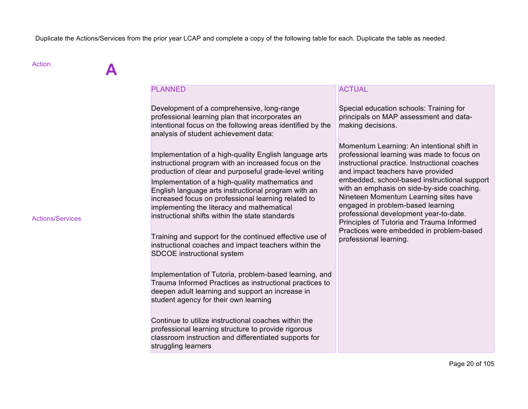Duplicate the Actions/Services from the prior year LCAP and complete a copy of the following table for each. Duplicate the table as needed.

| <b>Action</b>           |                                                                                                                                                                                                                                                                                                                                                                                                                                                        |                                                                                                                                                                                                                                                                                                                                                           |
|-------------------------|--------------------------------------------------------------------------------------------------------------------------------------------------------------------------------------------------------------------------------------------------------------------------------------------------------------------------------------------------------------------------------------------------------------------------------------------------------|-----------------------------------------------------------------------------------------------------------------------------------------------------------------------------------------------------------------------------------------------------------------------------------------------------------------------------------------------------------|
|                         | <b>PLANNED</b><br>Development of a comprehensive, long-range<br>professional learning plan that incorporates an<br>intentional focus on the following areas identified by the<br>analysis of student achievement data:<br>Implementation of a high-quality English language arts<br>instructional program with an increased focus on the<br>production of clear and purposeful grade-level writing<br>Implementation of a high-quality mathematics and | <b>ACTUAL</b><br>Special education schools: Training for<br>principals on MAP assessment and data-<br>making decisions.<br>Momentum Learning: An intentional shift in<br>professional learning was made to focus on<br>instructional practice. Instructional coaches<br>and impact teachers have provided<br>embedded, school-based instructional support |
| <b>Actions/Services</b> | English language arts instructional program with an<br>increased focus on professional learning related to<br>implementing the literacy and mathematical<br>instructional shifts within the state standards                                                                                                                                                                                                                                            | with an emphasis on side-by-side coaching.<br>Nineteen Momentum Learning sites have<br>engaged in problem-based learning<br>professional development year-to-date.<br>Principles of Tutoria and Trauma Informed<br>Practices were embedded in problem-based                                                                                               |
|                         | Training and support for the continued effective use of<br>instructional coaches and impact teachers within the<br>SDCOE instructional system                                                                                                                                                                                                                                                                                                          | professional learning.                                                                                                                                                                                                                                                                                                                                    |
|                         | Implementation of Tutoria, problem-based learning, and<br>Trauma Informed Practices as instructional practices to<br>deepen adult learning and support an increase in<br>student agency for their own learning                                                                                                                                                                                                                                         |                                                                                                                                                                                                                                                                                                                                                           |
|                         | Continue to utilize instructional coaches within the<br>professional learning structure to provide rigorous<br>classroom instruction and differentiated supports for<br>struggling learners                                                                                                                                                                                                                                                            |                                                                                                                                                                                                                                                                                                                                                           |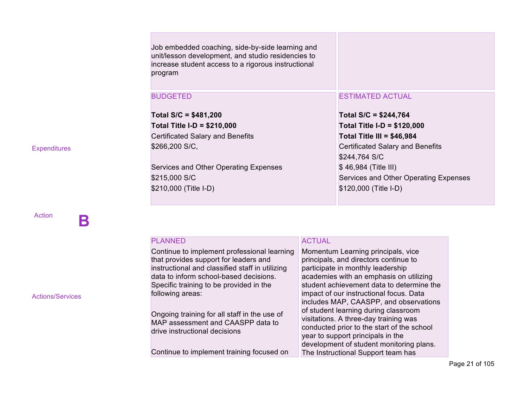| Job embedded coaching, side-by-side learning and<br>unit/lesson development, and studio residencies to<br>increase student access to a rigorous instructional<br>program |                                         |
|--------------------------------------------------------------------------------------------------------------------------------------------------------------------------|-----------------------------------------|
| <b>BUDGETED</b>                                                                                                                                                          | <b>ESTIMATED ACTUAL</b>                 |
| Total $S/C = $481,200$                                                                                                                                                   | Total $S/C = $244,764$                  |
| Total Title I-D = $$210,000$                                                                                                                                             | Total Title I-D = $$120,000$            |
| <b>Certificated Salary and Benefits</b>                                                                                                                                  | Total Title III = $$46,984$             |
| \$266,200 S/C,                                                                                                                                                           | <b>Certificated Salary and Benefits</b> |
|                                                                                                                                                                          | \$244,764 S/C                           |
| Services and Other Operating Expenses                                                                                                                                    | $$46,984$ (Title III)                   |
| \$215,000 S/C                                                                                                                                                            | Services and Other Operating Expenses   |
| \$210,000 (Title I-D)                                                                                                                                                    | \$120,000 (Title I-D)                   |
|                                                                                                                                                                          |                                         |

| <b>Expenditures</b> |  |
|---------------------|--|

Action **B Empty Cell Empty Cell**

| <b>PLANNED</b>                                  | <b>ACTUAL</b>                              |
|-------------------------------------------------|--------------------------------------------|
| Continue to implement professional learning     | Momentum Learning principals, vice         |
| that provides support for leaders and           | principals, and directors continue to      |
| instructional and classified staff in utilizing | participate in monthly leadership          |
| data to inform school-based decisions.          | academies with an emphasis on utilizing    |
| Specific training to be provided in the         | student achievement data to determine the  |
| following areas:                                | impact of our instructional focus. Data    |
|                                                 | includes MAP, CAASPP, and observations     |
| Ongoing training for all staff in the use of    | of student learning during classroom       |
| MAP assessment and CAASPP data to               | visitations. A three-day training was      |
| drive instructional decisions                   | conducted prior to the start of the school |
|                                                 | year to support principals in the          |
|                                                 | development of student monitoring plans.   |
| Continue to implement training focused on       | The Instructional Support team has         |

Actions/Services

Page 21 of 105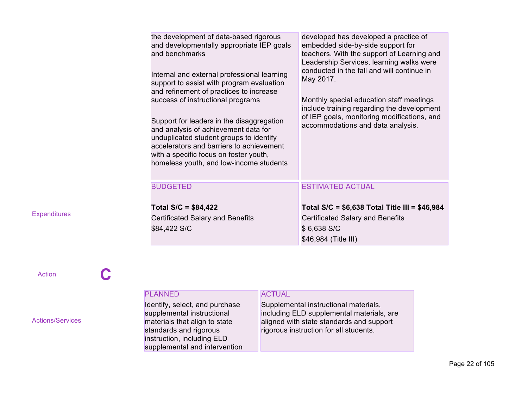| the development of data-based rigorous<br>and developmentally appropriate IEP goals<br>and benchmarks<br>Internal and external professional learning<br>support to assist with program evaluation<br>and refinement of practices to increase<br>success of instructional programs<br>Support for leaders in the disaggregation<br>and analysis of achievement data for<br>unduplicated student groups to identify<br>accelerators and barriers to achievement<br>with a specific focus on foster youth,<br>homeless youth, and low-income students | developed has developed a practice of<br>embedded side-by-side support for<br>teachers. With the support of Learning and<br>Leadership Services, learning walks were<br>conducted in the fall and will continue in<br>May 2017.<br>Monthly special education staff meetings<br>include training regarding the development<br>of IEP goals, monitoring modifications, and<br>accommodations and data analysis. |
|----------------------------------------------------------------------------------------------------------------------------------------------------------------------------------------------------------------------------------------------------------------------------------------------------------------------------------------------------------------------------------------------------------------------------------------------------------------------------------------------------------------------------------------------------|---------------------------------------------------------------------------------------------------------------------------------------------------------------------------------------------------------------------------------------------------------------------------------------------------------------------------------------------------------------------------------------------------------------|
| <b>BUDGETED</b><br>Total $S/C = $84,422$                                                                                                                                                                                                                                                                                                                                                                                                                                                                                                           | <b>ESTIMATED ACTUAL</b><br>Total S/C = $$6,638$ Total Title III = $$46,984$                                                                                                                                                                                                                                                                                                                                   |
| Certificated Salary and Benefits<br>\$84,422 S/C                                                                                                                                                                                                                                                                                                                                                                                                                                                                                                   | <b>Certificated Salary and Benefits</b><br>\$6,638 S/C<br>\$46,984 (Title III)                                                                                                                                                                                                                                                                                                                                |

Action **C** 

|                         | <b>PLANNED</b>                                                                                                                                                                         | <b>ACTUAL</b>                                                                                                                                                            |
|-------------------------|----------------------------------------------------------------------------------------------------------------------------------------------------------------------------------------|--------------------------------------------------------------------------------------------------------------------------------------------------------------------------|
| <b>Actions/Services</b> | Identify, select, and purchase<br>supplemental instructional<br>materials that align to state<br>standards and rigorous<br>instruction, including ELD<br>supplemental and intervention | Supplemental instructional materials,<br>including ELD supplemental materials, are<br>aligned with state standards and support<br>rigorous instruction for all students. |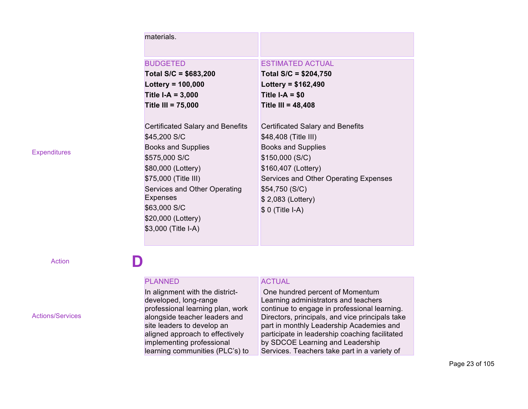| materials.                              |                                       |
|-----------------------------------------|---------------------------------------|
| <b>BUDGETED</b>                         | <b>ESTIMATED ACTUAL</b>               |
| Total $S/C = $683,200$                  | Total $S/C = $204,750$                |
| Lottery = $100,000$                     | Lottery = $$162,490$                  |
| Title $I-A = 3,000$                     | Title $I-A = $0$                      |
| Title III = $75,000$                    | Title III = $48,408$                  |
|                                         |                                       |
| <b>Certificated Salary and Benefits</b> | Certificated Salary and Benefits      |
| \$45,200 S/C                            | \$48,408 (Title III)                  |
| <b>Books and Supplies</b>               | <b>Books and Supplies</b>             |
| \$575,000 S/C                           | \$150,000(S/C)                        |
| \$80,000 (Lottery)                      | \$160,407 (Lottery)                   |
| \$75,000 (Title III)                    | Services and Other Operating Expenses |
| Services and Other Operating            | \$54,750(S/C)                         |
| <b>Expenses</b>                         | \$2,083 (Lottery)                     |
| \$63,000 S/C                            | \$ 0 (Title I-A)                      |
| \$20,000 (Lottery)                      |                                       |
| \$3,000 (Title I-A)                     |                                       |

Actions/Services

# Action **D Empty Cell Empty Cell**

## PLANNED In alignment with the districtdeveloped, long-range professional learning plan, work alongside teacher leaders and site leaders to develop an aligned approach to effectively implementing professional learning communities (PLC's) to

## ACTUAL

One hundred percent of Momentum Learning administrators and teachers continue to engage in professional learning. Directors, principals, and vice principals take part in monthly Leadership Academies and participate in leadership coaching facilitated by SDCOE Learning and Leadership Services. Teachers take part in a variety of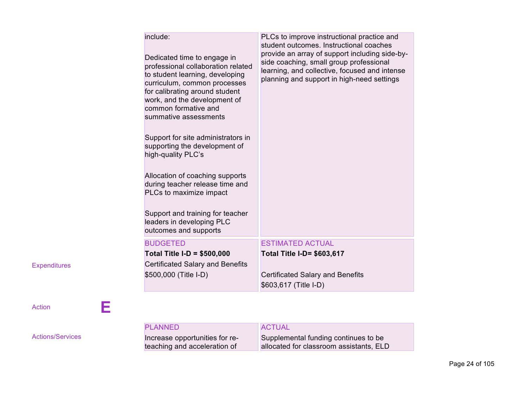| include:<br>Dedicated time to engage in<br>professional collaboration related<br>to student learning, developing<br>curriculum, common processes<br>for calibrating around student<br>work, and the development of<br>common formative and<br>summative assessments<br>Support for site administrators in<br>supporting the development of<br>high-quality PLC's<br>Allocation of coaching supports<br>during teacher release time and<br>PLCs to maximize impact<br>Support and training for teacher<br>leaders in developing PLC<br>outcomes and supports | PLCs to improve instructional practice and<br>student outcomes. Instructional coaches<br>provide an array of support including side-by-<br>side coaching, small group professional<br>learning, and collective, focused and intense<br>planning and support in high-need settings |
|-------------------------------------------------------------------------------------------------------------------------------------------------------------------------------------------------------------------------------------------------------------------------------------------------------------------------------------------------------------------------------------------------------------------------------------------------------------------------------------------------------------------------------------------------------------|-----------------------------------------------------------------------------------------------------------------------------------------------------------------------------------------------------------------------------------------------------------------------------------|
| <b>BUDGETED</b>                                                                                                                                                                                                                                                                                                                                                                                                                                                                                                                                             | <b>ESTIMATED ACTUAL</b>                                                                                                                                                                                                                                                           |
| <b>Total Title I-D = \$500,000</b>                                                                                                                                                                                                                                                                                                                                                                                                                                                                                                                          | Total Title I-D= \$603,617                                                                                                                                                                                                                                                        |
| <b>Certificated Salary and Benefits</b>                                                                                                                                                                                                                                                                                                                                                                                                                                                                                                                     | <b>Certificated Salary and Benefits</b>                                                                                                                                                                                                                                           |
| \$500,000 (Title I-D)                                                                                                                                                                                                                                                                                                                                                                                                                                                                                                                                       | \$603,617 (Title I-D)                                                                                                                                                                                                                                                             |

Actions/Services

Action **E Empty Cell Empty Cell**

PLANNED Increase opportunities for reteaching and acceleration of ACTUAL Supplemental funding continues to be allocated for classroom assistants, ELD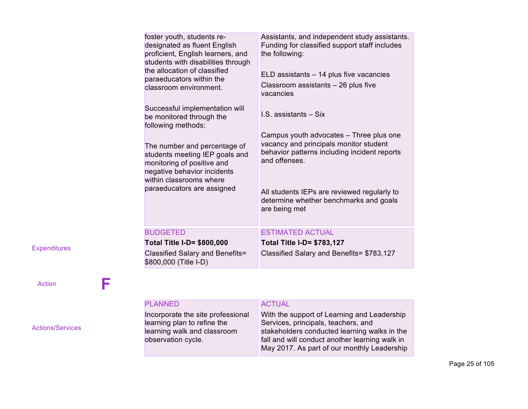| foster youth, students re-<br>designated as fluent English<br>proficient, English learners, and<br>students with disabilities through<br>the allocation of classified<br>paraeducators within the<br>classroom environment.<br>Successful implementation will<br>be monitored through the<br>following methods:<br>The number and percentage of<br>students meeting IEP goals and<br>monitoring of positive and<br>negative behavior incidents<br>within classrooms where<br>paraeducators are assigned | Assistants, and independent study assistants.<br>Funding for classified support staff includes<br>the following:<br>$ELD$ assistants $-14$ plus five vacancies<br>Classroom assistants - 26 plus five<br>vacancies<br>I.S. assistants - Six<br>Campus youth advocates - Three plus one<br>vacancy and principals monitor student<br>behavior patterns including incident reports<br>and offenses.<br>All students IEPs are reviewed regularly to<br>determine whether benchmarks and goals<br>are being met |
|---------------------------------------------------------------------------------------------------------------------------------------------------------------------------------------------------------------------------------------------------------------------------------------------------------------------------------------------------------------------------------------------------------------------------------------------------------------------------------------------------------|-------------------------------------------------------------------------------------------------------------------------------------------------------------------------------------------------------------------------------------------------------------------------------------------------------------------------------------------------------------------------------------------------------------------------------------------------------------------------------------------------------------|
|                                                                                                                                                                                                                                                                                                                                                                                                                                                                                                         |                                                                                                                                                                                                                                                                                                                                                                                                                                                                                                             |
| <b>BUDGETED</b>                                                                                                                                                                                                                                                                                                                                                                                                                                                                                         | <b>ESTIMATED ACTUAL</b>                                                                                                                                                                                                                                                                                                                                                                                                                                                                                     |
| <b>Total Title I-D= \$800,000</b>                                                                                                                                                                                                                                                                                                                                                                                                                                                                       | <b>Total Title I-D= \$783,127</b>                                                                                                                                                                                                                                                                                                                                                                                                                                                                           |
| Classified Salary and Benefits=<br>\$800,000 (Title I-D)                                                                                                                                                                                                                                                                                                                                                                                                                                                | Classified Salary and Benefits= \$783,127                                                                                                                                                                                                                                                                                                                                                                                                                                                                   |

# Action **F**

Actions/Services

| <b>PLANNED</b>                                                   | <b>ACTUAL</b>                                                                      |
|------------------------------------------------------------------|------------------------------------------------------------------------------------|
| Incorporate the site professional<br>learning plan to refine the | With the support of Learning and Leadership<br>Services, principals, teachers, and |
| learning walk and classroom                                      | stakeholders conducted learning walks in the                                       |
| observation cycle.                                               | fall and will conduct another learning walk in                                     |
|                                                                  | May 2017. As part of our monthly Leadership                                        |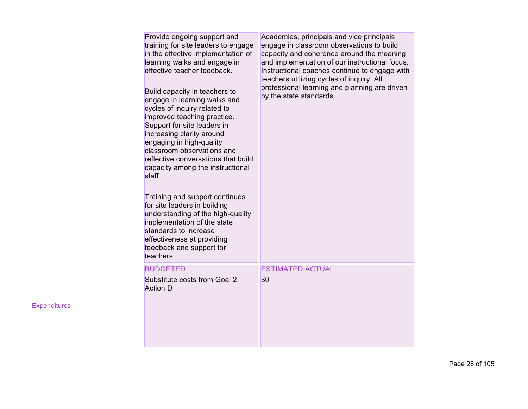| Provide ongoing support and<br>training for site leaders to engage<br>in the effective implementation of<br>learning walks and engage in<br>effective teacher feedback.<br>Build capacity in teachers to<br>engage in learning walks and<br>cycles of inquiry related to<br>improved teaching practice.<br>Support for site leaders in<br>increasing clarity around<br>engaging in high-quality<br>classroom observations and<br>reflective conversations that build<br>capacity among the instructional<br>staff.<br>Training and support continues<br>for site leaders in building<br>understanding of the high-quality<br>implementation of the state<br>standards to increase<br>effectiveness at providing<br>feedback and support for<br>teachers. | Academies, principals and vice principals<br>engage in classroom observations to build<br>capacity and coherence around the meaning<br>and implementation of our instructional focus.<br>Instructional coaches continue to engage with<br>teachers utilizing cycles of inquiry. All<br>professional learning and planning are driven<br>by the state standards. |
|----------------------------------------------------------------------------------------------------------------------------------------------------------------------------------------------------------------------------------------------------------------------------------------------------------------------------------------------------------------------------------------------------------------------------------------------------------------------------------------------------------------------------------------------------------------------------------------------------------------------------------------------------------------------------------------------------------------------------------------------------------|-----------------------------------------------------------------------------------------------------------------------------------------------------------------------------------------------------------------------------------------------------------------------------------------------------------------------------------------------------------------|
| <b>BUDGETED</b><br>Substitute costs from Goal 2<br><b>Action D</b>                                                                                                                                                                                                                                                                                                                                                                                                                                                                                                                                                                                                                                                                                       | <b>ESTIMATED ACTUAL</b><br>\$0                                                                                                                                                                                                                                                                                                                                  |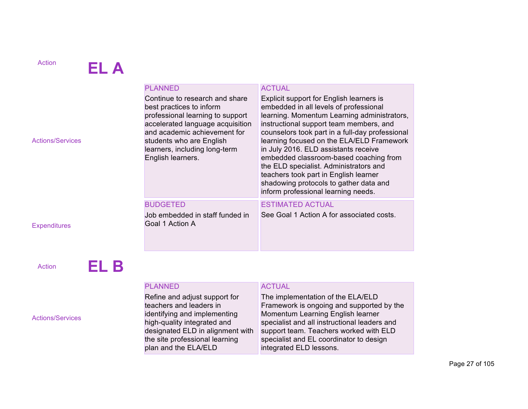# Action **EL A**

|                         | <b>PLANNED</b>                                                                                                                                                                                                                                       | <b>ACTUAL</b>                                                                                                                                                                                                                                                                                                                                                                                                                                                                                                                      |
|-------------------------|------------------------------------------------------------------------------------------------------------------------------------------------------------------------------------------------------------------------------------------------------|------------------------------------------------------------------------------------------------------------------------------------------------------------------------------------------------------------------------------------------------------------------------------------------------------------------------------------------------------------------------------------------------------------------------------------------------------------------------------------------------------------------------------------|
| <b>Actions/Services</b> | Continue to research and share<br>best practices to inform<br>professional learning to support<br>accelerated language acquisition<br>and academic achievement for<br>students who are English<br>learners, including long-term<br>English learners. | Explicit support for English learners is<br>embedded in all levels of professional<br>learning. Momentum Learning administrators,<br>instructional support team members, and<br>counselors took part in a full-day professional<br>learning focused on the ELA/ELD Framework<br>in July 2016. ELD assistants receive<br>embedded classroom-based coaching from<br>the ELD specialist. Administrators and<br>teachers took part in English learner<br>shadowing protocols to gather data and<br>inform professional learning needs. |
|                         | <b>BUDGETED</b>                                                                                                                                                                                                                                      | <b>ESTIMATED ACTUAL</b>                                                                                                                                                                                                                                                                                                                                                                                                                                                                                                            |
|                         | Job embedded in staff funded in                                                                                                                                                                                                                      | See Goal 1 Action A for associated costs.                                                                                                                                                                                                                                                                                                                                                                                                                                                                                          |
| <b>Expenditures</b>     | Goal 1 Action A                                                                                                                                                                                                                                      |                                                                                                                                                                                                                                                                                                                                                                                                                                                                                                                                    |

Action **EL B** 

Actions/Services

## PLANNED Refine and adjust support for teachers and leaders in identifying and implementing high-quality integrated and designated ELD in alignment with the site professional learning plan and the ELA/ELD

# ACTUAL

The implementation of the ELA/ELD Framework is ongoing and supported by the Momentum Learning English learner specialist and all instructional leaders and support team. Teachers worked with ELD specialist and EL coordinator to design integrated ELD lessons.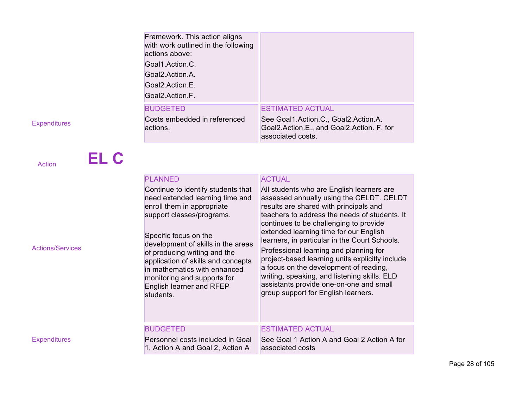| Framework. This action aligns<br>with work outlined in the following<br>actions above:<br>Goal1.Action.C.<br>Goal2.Action.A.<br>Goal2.Action.E.<br>Goal2.Action.F. |                                                                                                        |
|--------------------------------------------------------------------------------------------------------------------------------------------------------------------|--------------------------------------------------------------------------------------------------------|
| <b>BUDGETED</b>                                                                                                                                                    | <b>ESTIMATED ACTUAL</b>                                                                                |
| Costs embedded in referenced<br>actions.                                                                                                                           | See Goal1.Action.C., Goal2.Action.A.<br>Goal2.Action.E., and Goal2.Action. F. for<br>associated costs. |

Actions/Services

Expenditures

|        | EL C |  |  |  |
|--------|------|--|--|--|
| Action |      |  |  |  |

| <b>PLANNED</b>                                                                                                                                                                                                                                                                                                                                                                | <b>ACTUAL</b>                                                                                                                                                                                                                                                                                                                                                                                                                                                                                                                                                                                  |
|-------------------------------------------------------------------------------------------------------------------------------------------------------------------------------------------------------------------------------------------------------------------------------------------------------------------------------------------------------------------------------|------------------------------------------------------------------------------------------------------------------------------------------------------------------------------------------------------------------------------------------------------------------------------------------------------------------------------------------------------------------------------------------------------------------------------------------------------------------------------------------------------------------------------------------------------------------------------------------------|
| Continue to identify students that<br>need extended learning time and<br>enroll them in appropriate<br>support classes/programs.<br>Specific focus on the<br>development of skills in the areas<br>of producing writing and the<br>application of skills and concepts<br>in mathematics with enhanced<br>monitoring and supports for<br>English learner and RFEP<br>students. | All students who are English learners are<br>assessed annually using the CELDT. CELDT<br>results are shared with principals and<br>teachers to address the needs of students. It<br>continues to be challenging to provide<br>extended learning time for our English<br>learners, in particular in the Court Schools.<br>Professional learning and planning for<br>project-based learning units explicitly include<br>a focus on the development of reading,<br>writing, speaking, and listening skills. ELD<br>assistants provide one-on-one and small<br>group support for English learners. |
| <b>BUDGETED</b>                                                                                                                                                                                                                                                                                                                                                               | <b>ESTIMATED ACTUAL</b>                                                                                                                                                                                                                                                                                                                                                                                                                                                                                                                                                                        |
| Personnel costs included in Goal<br>1, Action A and Goal 2, Action A                                                                                                                                                                                                                                                                                                          | See Goal 1 Action A and Goal 2 Action A for<br>associated costs                                                                                                                                                                                                                                                                                                                                                                                                                                                                                                                                |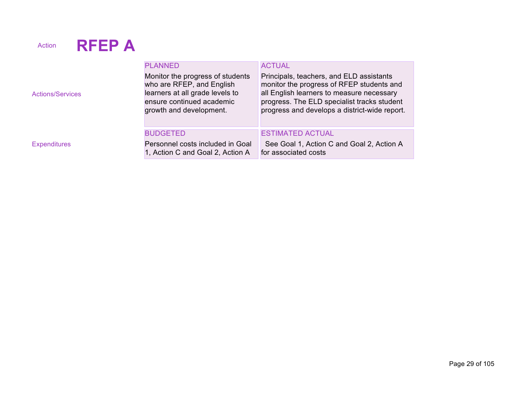# Action **RFEP A**

| <b>Actions/Services</b> | <b>PLANNED</b><br>Monitor the progress of students<br>who are RFEP, and English<br>learners at all grade levels to<br>ensure continued academic<br>growth and development. | <b>ACTUAL</b><br>Principals, teachers, and ELD assistants<br>monitor the progress of RFEP students and<br>all English learners to measure necessary<br>progress. The ELD specialist tracks student<br>progress and develops a district-wide report. |
|-------------------------|----------------------------------------------------------------------------------------------------------------------------------------------------------------------------|-----------------------------------------------------------------------------------------------------------------------------------------------------------------------------------------------------------------------------------------------------|
|                         | <b>BUDGETED</b>                                                                                                                                                            | <b>ESTIMATED ACTUAL</b>                                                                                                                                                                                                                             |
| <b>Expenditures</b>     | Personnel costs included in Goal<br>1, Action C and Goal 2, Action A                                                                                                       | See Goal 1, Action C and Goal 2, Action A<br>for associated costs                                                                                                                                                                                   |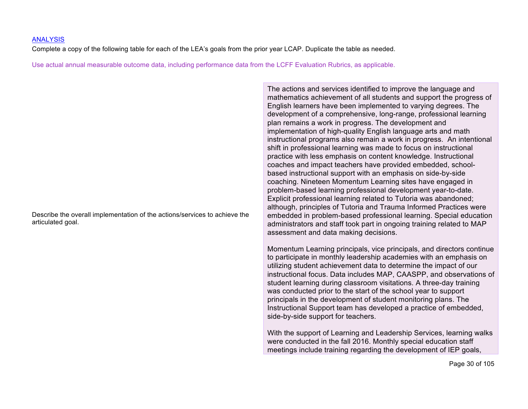#### ANALYSIS

Complete a copy of the following table for each of the LEA's goals from the prior year LCAP. Duplicate the table as needed.

Use actual annual measurable outcome data, including performance data from the LCFF Evaluation Rubrics, as applicable.

Describe the overall implementation of the actions/services to achieve the articulated goal.

The actions and services identified to improve the language and mathematics achievement of all students and support the progress of English learners have been implemented to varying degrees. The development of a comprehensive, long-range, professional learning plan remains a work in progress. The development and implementation of high-quality English language arts and math instructional programs also remain a work in progress. An intentional shift in professional learning was made to focus on instructional practice with less emphasis on content knowledge. Instructional coaches and impact teachers have provided embedded, schoolbased instructional support with an emphasis on side-by-side coaching. Nineteen Momentum Learning sites have engaged in problem-based learning professional development year-to-date. Explicit professional learning related to Tutoria was abandoned; although, principles of Tutoria and Trauma Informed Practices were embedded in problem-based professional learning. Special education administrators and staff took part in ongoing training related to MAP assessment and data making decisions.

Momentum Learning principals, vice principals, and directors continue to participate in monthly leadership academies with an emphasis on utilizing student achievement data to determine the impact of our instructional focus. Data includes MAP, CAASPP, and observations of student learning during classroom visitations. A three-day training was conducted prior to the start of the school year to support principals in the development of student monitoring plans. The Instructional Support team has developed a practice of embedded, side-by-side support for teachers.

With the support of Learning and Leadership Services, learning walks were conducted in the fall 2016. Monthly special education staff meetings include training regarding the development of IEP goals,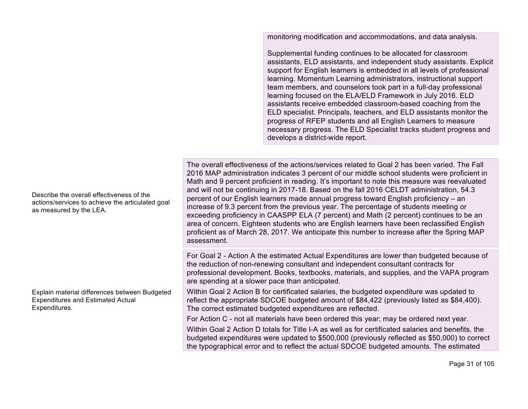monitoring modification and accommodations, and data analysis.

Supplemental funding continues to be allocated for classroom assistants, ELD assistants, and independent study assistants. Explicit support for English learners is embedded in all levels of professional learning. Momentum Learning administrators, instructional support team members, and counselors took part in a full-day professional learning focused on the ELA/ELD Framework in July 2016. ELD assistants receive embedded classroom-based coaching from the ELD specialist. Principals, teachers, and ELD assistants monitor the progress of RFEP students and all English Learners to measure necessary progress. The ELD Specialist tracks student progress and develops a district-wide report.

The overall effectiveness of the actions/services related to Goal 2 has been varied. The Fall 2016 MAP administration indicates 3 percent of our middle school students were proficient in Math and 9 percent proficient in reading. It's important to note this measure was reevaluated and will not be continuing in 2017-18. Based on the fall 2016 CELDT administration, 54.3 percent of our English learners made annual progress toward English proficiency – an increase of 9.3 percent from the previous year. The percentage of students meeting or exceeding proficiency in CAASPP ELA (7 percent) and Math (2 percent) continues to be an area of concern. Eighteen students who are English learners have been reclassified English proficient as of March 28, 2017. We anticipate this number to increase after the Spring MAP assessment.

For Goal 2 - Action A the estimated Actual Expenditures are lower than budgeted because of the reduction of non-renewing consultant and independent consultant contracts for professional development. Books, textbooks, materials, and supplies, and the VAPA program are spending at a slower pace than anticipated.

Within Goal 2 Action B for certificated salaries, the budgeted expenditure was updated to reflect the appropriate SDCOE budgeted amount of \$84,422 (previously listed as \$84,400). The correct estimated budgeted expenditures are reflected.

For Action C - not all materials have been ordered this year; may be ordered next year.

Within Goal 2 Action D totals for Title I-A as well as for certificated salaries and benefits, the budgeted expenditures were updated to \$500,000 (previously reflected as \$50,000) to correct the typographical error and to reflect the actual SDCOE budgeted amounts. The estimated

Describe the overall effectiveness of the actions/services to achieve the articulated goal as measured by the LEA.

Explain material differences between Budgeted Expenditures and Estimated Actual Expenditures.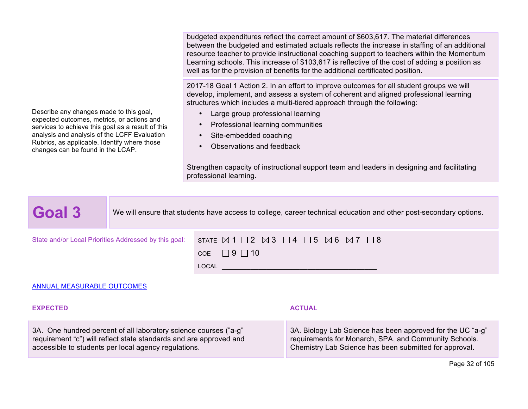budgeted expenditures reflect the correct amount of \$603,617. The material differences between the budgeted and estimated actuals reflects the increase in staffing of an additional resource teacher to provide instructional coaching support to teachers within the Momentum Learning schools. This increase of \$103,617 is reflective of the cost of adding a position as well as for the provision of benefits for the additional certificated position.

2017-18 Goal 1 Action 2. In an effort to improve outcomes for all student groups we will develop, implement, and assess a system of coherent and aligned professional learning structures which includes a multi-tiered approach through the following:

- Large group professional learning
- Professional learning communities
- Site-embedded coaching
- Observations and feedback

Strengthen capacity of instructional support team and leaders in designing and facilitating professional learning.

Goal 3 We will ensure that students have access to college, career technical education and other post-secondary options.

|       | State and/or Local Priorities Addressed by this goal: $\;$ STATE $\boxtimes$ 1 $\Box$ 2 $\boxtimes$ 3 $\Box$ 4 $\Box$ 5 $\boxtimes$ 6 $\boxtimes$ 7 $\Box$ 8 |
|-------|--------------------------------------------------------------------------------------------------------------------------------------------------------------|
|       | COE $\Box$ 9 $\Box$ 10                                                                                                                                       |
| LOCAL |                                                                                                                                                              |

#### ANNUAL MEASURABLE OUTCOMES

Describe any changes made to this goal, expected outcomes, metrics, or actions and services to achieve this goal as a result of this analysis and analysis of the LCFF Evaluation Rubrics, as applicable. Identify where those

changes can be found in the LCAP.

#### **EXPECTED ACTUAL**

3A. One hundred percent of all laboratory science courses ("a-g" requirement "c") will reflect state standards and are approved and accessible to students per local agency regulations.

3A. Biology Lab Science has been approved for the UC "a-g" requirements for Monarch, SPA, and Community Schools. Chemistry Lab Science has been submitted for approval.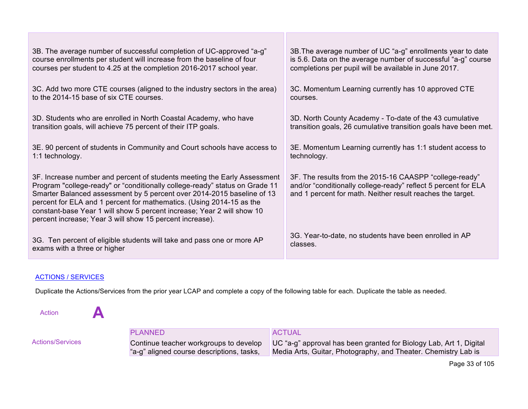| 3B. The average number of successful completion of UC-approved "a-g"                                                                                                                                                                                                                                                                                                                                                                            | 3B. The average number of UC "a-g" enrollments year to date                                                                                                                             |
|-------------------------------------------------------------------------------------------------------------------------------------------------------------------------------------------------------------------------------------------------------------------------------------------------------------------------------------------------------------------------------------------------------------------------------------------------|-----------------------------------------------------------------------------------------------------------------------------------------------------------------------------------------|
| course enrollments per student will increase from the baseline of four                                                                                                                                                                                                                                                                                                                                                                          | is 5.6. Data on the average number of successful "a-g" course                                                                                                                           |
| courses per student to 4.25 at the completion 2016-2017 school year.                                                                                                                                                                                                                                                                                                                                                                            | completions per pupil will be available in June 2017.                                                                                                                                   |
| 3C. Add two more CTE courses (aligned to the industry sectors in the area)                                                                                                                                                                                                                                                                                                                                                                      | 3C. Momentum Learning currently has 10 approved CTE                                                                                                                                     |
| to the 2014-15 base of six CTE courses.                                                                                                                                                                                                                                                                                                                                                                                                         | courses.                                                                                                                                                                                |
| 3D. Students who are enrolled in North Coastal Academy, who have                                                                                                                                                                                                                                                                                                                                                                                | 3D. North County Academy - To-date of the 43 cumulative                                                                                                                                 |
| transition goals, will achieve 75 percent of their ITP goals.                                                                                                                                                                                                                                                                                                                                                                                   | transition goals, 26 cumulative transition goals have been met.                                                                                                                         |
| 3E. 90 percent of students in Community and Court schools have access to                                                                                                                                                                                                                                                                                                                                                                        | 3E. Momentum Learning currently has 1:1 student access to                                                                                                                               |
| 1:1 technology.                                                                                                                                                                                                                                                                                                                                                                                                                                 | technology.                                                                                                                                                                             |
| 3F. Increase number and percent of students meeting the Early Assessment<br>Program "college-ready" or "conditionally college-ready" status on Grade 11<br>Smarter Balanced assessment by 5 percent over 2014-2015 baseline of 13<br>percent for ELA and 1 percent for mathematics. (Using 2014-15 as the<br>constant-base Year 1 will show 5 percent increase; Year 2 will show 10<br>percent increase; Year 3 will show 15 percent increase). | 3F. The results from the 2015-16 CAASPP "college-ready"<br>and/or "conditionally college-ready" reflect 5 percent for ELA<br>and 1 percent for math. Neither result reaches the target. |
| 3G. Ten percent of eligible students will take and pass one or more AP                                                                                                                                                                                                                                                                                                                                                                          | 3G. Year-to-date, no students have been enrolled in AP                                                                                                                                  |
| exams with a three or higher                                                                                                                                                                                                                                                                                                                                                                                                                    | classes.                                                                                                                                                                                |

# ACTIONS / SERVICES

Duplicate the Actions/Services from the prior year LCAP and complete a copy of the following table for each. Duplicate the table as needed.

Action **A** 

|                  | <b>PLANNED</b>                            | <b>ACTUAL</b>                                                                                             |
|------------------|-------------------------------------------|-----------------------------------------------------------------------------------------------------------|
| Actions/Services |                                           | Continue teacher workgroups to develop UC "a-g" approval has been granted for Biology Lab, Art 1, Digital |
|                  | "a-g" aligned course descriptions, tasks, | Media Arts, Guitar, Photography, and Theater. Chemistry Lab is                                            |

Page 33 of 105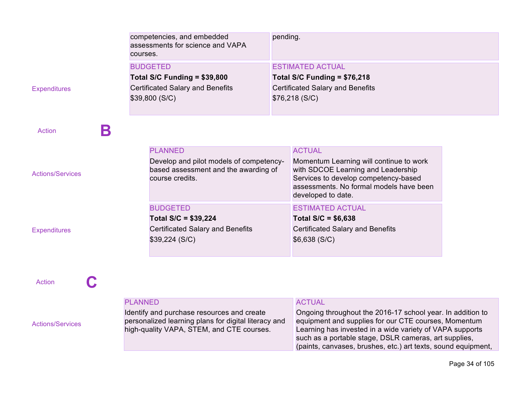|                         | competencies, and embedded<br>assessments for science and VAPA<br>courses.                         | pending.                                                                                                                                                                               |
|-------------------------|----------------------------------------------------------------------------------------------------|----------------------------------------------------------------------------------------------------------------------------------------------------------------------------------------|
|                         | <b>BUDGETED</b>                                                                                    | <b>ESTIMATED ACTUAL</b>                                                                                                                                                                |
|                         | Total S/C Funding = \$39,800                                                                       | Total S/C Funding = \$76,218                                                                                                                                                           |
| <b>Expenditures</b>     | <b>Certificated Salary and Benefits</b>                                                            | <b>Certificated Salary and Benefits</b>                                                                                                                                                |
|                         | \$39,800 (S/C)                                                                                     | \$76,218 (S/C)                                                                                                                                                                         |
|                         |                                                                                                    |                                                                                                                                                                                        |
| В<br><b>Action</b>      |                                                                                                    |                                                                                                                                                                                        |
|                         | <b>PLANNED</b>                                                                                     | <b>ACTUAL</b>                                                                                                                                                                          |
| <b>Actions/Services</b> | Develop and pilot models of competency-<br>based assessment and the awarding of<br>course credits. | Momentum Learning will continue to work<br>with SDCOE Learning and Leadership<br>Services to develop competency-based<br>assessments. No formal models have been<br>developed to date. |
|                         | <b>BUDGETED</b>                                                                                    | <b>ESTIMATED ACTUAL</b>                                                                                                                                                                |
|                         | Total $S/C = $39,224$                                                                              | Total $S/C = $6,638$                                                                                                                                                                   |
| <b>Expenditures</b>     | <b>Certificated Salary and Benefits</b>                                                            | <b>Certificated Salary and Benefits</b>                                                                                                                                                |
|                         | \$39,224 (S/C)                                                                                     | \$6,638 (S/C)                                                                                                                                                                          |
|                         |                                                                                                    |                                                                                                                                                                                        |
| <b>Action</b>           |                                                                                                    |                                                                                                                                                                                        |
|                         | <b>PLANNED</b>                                                                                     | <b>ACTUAL</b>                                                                                                                                                                          |
|                         | Identify and purchase resources and create                                                         | Ongoing throughout the 2016-17 school year. In addition to                                                                                                                             |

Actions/Services

Identify and purchase resources and create personalized learning plans for digital literacy and high-quality VAPA, STEM, and CTE courses.

Ongoing throughout the 2016-17 school year. In addition to equipment and supplies for our CTE courses, Momentum Learning has invested in a wide variety of VAPA supports such as a portable stage, DSLR cameras, art supplies, (paints, canvases, brushes, etc.) art texts, sound equipment,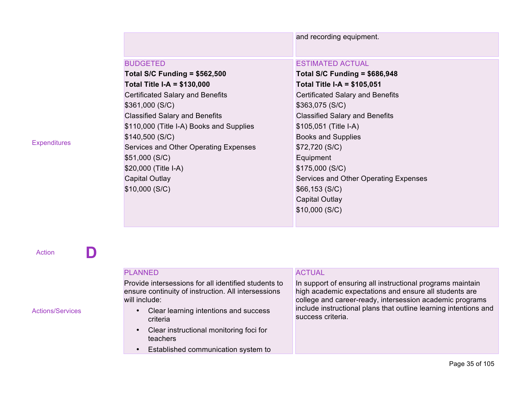|                                          | and recording equipment.                |
|------------------------------------------|-----------------------------------------|
| <b>BUDGETED</b>                          | <b>ESTIMATED ACTUAL</b>                 |
| <b>Total S/C Funding = \$562,500</b>     | Total S/C Funding = $$686,948$          |
| Total Title I-A = \$130,000              | <b>Total Title I-A = \$105,051</b>      |
| <b>Certificated Salary and Benefits</b>  | <b>Certificated Salary and Benefits</b> |
| \$361,000 (S/C)                          | \$363,075(S/C)                          |
| <b>Classified Salary and Benefits</b>    | <b>Classified Salary and Benefits</b>   |
| \$110,000 (Title I-A) Books and Supplies | \$105,051 (Title I-A)                   |
| \$140,500 (S/C)                          | <b>Books and Supplies</b>               |
| Services and Other Operating Expenses    | \$72,720 (S/C)                          |
| \$51,000 (S/C)                           | Equipment                               |
| \$20,000 (Title I-A)                     | \$175,000(S/C)                          |
| <b>Capital Outlay</b>                    | Services and Other Operating Expenses   |
| \$10,000 (S/C)                           | \$66,153(S/C)                           |
|                                          | <b>Capital Outlay</b>                   |
|                                          | \$10,000(S/C)                           |

Action **D Empty Cell Empty Cell**

#### Actions/Services

## PLANNED

Provide intersessions for all identified students to ensure continuity of instruction. All intersessions will include:

- Clear learning intentions and success criteria
- Clear instructional monitoring foci for teachers
- Established communication system to

# ACTUAL

In support of ensuring all instructional programs maintain high academic expectations and ensure all students are college and career-ready, intersession academic programs include instructional plans that outline learning intentions and success criteria.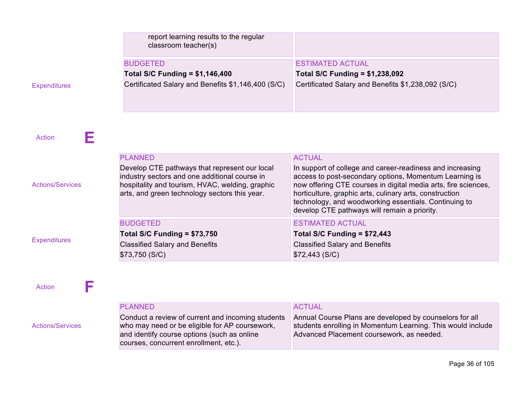|                         | report learning results to the regular<br>classroom teacher(s)                                                                                                                                     |                                                                                                                                                                                                                                                                                                                                                           |
|-------------------------|----------------------------------------------------------------------------------------------------------------------------------------------------------------------------------------------------|-----------------------------------------------------------------------------------------------------------------------------------------------------------------------------------------------------------------------------------------------------------------------------------------------------------------------------------------------------------|
|                         | <b>BUDGETED</b>                                                                                                                                                                                    | <b>ESTIMATED ACTUAL</b>                                                                                                                                                                                                                                                                                                                                   |
|                         | <b>Total S/C Funding = \$1,146,400</b>                                                                                                                                                             | <b>Total S/C Funding = \$1,238,092</b>                                                                                                                                                                                                                                                                                                                    |
| <b>Expenditures</b>     | Certificated Salary and Benefits \$1,146,400 (S/C)                                                                                                                                                 | Certificated Salary and Benefits \$1,238,092 (S/C)                                                                                                                                                                                                                                                                                                        |
| Action<br>H             | <b>PLANNED</b>                                                                                                                                                                                     | <b>ACTUAL</b>                                                                                                                                                                                                                                                                                                                                             |
| <b>Actions/Services</b> | Develop CTE pathways that represent our local<br>industry sectors and one additional course in<br>hospitality and tourism, HVAC, welding, graphic<br>arts, and green technology sectors this year. | In support of college and career-readiness and increasing<br>access to post-secondary options, Momentum Learning is<br>now offering CTE courses in digital media arts, fire sciences,<br>horticulture, graphic arts, culinary arts, construction<br>technology, and woodworking essentials. Continuing to<br>develop CTE pathways will remain a priority. |
|                         | <b>BUDGETED</b>                                                                                                                                                                                    | <b>ESTIMATED ACTUAL</b>                                                                                                                                                                                                                                                                                                                                   |
|                         | Total S/C Funding = $$73,750$                                                                                                                                                                      | Total S/C Funding = $$72,443$                                                                                                                                                                                                                                                                                                                             |
| <b>Expenditures</b>     | <b>Classified Salary and Benefits</b>                                                                                                                                                              | <b>Classified Salary and Benefits</b>                                                                                                                                                                                                                                                                                                                     |

Action **F** 

Actions/Services

PLANNED Conduct a review of current and incoming students who may need or be eligible for AP coursework, and identify course options (such as online courses, concurrent enrollment, etc.).

\$73,750 (S/C)

# ACTUAL

\$72,443 (S/C)

Annual Course Plans are developed by counselors for all students enrolling in Momentum Learning. This would include Advanced Placement coursework, as needed.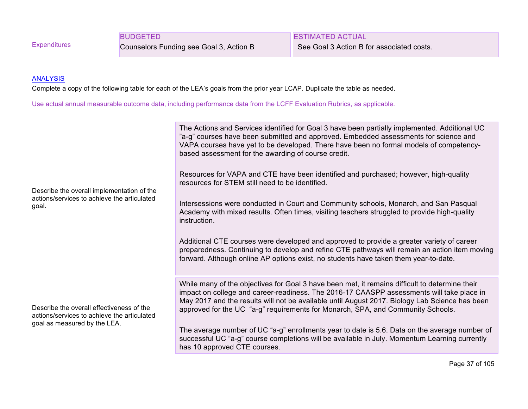**Expenditures** 

BUDGETED

Counselors Funding see Goal 3, Action B

ESTIMATED ACTUAL See Goal 3 Action B for associated costs.

#### **ANALYSIS**

Complete a copy of the following table for each of the LEA's goals from the prior year LCAP. Duplicate the table as needed.

Use actual annual measurable outcome data, including performance data from the LCFF Evaluation Rubrics, as applicable.

| Describe the overall implementation of the<br>actions/services to achieve the articulated<br>goal.                       | The Actions and Services identified for Goal 3 have been partially implemented. Additional UC<br>"a-g" courses have been submitted and approved. Embedded assessments for science and<br>VAPA courses have yet to be developed. There have been no formal models of competency-<br>based assessment for the awarding of course credit.<br>Resources for VAPA and CTE have been identified and purchased; however, high-quality<br>resources for STEM still need to be identified.<br>Intersessions were conducted in Court and Community schools, Monarch, and San Pasqual<br>Academy with mixed results. Often times, visiting teachers struggled to provide high-quality<br>instruction.<br>Additional CTE courses were developed and approved to provide a greater variety of career<br>preparedness. Continuing to develop and refine CTE pathways will remain an action item moving<br>forward. Although online AP options exist, no students have taken them year-to-date. |
|--------------------------------------------------------------------------------------------------------------------------|----------------------------------------------------------------------------------------------------------------------------------------------------------------------------------------------------------------------------------------------------------------------------------------------------------------------------------------------------------------------------------------------------------------------------------------------------------------------------------------------------------------------------------------------------------------------------------------------------------------------------------------------------------------------------------------------------------------------------------------------------------------------------------------------------------------------------------------------------------------------------------------------------------------------------------------------------------------------------------|
| Describe the overall effectiveness of the<br>actions/services to achieve the articulated<br>goal as measured by the LEA. | While many of the objectives for Goal 3 have been met, it remains difficult to determine their<br>impact on college and career-readiness. The 2016-17 CAASPP assessments will take place in<br>May 2017 and the results will not be available until August 2017. Biology Lab Science has been<br>approved for the UC "a-g" requirements for Monarch, SPA, and Community Schools.                                                                                                                                                                                                                                                                                                                                                                                                                                                                                                                                                                                                 |
|                                                                                                                          | The average number of UC "a-g" enrollments year to date is 5.6. Data on the average number of<br>successful UC "a-g" course completions will be available in July. Momentum Learning currently<br>has 10 approved CTE courses.                                                                                                                                                                                                                                                                                                                                                                                                                                                                                                                                                                                                                                                                                                                                                   |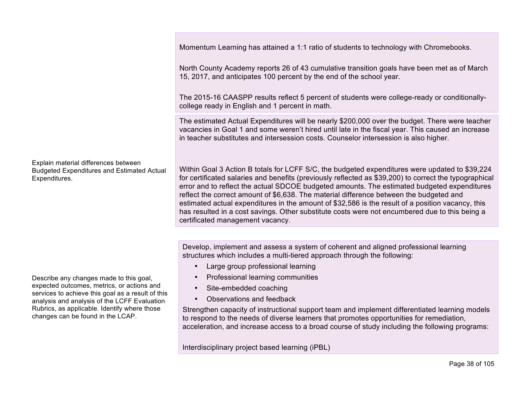Momentum Learning has attained a 1:1 ratio of students to technology with Chromebooks.

North County Academy reports 26 of 43 cumulative transition goals have been met as of March 15, 2017, and anticipates 100 percent by the end of the school year.

The 2015-16 CAASPP results reflect 5 percent of students were college-ready or conditionallycollege ready in English and 1 percent in math.

The estimated Actual Expenditures will be nearly \$200,000 over the budget. There were teacher vacancies in Goal 1 and some weren't hired until late in the fiscal year. This caused an increase in teacher substitutes and intersession costs. Counselor intersession is also higher.

Within Goal 3 Action B totals for LCFF S/C, the budgeted expenditures were updated to \$39,224 for certificated salaries and benefits (previously reflected as \$39,200) to correct the typographical error and to reflect the actual SDCOE budgeted amounts. The estimated budgeted expenditures reflect the correct amount of \$6,638. The material difference between the budgeted and estimated actual expenditures in the amount of \$32,586 is the result of a position vacancy, this has resulted in a cost savings. Other substitute costs were not encumbered due to this being a certificated management vacancy.

Develop, implement and assess a system of coherent and aligned professional learning structures which includes a multi-tiered approach through the following:

- Large group professional learning
- Professional learning communities
- Site-embedded coaching
- Observations and feedback

Strengthen capacity of instructional support team and implement differentiated learning models to respond to the needs of diverse learners that promotes opportunities for remediation, acceleration, and increase access to a broad course of study including the following programs:

Interdisciplinary project based learning (iPBL)

Explain material differences between Budgeted Expenditures and Estimated Actual Expenditures.

Describe any changes made to this goal, expected outcomes, metrics, or actions and services to achieve this goal as a result of this analysis and analysis of the LCFF Evaluation Rubrics, as applicable. Identify where those changes can be found in the LCAP.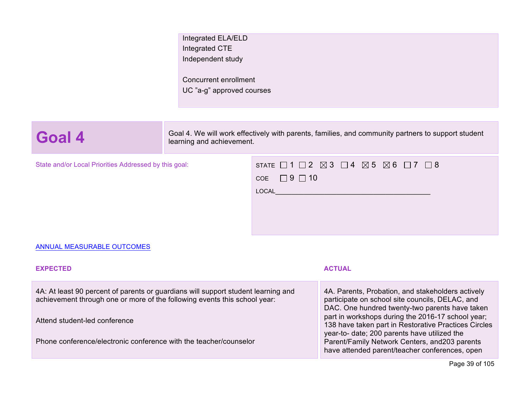| Integrated ELA/ELD        |  |  |
|---------------------------|--|--|
| Integrated CTE            |  |  |
| Independent study         |  |  |
|                           |  |  |
| Concurrent enrollment     |  |  |
| UC "a-g" approved courses |  |  |

**Goal 4.** We will work effectively with parents, families, and community partners to support student learning and achievement learning and achievement.

State and/or Local Priorities Addressed by this goal:

| STATE $\Box$ 1 $\Box$ 2 $\boxtimes$ 3 $\Box$ 4 $\boxtimes$ 5 $\boxtimes$ 6 $\Box$ 7 $\Box$ 8 |  |  |  |  |  |
|----------------------------------------------------------------------------------------------|--|--|--|--|--|
| $COE$ $\Box$ 9 $\Box$ 10                                                                     |  |  |  |  |  |
| LOCAL                                                                                        |  |  |  |  |  |
|                                                                                              |  |  |  |  |  |
|                                                                                              |  |  |  |  |  |

#### ANNUAL MEASURABLE OUTCOMES

#### **EXPECTED ACTUAL** 4A: At least 90 percent of parents or guardians will support student learning and achievement through one or more of the following events this school year: Attend student-led conference Phone conference/electronic conference with the teacher/counselor 4A. Parents, Probation, and stakeholders actively participate on school site councils, DELAC, and DAC. One hundred twenty-two parents have taken part in workshops during the 2016-17 school year; 138 have taken part in Restorative Practices Circles year-to- date; 200 parents have utilized the Parent/Family Network Centers, and203 parents have attended parent/teacher conferences, open

Page 39 of 105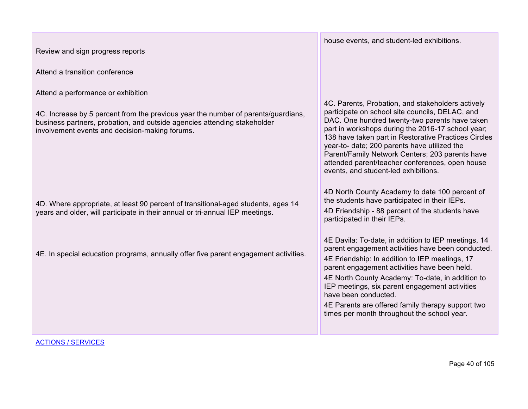| Review and sign progress reports                                                                                                                                                                                                                      | house events, and student-led exhibitions.                                                                                                                                                                                                                                                                                                                                                                                                                        |
|-------------------------------------------------------------------------------------------------------------------------------------------------------------------------------------------------------------------------------------------------------|-------------------------------------------------------------------------------------------------------------------------------------------------------------------------------------------------------------------------------------------------------------------------------------------------------------------------------------------------------------------------------------------------------------------------------------------------------------------|
| Attend a transition conference                                                                                                                                                                                                                        |                                                                                                                                                                                                                                                                                                                                                                                                                                                                   |
| Attend a performance or exhibition<br>4C. Increase by 5 percent from the previous year the number of parents/guardians,<br>business partners, probation, and outside agencies attending stakeholder<br>involvement events and decision-making forums. | 4C. Parents, Probation, and stakeholders actively<br>participate on school site councils, DELAC, and<br>DAC. One hundred twenty-two parents have taken<br>part in workshops during the 2016-17 school year;<br>138 have taken part in Restorative Practices Circles<br>year-to- date; 200 parents have utilized the<br>Parent/Family Network Centers; 203 parents have<br>attended parent/teacher conferences, open house<br>events, and student-led exhibitions. |
| 4D. Where appropriate, at least 90 percent of transitional-aged students, ages 14<br>years and older, will participate in their annual or tri-annual IEP meetings.                                                                                    | 4D North County Academy to date 100 percent of<br>the students have participated in their IEPs.<br>4D Friendship - 88 percent of the students have<br>participated in their IEPs.                                                                                                                                                                                                                                                                                 |
| 4E. In special education programs, annually offer five parent engagement activities.                                                                                                                                                                  | 4E Davila: To-date, in addition to IEP meetings, 14<br>parent engagement activities have been conducted.<br>4E Friendship: In addition to IEP meetings, 17<br>parent engagement activities have been held.<br>4E North County Academy: To-date, in addition to<br>IEP meetings, six parent engagement activities<br>have been conducted.<br>4E Parents are offered family therapy support two<br>times per month throughout the school year.                      |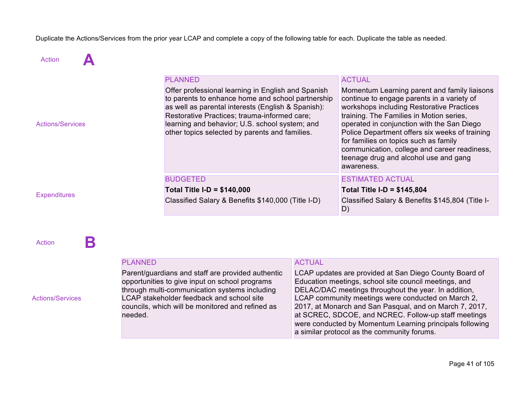Duplicate the Actions/Services from the prior year LCAP and complete a copy of the following table for each. Duplicate the table as needed.

Action **A** 

| <b>Actions/Services</b> | <b>PLANNED</b><br>Offer professional learning in English and Spanish<br>to parents to enhance home and school partnership<br>as well as parental interests (English & Spanish):<br>Restorative Practices; trauma-informed care;<br>learning and behavior; U.S. school system; and<br>other topics selected by parents and families. | <b>ACTUAL</b><br>Momentum Learning parent and family liaisons<br>continue to engage parents in a variety of<br>workshops including Restorative Practices<br>training. The Families in Motion series,<br>operated in conjunction with the San Diego<br>Police Department offers six weeks of training<br>for families on topics such as family<br>communication, college and career readiness,<br>teenage drug and alcohol use and gang<br>awareness. |
|-------------------------|-------------------------------------------------------------------------------------------------------------------------------------------------------------------------------------------------------------------------------------------------------------------------------------------------------------------------------------|------------------------------------------------------------------------------------------------------------------------------------------------------------------------------------------------------------------------------------------------------------------------------------------------------------------------------------------------------------------------------------------------------------------------------------------------------|
| <b>Expenditures</b>     | <b>BUDGETED</b><br>Total Title I-D = $$140,000$<br>Classified Salary & Benefits \$140,000 (Title I-D)                                                                                                                                                                                                                               | <b>ESTIMATED ACTUAL</b><br>Total Title I-D = $$145,804$<br>Classified Salary & Benefits \$145,804 (Title I-<br>D)                                                                                                                                                                                                                                                                                                                                    |

Action **B** 

Actions/Services

#### PLANNED

Parent/guardians and staff are provided authentic opportunities to give input on school programs through multi-communication systems including LCAP stakeholder feedback and school site councils, which will be monitored and refined as needed.

#### **ACTUAL**

LCAP updates are provided at San Diego County Board of Education meetings, school site council meetings, and DELAC/DAC meetings throughout the year. In addition, LCAP community meetings were conducted on March 2, 2017, at Monarch and San Pasqual, and on March 7, 2017, at SCREC, SDCOE, and NCREC. Follow-up staff meetings were conducted by Momentum Learning principals following a similar protocol as the community forums.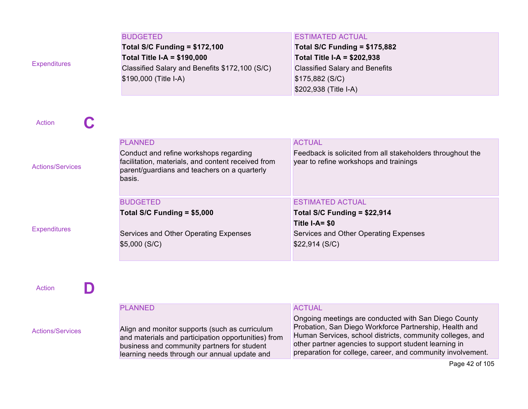| <b>Expenditures</b>     | <b>BUDGETED</b><br><b>Total S/C Funding = \$172,100</b><br><b>Total Title I-A = \$190,000</b><br>Classified Salary and Benefits \$172,100 (S/C)<br>\$190,000 (Title I-A) | <b>ESTIMATED ACTUAL</b><br><b>Total S/C Funding = \$175,882</b><br><b>Total Title I-A = \$202,938</b><br><b>Classified Salary and Benefits</b><br>\$175,882 (S/C)<br>\$202,938 (Title I-A) |
|-------------------------|--------------------------------------------------------------------------------------------------------------------------------------------------------------------------|--------------------------------------------------------------------------------------------------------------------------------------------------------------------------------------------|
| <b>Action</b>           |                                                                                                                                                                          |                                                                                                                                                                                            |
| <b>Actions/Services</b> | <b>PLANNED</b><br>Conduct and refine workshops regarding<br>facilitation, materials, and content received from<br>parent/guardians and teachers on a quarterly<br>basis. | <b>ACTUAL</b><br>Feedback is solicited from all stakeholders throughout the<br>year to refine workshops and trainings                                                                      |
| <b>Expenditures</b>     | <b>BUDGETED</b><br>Total S/C Funding = \$5,000<br>Services and Other Operating Expenses<br>\$5,000(S/C)                                                                  | <b>ESTIMATED ACTUAL</b><br>Total S/C Funding = \$22,914<br>Title I-A= \$0<br>Services and Other Operating Expenses<br>\$22,914 (S/C)                                                       |
| D<br>Action             |                                                                                                                                                                          |                                                                                                                                                                                            |
|                         | <b>PLANNED</b>                                                                                                                                                           | <b>ACTUAL</b><br>Ongoing meetings are conducted with San Diego County                                                                                                                      |

Align and monitor supports (such as curriculum and materials and participation opportunities) from business and community partners for student learning needs through our annual update and

Actions/Services

Human Services, school districts, community colleges, and other partner agencies to support student learning in preparation for college, career, and community involvement.

Probation, San Diego Workforce Partnership, Health and

Page 42 of 105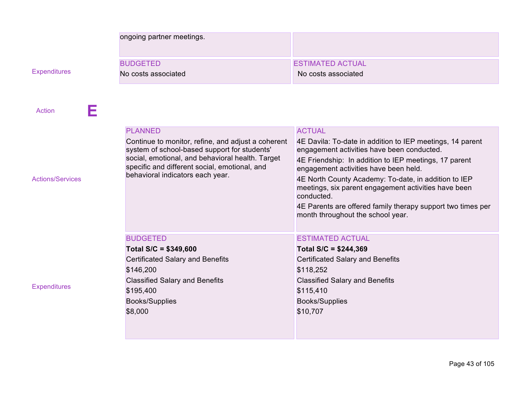|                         | ongoing partner meetings.                                                                                                                                                                                                                   |                                                                                                                                                                                                                                                                                                                                                                                                                                             |
|-------------------------|---------------------------------------------------------------------------------------------------------------------------------------------------------------------------------------------------------------------------------------------|---------------------------------------------------------------------------------------------------------------------------------------------------------------------------------------------------------------------------------------------------------------------------------------------------------------------------------------------------------------------------------------------------------------------------------------------|
|                         | <b>BUDGETED</b>                                                                                                                                                                                                                             | <b>ESTIMATED ACTUAL</b>                                                                                                                                                                                                                                                                                                                                                                                                                     |
| <b>Expenditures</b>     | No costs associated                                                                                                                                                                                                                         | No costs associated                                                                                                                                                                                                                                                                                                                                                                                                                         |
| Е<br>Action             | <b>PLANNED</b>                                                                                                                                                                                                                              | <b>ACTUAL</b>                                                                                                                                                                                                                                                                                                                                                                                                                               |
| <b>Actions/Services</b> | Continue to monitor, refine, and adjust a coherent<br>system of school-based support for students'<br>social, emotional, and behavioral health. Target<br>specific and different social, emotional, and<br>behavioral indicators each year. | 4E Davila: To-date in addition to IEP meetings, 14 parent<br>engagement activities have been conducted.<br>4E Friendship: In addition to IEP meetings, 17 parent<br>engagement activities have been held.<br>4E North County Academy: To-date, in addition to IEP<br>meetings, six parent engagement activities have been<br>conducted.<br>4E Parents are offered family therapy support two times per<br>month throughout the school year. |
| <b>Expenditures</b>     | <b>BUDGETED</b><br>Total $S/C = $349,600$<br><b>Certificated Salary and Benefits</b><br>\$146,200<br><b>Classified Salary and Benefits</b><br>\$195,400<br><b>Books/Supplies</b><br>\$8,000                                                 | <b>ESTIMATED ACTUAL</b><br>Total $S/C = $244,369$<br><b>Certificated Salary and Benefits</b><br>\$118,252<br><b>Classified Salary and Benefits</b><br>\$115,410<br><b>Books/Supplies</b><br>\$10,707                                                                                                                                                                                                                                        |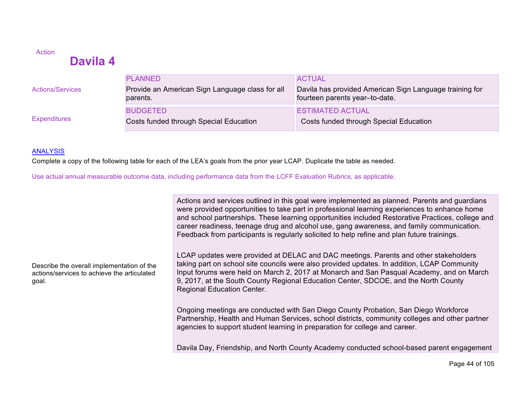# **Davila 4**

|                         | <b>PLANNED</b>                                                   | <b>ACTUAL</b>                                                                             |
|-------------------------|------------------------------------------------------------------|-------------------------------------------------------------------------------------------|
| <b>Actions/Services</b> | Provide an American Sign Language class for all<br>parents.      | Davila has provided American Sign Language training for<br>fourteen parents year-to-date. |
| <b>Expenditures</b>     | <b>BUDGETED</b><br><b>Costs funded through Special Education</b> | <b>ESTIMATED ACTUAL</b><br>Costs funded through Special Education                         |

#### **ANALYSIS**

**Action** 

Complete a copy of the following table for each of the LEA's goals from the prior year LCAP. Duplicate the table as needed.

Use actual annual measurable outcome data, including performance data from the LCFF Evaluation Rubrics, as applicable.

Actions and services outlined in this goal were implemented as planned. Parents and guardians were provided opportunities to take part in professional learning experiences to enhance home and school partnerships. These learning opportunities included Restorative Practices, college and career readiness, teenage drug and alcohol use, gang awareness, and family communication. Feedback from participants is regularly solicited to help refine and plan future trainings.

Describe the overall implementation of the actions/services to achieve the articulated goal.

LCAP updates were provided at DELAC and DAC meetings. Parents and other stakeholders taking part on school site councils were also provided updates. In addition, LCAP Community Input forums were held on March 2, 2017 at Monarch and San Pasqual Academy, and on March 9, 2017, at the South County Regional Education Center, SDCOE, and the North County Regional Education Center.

Ongoing meetings are conducted with San Diego County Probation, San Diego Workforce Partnership, Health and Human Services, school districts, community colleges and other partner agencies to support student learning in preparation for college and career.

Davila Day, Friendship, and North County Academy conducted school-based parent engagement

Page 44 of 105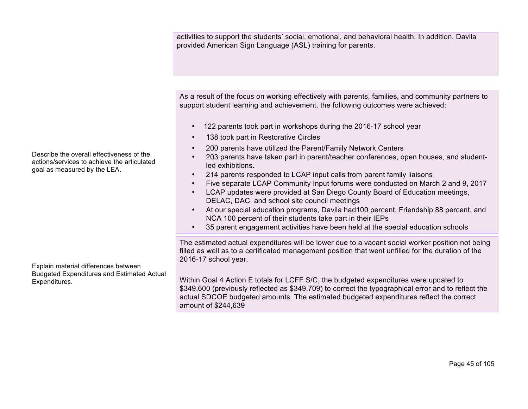activities to support the students' social, emotional, and behavioral health. In addition, Davila provided American Sign Language (ASL) training for parents.

As a result of the focus on working effectively with parents, families, and community partners to support student learning and achievement, the following outcomes were achieved:

- 122 parents took part in workshops during the 2016-17 school year
- 138 took part in Restorative Circles
- 200 parents have utilized the Parent/Family Network Centers
- 203 parents have taken part in parent/teacher conferences, open houses, and studentled exhibitions.
- 214 parents responded to LCAP input calls from parent family liaisons
- Five separate LCAP Community Input forums were conducted on March 2 and 9, 2017
- LCAP updates were provided at San Diego County Board of Education meetings, DELAC, DAC, and school site council meetings
- At our special education programs, Davila had100 percent, Friendship 88 percent, and NCA 100 percent of their students take part in their IEPs
- 35 parent engagement activities have been held at the special education schools

The estimated actual expenditures will be lower due to a vacant social worker position not being filled as well as to a certificated management position that went unfilled for the duration of the 2016-17 school year.

Within Goal 4 Action E totals for LCFF S/C, the budgeted expenditures were updated to \$349,600 (previously reflected as \$349,709) to correct the typographical error and to reflect the actual SDCOE budgeted amounts. The estimated budgeted expenditures reflect the correct amount of \$244,639

Describe the overall effectiveness of the actions/services to achieve the articulated goal as measured by the LEA.

Explain material differences between Budgeted Expenditures and Estimated Actual Expenditures.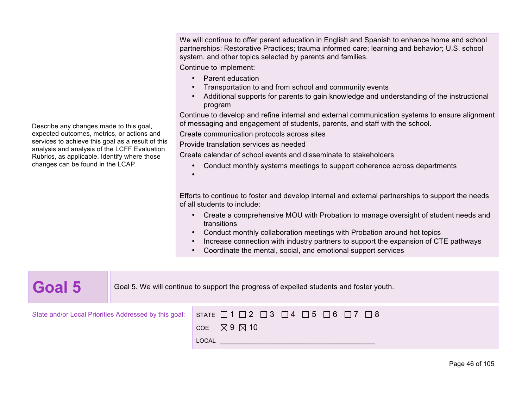We will continue to offer parent education in English and Spanish to enhance home and school partnerships: Restorative Practices; trauma informed care; learning and behavior; U.S. school system, and other topics selected by parents and families.

Continue to implement:

- Parent education
- Transportation to and from school and community events
- Additional supports for parents to gain knowledge and understanding of the instructional program

Continue to develop and refine internal and external communication systems to ensure alignment of messaging and engagement of students, parents, and staff with the school.

Create communication protocols across sites

Provide translation services as needed

Create calendar of school events and disseminate to stakeholders

• Conduct monthly systems meetings to support coherence across departments

•

Efforts to continue to foster and develop internal and external partnerships to support the needs of all students to include:

- Create a comprehensive MOU with Probation to manage oversight of student needs and transitions
- Conduct monthly collaboration meetings with Probation around hot topics
- Increase connection with industry partners to support the expansion of CTE pathways
- Coordinate the mental, social, and emotional support services

| Goal 5                                                | Goal 5. We will continue to support the progress of expelled students and foster youth. |                                                                               |  |
|-------------------------------------------------------|-----------------------------------------------------------------------------------------|-------------------------------------------------------------------------------|--|
| State and/or Local Priorities Addressed by this goal: |                                                                                         | STATE $\Box$ 1 $\Box$ 2 $\Box$ 3 $\Box$ 4 $\Box$ 5 $\Box$ 6 $\Box$ 7 $\Box$ 8 |  |
|                                                       |                                                                                         | COE $\boxtimes$ 9 $\boxtimes$ 10                                              |  |
|                                                       |                                                                                         | LOCAL                                                                         |  |

Describe any changes made to this goal, expected outcomes, metrics, or actions and services to achieve this goal as a result of this analysis and analysis of the LCFF Evaluation Rubrics, as applicable. Identify where those changes can be found in the LCAP.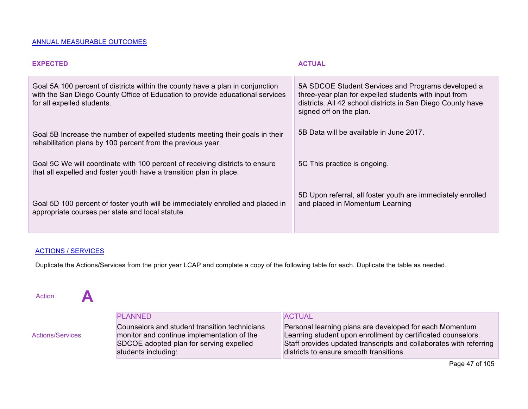#### ANNUAL MEASURABLE OUTCOMES

| <b>EXPECTED</b>                                                                                                                                                                              | <b>ACTUAL</b>                                                                                                                                                                                         |
|----------------------------------------------------------------------------------------------------------------------------------------------------------------------------------------------|-------------------------------------------------------------------------------------------------------------------------------------------------------------------------------------------------------|
| Goal 5A 100 percent of districts within the county have a plan in conjunction<br>with the San Diego County Office of Education to provide educational services<br>for all expelled students. | 5A SDCOE Student Services and Programs developed a<br>three-year plan for expelled students with input from<br>districts. All 42 school districts in San Diego County have<br>signed off on the plan. |
| Goal 5B Increase the number of expelled students meeting their goals in their<br>rehabilitation plans by 100 percent from the previous year.                                                 | 5B Data will be available in June 2017.                                                                                                                                                               |
| Goal 5C We will coordinate with 100 percent of receiving districts to ensure<br>that all expelled and foster youth have a transition plan in place.                                          | 5C This practice is ongoing.                                                                                                                                                                          |
| Goal 5D 100 percent of foster youth will be immediately enrolled and placed in<br>appropriate courses per state and local statute.                                                           | 5D Upon referral, all foster youth are immediately enrolled<br>and placed in Momentum Learning                                                                                                        |

#### ACTIONS / SERVICES

Duplicate the Actions/Services from the prior year LCAP and complete a copy of the following table for each. Duplicate the table as needed.

Action **A** 

|                         | <b>PLANNED</b>                                                                                                                                                | <b>ACTUAL</b>                                                                                                                                                                                                                            |
|-------------------------|---------------------------------------------------------------------------------------------------------------------------------------------------------------|------------------------------------------------------------------------------------------------------------------------------------------------------------------------------------------------------------------------------------------|
| <b>Actions/Services</b> | Counselors and student transition technicians<br>monitor and continue implementation of the<br>SDCOE adopted plan for serving expelled<br>students including: | Personal learning plans are developed for each Momentum<br>Learning student upon enrollment by certificated counselors.<br>Staff provides updated transcripts and collaborates with referring<br>districts to ensure smooth transitions. |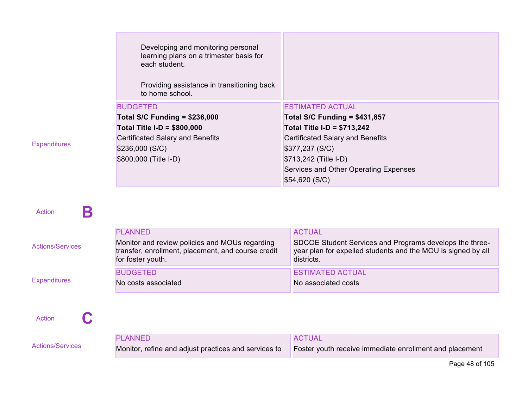| Developing and monitoring personal<br>learning plans on a trimester basis for<br>each student.<br>Providing assistance in transitioning back<br>to home school. |                                         |
|-----------------------------------------------------------------------------------------------------------------------------------------------------------------|-----------------------------------------|
| <b>BUDGETED</b>                                                                                                                                                 | <b>ESTIMATED ACTUAL</b>                 |
| Total S/C Funding = $$236,000$                                                                                                                                  | <b>Total S/C Funding = \$431,857</b>    |
| <b>Total Title I-D = \$800,000</b>                                                                                                                              | Total Title I-D = $$713,242$            |
| <b>Certificated Salary and Benefits</b>                                                                                                                         | <b>Certificated Salary and Benefits</b> |
| \$236,000(S/C)                                                                                                                                                  | \$377,237 (S/C)                         |
| \$800,000 (Title I-D)                                                                                                                                           | \$713,242 (Title I-D)                   |
|                                                                                                                                                                 | Services and Other Operating Expenses   |
|                                                                                                                                                                 | \$54,620(S/C)                           |

**Expenditures** 

Action **B** 

| <b>Actions/Services</b> | <b>PLANNED</b><br>Monitor and review policies and MOUs regarding<br>transfer, enrollment, placement, and course credit<br>for foster youth. | <b>ACTUAL</b><br>SDCOE Student Services and Programs develops the three-<br>year plan for expelled students and the MOU is signed by all<br>districts. |
|-------------------------|---------------------------------------------------------------------------------------------------------------------------------------------|--------------------------------------------------------------------------------------------------------------------------------------------------------|
| <b>Expenditures</b>     | <b>BUDGETED</b><br>No costs associated                                                                                                      | <b>ESTIMATED ACTUAL</b><br>No associated costs                                                                                                         |

Action **C** 

|                         | <b>PLANNED</b>                                       | ACTUAL                                                  |
|-------------------------|------------------------------------------------------|---------------------------------------------------------|
| <b>Actions/Services</b> | Monitor, refine and adjust practices and services to | Foster youth receive immediate enrollment and placement |

Page 48 of 105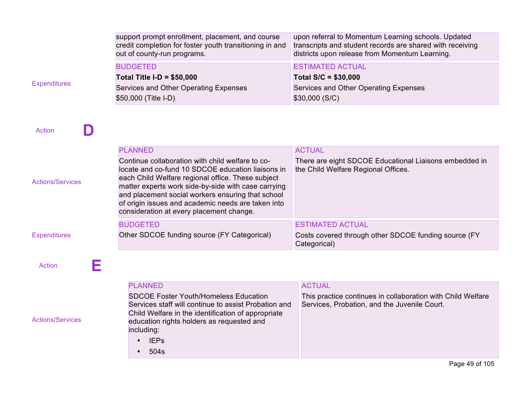| support prompt enrollment, placement, and course<br>credit completion for foster youth transitioning in and<br>out of county-run programs. |                                                                                                          | upon referral to Momentum Learning schools. Updated<br>transcripts and student records are shared with receiving<br>districts upon release from Momentum Learning. |  |  |
|--------------------------------------------------------------------------------------------------------------------------------------------|----------------------------------------------------------------------------------------------------------|--------------------------------------------------------------------------------------------------------------------------------------------------------------------|--|--|
|                                                                                                                                            | <b>BUDGETED</b>                                                                                          | <b>ESTIMATED ACTUAL</b>                                                                                                                                            |  |  |
|                                                                                                                                            | <b>Total Title I-D = <math>\$50,000</math></b>                                                           | Total $S/C = $30,000$                                                                                                                                              |  |  |
| <b>Expenditures</b>                                                                                                                        | Services and Other Operating Expenses                                                                    | Services and Other Operating Expenses                                                                                                                              |  |  |
|                                                                                                                                            | \$50,000 (Title I-D)                                                                                     | \$30,000 (S/C)                                                                                                                                                     |  |  |
|                                                                                                                                            |                                                                                                          |                                                                                                                                                                    |  |  |
|                                                                                                                                            |                                                                                                          |                                                                                                                                                                    |  |  |
| <b>Action</b>                                                                                                                              |                                                                                                          |                                                                                                                                                                    |  |  |
|                                                                                                                                            |                                                                                                          |                                                                                                                                                                    |  |  |
|                                                                                                                                            | <b>PLANNED</b>                                                                                           | <b>ACTUAL</b>                                                                                                                                                      |  |  |
|                                                                                                                                            | Continue collaboration with child welfare to co-                                                         | There are eight SDCOE Educational Liaisons embedded in                                                                                                             |  |  |
|                                                                                                                                            | locate and co-fund 10 SDCOE education liaisons in                                                        | the Child Welfare Regional Offices.                                                                                                                                |  |  |
| <b>Actions/Services</b>                                                                                                                    | each Child Welfare regional office. These subject                                                        |                                                                                                                                                                    |  |  |
|                                                                                                                                            | matter experts work side-by-side with case carrying<br>and placement social workers ensuring that school |                                                                                                                                                                    |  |  |
|                                                                                                                                            | of origin issues and academic needs are taken into                                                       |                                                                                                                                                                    |  |  |
|                                                                                                                                            | consideration at every placement change.                                                                 |                                                                                                                                                                    |  |  |
|                                                                                                                                            | <b>BUDGETED</b>                                                                                          | <b>ESTIMATED ACTUAL</b>                                                                                                                                            |  |  |
| <b>Expenditures</b>                                                                                                                        | Other SDCOE funding source (FY Categorical)                                                              | Costs covered through other SDCOE funding source (FY                                                                                                               |  |  |
|                                                                                                                                            |                                                                                                          | Categorical)                                                                                                                                                       |  |  |
|                                                                                                                                            |                                                                                                          |                                                                                                                                                                    |  |  |
| Е<br><b>Action</b>                                                                                                                         |                                                                                                          |                                                                                                                                                                    |  |  |
|                                                                                                                                            |                                                                                                          |                                                                                                                                                                    |  |  |
|                                                                                                                                            | <b>PLANNED</b>                                                                                           | <b>ACTUAL</b>                                                                                                                                                      |  |  |
|                                                                                                                                            | <b>SDCOE Foster Youth/Homeless Education</b>                                                             | This practice continues in collaboration with Child Welfare                                                                                                        |  |  |
|                                                                                                                                            | Services staff will continue to assist Probation and                                                     | Services, Probation, and the Juvenile Court.                                                                                                                       |  |  |
| <b>Actions/Services</b>                                                                                                                    | Child Welfare in the identification of appropriate<br>education rights holders as requested and          |                                                                                                                                                                    |  |  |
|                                                                                                                                            | including:                                                                                               |                                                                                                                                                                    |  |  |
|                                                                                                                                            | $\cdot$ IEPs                                                                                             |                                                                                                                                                                    |  |  |

• 504s

Page 49 of 105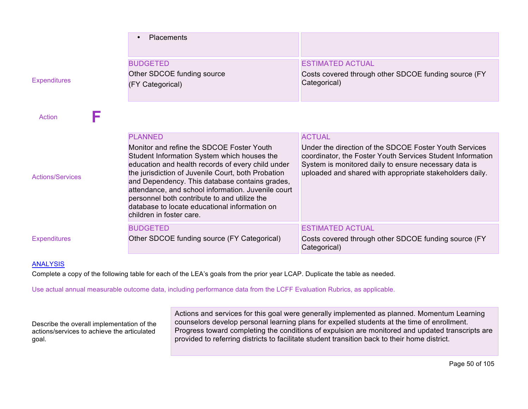|                         | <b>Placements</b>                                                                                                                                                                                                                                                                                                                                                                                                                                          |                                                                                                                                                                                                                                                            |
|-------------------------|------------------------------------------------------------------------------------------------------------------------------------------------------------------------------------------------------------------------------------------------------------------------------------------------------------------------------------------------------------------------------------------------------------------------------------------------------------|------------------------------------------------------------------------------------------------------------------------------------------------------------------------------------------------------------------------------------------------------------|
| <b>Expenditures</b>     | <b>BUDGETED</b><br>Other SDCOE funding source<br>(FY Categorical)                                                                                                                                                                                                                                                                                                                                                                                          | <b>ESTIMATED ACTUAL</b><br>Costs covered through other SDCOE funding source (FY<br>Categorical)                                                                                                                                                            |
| E<br>Action             |                                                                                                                                                                                                                                                                                                                                                                                                                                                            |                                                                                                                                                                                                                                                            |
| <b>Actions/Services</b> | <b>PLANNED</b><br>Monitor and refine the SDCOE Foster Youth<br>Student Information System which houses the<br>education and health records of every child under<br>the jurisdiction of Juvenile Court, both Probation<br>and Dependency. This database contains grades,<br>attendance, and school information. Juvenile court<br>personnel both contribute to and utilize the<br>database to locate educational information on<br>children in foster care. | <b>ACTUAL</b><br>Under the direction of the SDCOE Foster Youth Services<br>coordinator, the Foster Youth Services Student Information<br>System is monitored daily to ensure necessary data is<br>uploaded and shared with appropriate stakeholders daily. |
| <b>Expenditures</b>     | <b>BUDGETED</b><br>Other SDCOE funding source (FY Categorical)                                                                                                                                                                                                                                                                                                                                                                                             | <b>ESTIMATED ACTUAL</b><br>Costs covered through other SDCOE funding source (FY<br>Categorical)                                                                                                                                                            |

#### ANALYSIS

Complete a copy of the following table for each of the LEA's goals from the prior year LCAP. Duplicate the table as needed.

Use actual annual measurable outcome data, including performance data from the LCFF Evaluation Rubrics, as applicable.

Describe the overall implementation of the actions/services to achieve the articulated goal.

Actions and services for this goal were generally implemented as planned. Momentum Learning counselors develop personal learning plans for expelled students at the time of enrollment. Progress toward completing the conditions of expulsion are monitored and updated transcripts are provided to referring districts to facilitate student transition back to their home district.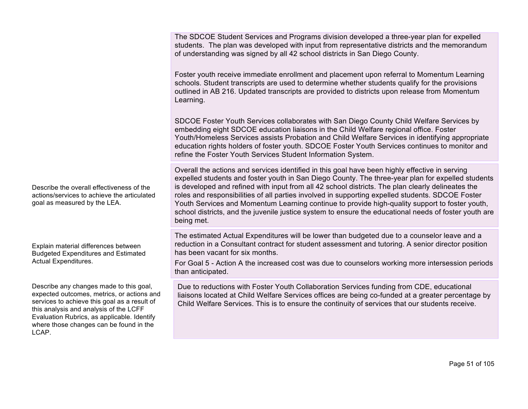The SDCOE Student Services and Programs division developed a three-year plan for expelled students. The plan was developed with input from representative districts and the memorandum of understanding was signed by all 42 school districts in San Diego County.

Foster youth receive immediate enrollment and placement upon referral to Momentum Learning schools. Student transcripts are used to determine whether students qualify for the provisions outlined in AB 216. Updated transcripts are provided to districts upon release from Momentum Learning.

SDCOE Foster Youth Services collaborates with San Diego County Child Welfare Services by embedding eight SDCOE education liaisons in the Child Welfare regional office. Foster Youth/Homeless Services assists Probation and Child Welfare Services in identifying appropriate education rights holders of foster youth. SDCOE Foster Youth Services continues to monitor and refine the Foster Youth Services Student Information System.

Overall the actions and services identified in this goal have been highly effective in serving expelled students and foster youth in San Diego County. The three-year plan for expelled students is developed and refined with input from all 42 school districts. The plan clearly delineates the roles and responsibilities of all parties involved in supporting expelled students. SDCOE Foster Youth Services and Momentum Learning continue to provide high-quality support to foster youth, school districts, and the juvenile justice system to ensure the educational needs of foster youth are being met.

The estimated Actual Expenditures will be lower than budgeted due to a counselor leave and a reduction in a Consultant contract for student assessment and tutoring. A senior director position has been vacant for six months.

For Goal 5 - Action A the increased cost was due to counselors working more intersession periods than anticipated.

Due to reductions with Foster Youth Collaboration Services funding from CDE, educational liaisons located at Child Welfare Services offices are being co-funded at a greater percentage by Child Welfare Services. This is to ensure the continuity of services that our students receive.

Describe the overall effectiveness of the actions/services to achieve the articulated goal as measured by the LEA.

Explain material differences between Budgeted Expenditures and Estimated Actual Expenditures.

Describe any changes made to this goal, expected outcomes, metrics, or actions and services to achieve this goal as a result of this analysis and analysis of the LCFF Evaluation Rubrics, as applicable. Identify where those changes can be found in the LCAP.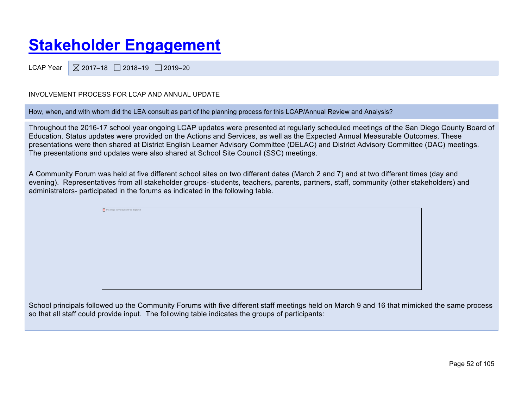# **Stakeholder Engagement**

LCAP Year  $\sqrt{2017-18}$  2018-19 2019-20

#### INVOLVEMENT PROCESS FOR LCAP AND ANNUAL UPDATE

This image cannot currently be displayed.

How, when, and with whom did the LEA consult as part of the planning process for this LCAP/Annual Review and Analysis?

Throughout the 2016-17 school year ongoing LCAP updates were presented at regularly scheduled meetings of the San Diego County Board of Education. Status updates were provided on the Actions and Services, as well as the Expected Annual Measurable Outcomes. These presentations were then shared at District English Learner Advisory Committee (DELAC) and District Advisory Committee (DAC) meetings. The presentations and updates were also shared at School Site Council (SSC) meetings.

A Community Forum was held at five different school sites on two different dates (March 2 and 7) and at two different times (day and evening). Representatives from all stakeholder groups- students, teachers, parents, partners, staff, community (other stakeholders) and administrators- participated in the forums as indicated in the following table.

School principals followed up the Community Forums with five different staff meetings held on March 9 and 16 that mimicked the same process so that all staff could provide input. The following table indicates the groups of participants: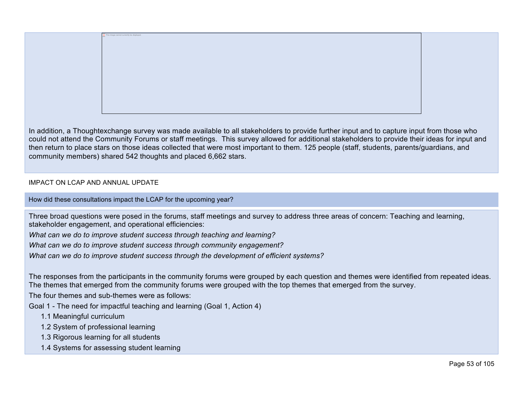In addition, a Thoughtexchange survey was made available to all stakeholders to provide further input and to capture input from those who could not attend the Community Forums or staff meetings. This survey allowed for additional stakeholders to provide their ideas for input and then return to place stars on those ideas collected that were most important to them. 125 people (staff, students, parents/guardians, and community members) shared 542 thoughts and placed 6,662 stars.

#### IMPACT ON LCAP AND ANNUAL UPDATE

How did these consultations impact the LCAP for the upcoming year?

This image cannot currently be displayed.

Three broad questions were posed in the forums, staff meetings and survey to address three areas of concern: Teaching and learning, stakeholder engagement, and operational efficiencies:

*What can we do to improve student success through teaching and learning?*

*What can we do to improve student success through community engagement?*

*What can we do to improve student success through the development of efficient systems?*

The responses from the participants in the community forums were grouped by each question and themes were identified from repeated ideas. The themes that emerged from the community forums were grouped with the top themes that emerged from the survey.

The four themes and sub-themes were as follows:

Goal 1 - The need for impactful teaching and learning (Goal 1, Action 4)

- 1.1 Meaningful curriculum
- 1.2 System of professional learning
- 1.3 Rigorous learning for all students
- 1.4 Systems for assessing student learning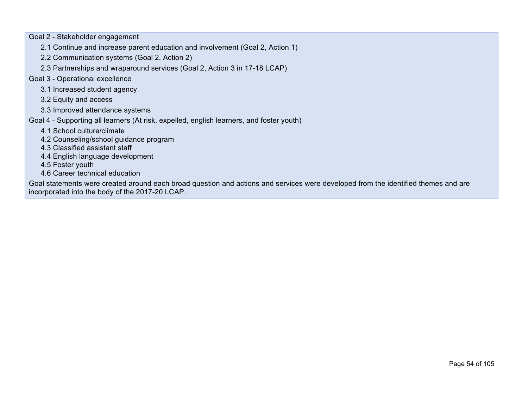Goal 2 - Stakeholder engagement

- 2.1 Continue and increase parent education and involvement (Goal 2, Action 1)
- 2.2 Communication systems (Goal 2, Action 2)
- 2.3 Partnerships and wraparound services (Goal 2, Action 3 in 17-18 LCAP)

#### Goal 3 - Operational excellence

- 3.1 Increased student agency
- 3.2 Equity and access
- 3.3 Improved attendance systems
- Goal 4 Supporting all learners (At risk, expelled, english learners, and foster youth)
	- 4.1 School culture/climate
	- 4.2 Counseling/school guidance program
	- 4.3 Classified assistant staff
	- 4.4 English language development

4.5 Foster youth

4.6 Career technical education

Goal statements were created around each broad question and actions and services were developed from the identified themes and are incorporated into the body of the 2017-20 LCAP.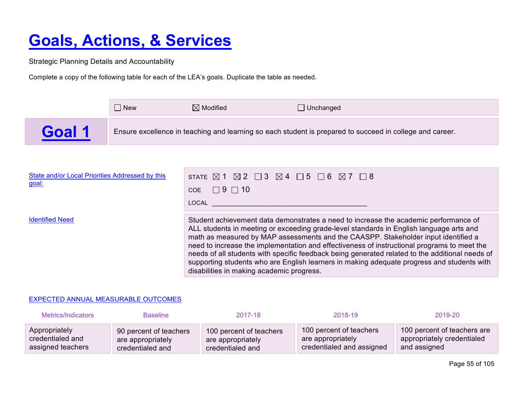# **Goals, Actions, & Services**

Strategic Planning Details and Accountability

Complete a copy of the following table for each of the LEA's goals. Duplicate the table as needed.

|        | l New | $\boxtimes$ Modified | ⊥ Unchanged                                                                                              |
|--------|-------|----------------------|----------------------------------------------------------------------------------------------------------|
| Goal / |       |                      | Ensure excellence in teaching and learning so each student is prepared to succeed in college and career. |

| State and/or Local Priorities Addressed by this<br>goal: | STATE $\boxtimes$ 1 $\boxtimes$ 2 $\Box$ 3 $\boxtimes$ 4 $\Box$ 5 $\Box$ 6 $\boxtimes$ 7 $\Box$ 8<br>$\Box$ 9 $\Box$ 10<br>COE<br>LOCAL                                                                                                                                                                                                                                                                                                                                                                                                                                                                            |
|----------------------------------------------------------|--------------------------------------------------------------------------------------------------------------------------------------------------------------------------------------------------------------------------------------------------------------------------------------------------------------------------------------------------------------------------------------------------------------------------------------------------------------------------------------------------------------------------------------------------------------------------------------------------------------------|
| <b>Identified Need</b>                                   | Student achievement data demonstrates a need to increase the academic performance of<br>ALL students in meeting or exceeding grade-level standards in English language arts and<br>math as measured by MAP assessments and the CAASPP. Stakeholder input identified a<br>need to increase the implementation and effectiveness of instructional programs to meet the<br>needs of all students with specific feedback being generated related to the additional needs of<br>supporting students who are English learners in making adequate progress and students with<br>disabilities in making academic progress. |

#### EXPECTED ANNUAL MEASURABLE OUTCOMES

| Metrics/Indicators | <b>Baseline</b>        | 2017-18                 | 2018-19                   | 2019-20                     |
|--------------------|------------------------|-------------------------|---------------------------|-----------------------------|
| Appropriately      | 90 percent of teachers | 100 percent of teachers | 100 percent of teachers   | 100 percent of teachers are |
| credentialed and   | are appropriately      | are appropriately       | are appropriately         | appropriately credentialed  |
| assigned teachers  | credentialed and       | credentialed and        | credentialed and assigned | and assigned                |

Page 55 of 105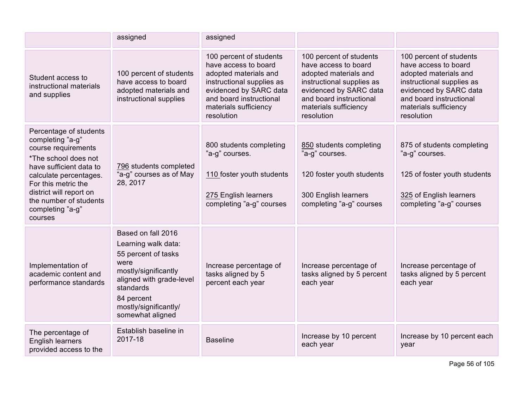|                                                                                                                                                                                                                                                           | assigned                                                                                                                                                                                             | assigned                                                                                                                                                                                          |                                                                                                                                                                                                   |                                                                                                                                                                                                   |
|-----------------------------------------------------------------------------------------------------------------------------------------------------------------------------------------------------------------------------------------------------------|------------------------------------------------------------------------------------------------------------------------------------------------------------------------------------------------------|---------------------------------------------------------------------------------------------------------------------------------------------------------------------------------------------------|---------------------------------------------------------------------------------------------------------------------------------------------------------------------------------------------------|---------------------------------------------------------------------------------------------------------------------------------------------------------------------------------------------------|
| Student access to<br>instructional materials<br>and supplies                                                                                                                                                                                              | 100 percent of students<br>have access to board<br>adopted materials and<br>instructional supplies                                                                                                   | 100 percent of students<br>have access to board<br>adopted materials and<br>instructional supplies as<br>evidenced by SARC data<br>and board instructional<br>materials sufficiency<br>resolution | 100 percent of students<br>have access to board<br>adopted materials and<br>instructional supplies as<br>evidenced by SARC data<br>and board instructional<br>materials sufficiency<br>resolution | 100 percent of students<br>have access to board<br>adopted materials and<br>instructional supplies as<br>evidenced by SARC data<br>and board instructional<br>materials sufficiency<br>resolution |
| Percentage of students<br>completing "a-g"<br>course requirements<br>*The school does not<br>have sufficient data to<br>calculate percentages.<br>For this metric the<br>district will report on<br>the number of students<br>completing "a-g"<br>courses | 796 students completed<br>"a-g" courses as of May<br>28, 2017                                                                                                                                        | 800 students completing<br>"a-g" courses.<br>110 foster youth students<br>275 English learners<br>completing "a-g" courses                                                                        | 850 students completing<br>"a-g" courses.<br>120 foster youth students<br>300 English learners<br>completing "a-g" courses                                                                        | 875 of students completing<br>"a-g" courses.<br>125 of foster youth students<br>325 of English learners<br>completing "a-g" courses                                                               |
| Implementation of<br>academic content and<br>performance standards                                                                                                                                                                                        | Based on fall 2016<br>Learning walk data:<br>55 percent of tasks<br>were<br>mostly/significantly<br>aligned with grade-level<br>standards<br>84 percent<br>mostly/significantly/<br>somewhat aligned | Increase percentage of<br>tasks aligned by 5<br>percent each year                                                                                                                                 | Increase percentage of<br>tasks aligned by 5 percent<br>each year                                                                                                                                 | Increase percentage of<br>tasks aligned by 5 percent<br>each year                                                                                                                                 |
| The percentage of<br><b>English learners</b><br>provided access to the                                                                                                                                                                                    | Establish baseline in<br>2017-18                                                                                                                                                                     | <b>Baseline</b>                                                                                                                                                                                   | Increase by 10 percent<br>each year                                                                                                                                                               | Increase by 10 percent each<br>year                                                                                                                                                               |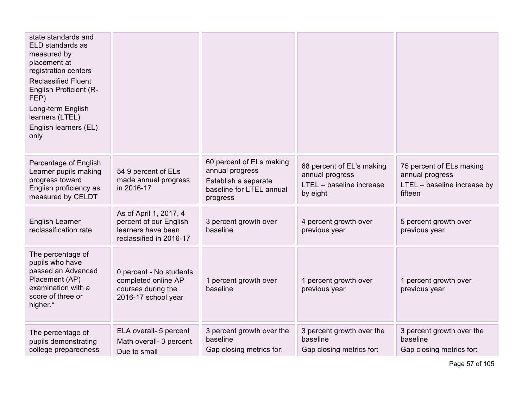| state standards and<br>ELD standards as<br>measured by<br>placement at<br>registration centers<br><b>Reclassified Fluent</b><br><b>English Proficient (R-</b><br>FEP)<br>Long-term English<br>learners (LTEL)<br>English learners (EL)<br>only |                                                                                                   |                                                                                                             |                                                                                      |                                                                                       |
|------------------------------------------------------------------------------------------------------------------------------------------------------------------------------------------------------------------------------------------------|---------------------------------------------------------------------------------------------------|-------------------------------------------------------------------------------------------------------------|--------------------------------------------------------------------------------------|---------------------------------------------------------------------------------------|
| Percentage of English<br>Learner pupils making<br>progress toward<br>English proficiency as<br>measured by CELDT                                                                                                                               | 54.9 percent of ELs<br>made annual progress<br>in 2016-17                                         | 60 percent of ELs making<br>annual progress<br>Establish a separate<br>baseline for LTEL annual<br>progress | 68 percent of EL's making<br>annual progress<br>LTEL - baseline increase<br>by eight | 75 percent of ELs making<br>annual progress<br>LTEL - baseline increase by<br>fifteen |
| English Learner<br>reclassification rate                                                                                                                                                                                                       | As of April 1, 2017, 4<br>percent of our English<br>learners have been<br>reclassified in 2016-17 | 3 percent growth over<br>baseline                                                                           | 4 percent growth over<br>previous year                                               | 5 percent growth over<br>previous year                                                |
| The percentage of<br>pupils who have<br>passed an Advanced<br>Placement (AP)<br>examination with a<br>score of three or<br>higher.*                                                                                                            | 0 percent - No students<br>completed online AP<br>courses during the<br>2016-17 school year       | 1 percent growth over<br>baseline                                                                           | 1 percent growth over<br>previous year                                               | 1 percent growth over<br>previous year                                                |
| The percentage of<br>pupils demonstrating<br>college preparedness                                                                                                                                                                              | ELA overall- 5 percent<br>Math overall- 3 percent<br>Due to small                                 | 3 percent growth over the<br>baseline<br>Gap closing metrics for:                                           | 3 percent growth over the<br>baseline<br>Gap closing metrics for:                    | 3 percent growth over the<br>baseline<br>Gap closing metrics for:                     |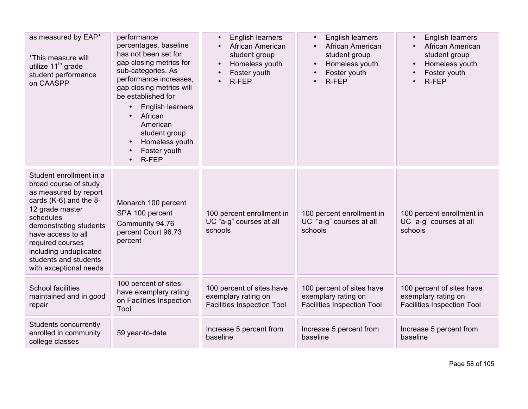| as measured by EAP*<br>*This measure will<br>utilize 11 <sup>th</sup> grade<br>student performance<br>on CAASPP                                                                                                                                                                      | performance<br>percentages, baseline<br>has not been set for<br>gap closing metrics for<br>sub-categories. As<br>performance increases,<br>gap closing metrics will<br>be established for<br>English learners<br>$\bullet$<br>African<br>$\bullet$<br>American<br>student group<br>Homeless youth<br>$\bullet$<br>Foster youth<br>$\bullet$<br>R-FEP<br>$\bullet$ | English learners<br>$\bullet$<br>African American<br>$\bullet$<br>student group<br>Homeless youth<br>$\bullet$<br>Foster youth<br>R-FEP | English learners<br>$\bullet$<br>African American<br>student group<br>Homeless youth<br>Foster youth<br>R-FEP | English learners<br>African American<br>student group<br>Homeless youth<br>Foster youth<br>R-FEP |
|--------------------------------------------------------------------------------------------------------------------------------------------------------------------------------------------------------------------------------------------------------------------------------------|-------------------------------------------------------------------------------------------------------------------------------------------------------------------------------------------------------------------------------------------------------------------------------------------------------------------------------------------------------------------|-----------------------------------------------------------------------------------------------------------------------------------------|---------------------------------------------------------------------------------------------------------------|--------------------------------------------------------------------------------------------------|
| Student enrollment in a<br>broad course of study<br>as measured by report<br>cards (K-6) and the 8-<br>12 grade master<br>schedules<br>demonstrating students<br>have access to all<br>required courses<br>including unduplicated<br>students and students<br>with exceptional needs | Monarch 100 percent<br>SPA 100 percent<br>Community 94.76<br>percent Court 96.73<br>percent                                                                                                                                                                                                                                                                       | 100 percent enrollment in<br>UC "a-g" courses at all<br>schools                                                                         | 100 percent enrollment in<br>UC "a-g" courses at all<br>schools                                               | 100 percent enrollment in<br>UC "a-g" courses at all<br>schools                                  |
| <b>School facilities</b><br>maintained and in good<br>repair                                                                                                                                                                                                                         | 100 percent of sites<br>have exemplary rating<br>on Facilities Inspection<br>Tool                                                                                                                                                                                                                                                                                 | 100 percent of sites have<br>exemplary rating on<br><b>Facilities Inspection Tool</b>                                                   | 100 percent of sites have<br>exemplary rating on<br><b>Facilities Inspection Tool</b>                         | 100 percent of sites have<br>exemplary rating on<br><b>Facilities Inspection Tool</b>            |
| Students concurrently<br>enrolled in community<br>college classes                                                                                                                                                                                                                    | 59 year-to-date                                                                                                                                                                                                                                                                                                                                                   | Increase 5 percent from<br>baseline                                                                                                     | Increase 5 percent from<br>baseline                                                                           | Increase 5 percent from<br>baseline                                                              |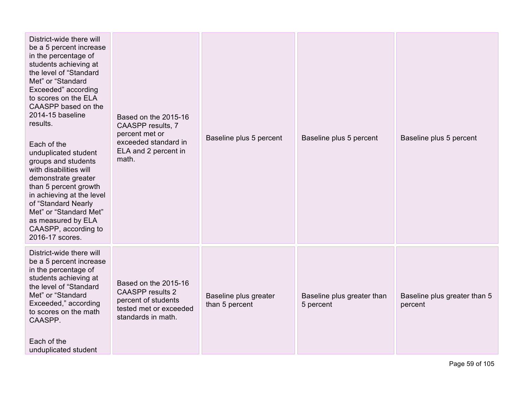| District-wide there will<br>be a 5 percent increase<br>in the percentage of<br>students achieving at<br>the level of "Standard<br>Met" or "Standard<br>Exceeded" according<br>to scores on the ELA<br>CAASPP based on the<br>2014-15 baseline<br>results.<br>Each of the<br>unduplicated student<br>groups and students<br>with disabilities will<br>demonstrate greater<br>than 5 percent growth<br>in achieving at the level<br>of "Standard Nearly<br>Met" or "Standard Met"<br>as measured by ELA<br>CAASPP, according to<br>2016-17 scores. | Based on the 2015-16<br>CAASPP results, 7<br>percent met or<br>exceeded standard in<br>ELA and 2 percent in<br>math.   | Baseline plus 5 percent                 | Baseline plus 5 percent                 | Baseline plus 5 percent                 |
|--------------------------------------------------------------------------------------------------------------------------------------------------------------------------------------------------------------------------------------------------------------------------------------------------------------------------------------------------------------------------------------------------------------------------------------------------------------------------------------------------------------------------------------------------|------------------------------------------------------------------------------------------------------------------------|-----------------------------------------|-----------------------------------------|-----------------------------------------|
| District-wide there will<br>be a 5 percent increase<br>in the percentage of<br>students achieving at<br>the level of "Standard<br>Met" or "Standard<br>Exceeded," according<br>to scores on the math<br>CAASPP.<br>Each of the<br>unduplicated student                                                                                                                                                                                                                                                                                           | Based on the 2015-16<br><b>CAASPP</b> results 2<br>percent of students<br>tested met or exceeded<br>standards in math. | Baseline plus greater<br>than 5 percent | Baseline plus greater than<br>5 percent | Baseline plus greater than 5<br>percent |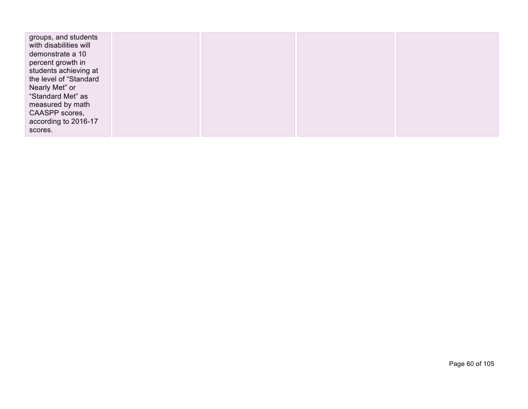| groups, and students<br>with disabilities will<br>demonstrate a 10<br>percent growth in<br>students achieving at<br>the level of "Standard<br>Nearly Met" or<br>"Standard Met" as<br>measured by math<br>CAASPP scores,<br>according to 2016-17 |  |  |
|-------------------------------------------------------------------------------------------------------------------------------------------------------------------------------------------------------------------------------------------------|--|--|
| scores.                                                                                                                                                                                                                                         |  |  |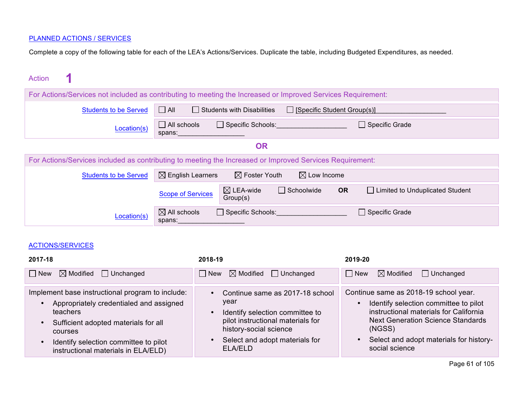#### PLANNED ACTIONS / SERVICES

Complete a copy of the following table for each of the LEA's Actions/Services. Duplicate the table, including Budgeted Expenditures, as needed.

| Action                       |                                                                                                                                     |
|------------------------------|-------------------------------------------------------------------------------------------------------------------------------------|
|                              | For Actions/Services not included as contributing to meeting the Increased or Improved Services Requirement:                        |
| <b>Students to be Served</b> | $\Box$ All<br>$\Box$ Students with Disabilities<br>$\Box$ [Specific Student Group(s)]                                               |
| Location(s)                  | $\Box$ All schools<br>$\Box$ Specific Schools:<br>$\Box$ Specific Grade<br>spans:                                                   |
|                              | <b>OR</b>                                                                                                                           |
|                              | For Actions/Services included as contributing to meeting the Increased or Improved Services Requirement:                            |
| <b>Students to be Served</b> | $\boxtimes$ English Learners<br>$\boxtimes$ Foster Youth<br>$\boxtimes$ Low Income                                                  |
|                              | $\boxtimes$ LEA-wide<br>$\Box$ Schoolwide<br><b>OR</b><br>□ Limited to Unduplicated Student<br><b>Scope of Services</b><br>Group(s) |
| Location(s)                  | $\boxtimes$ All schools<br>$\Box$ Specific Schools:<br>$\Box$ Specific Grade<br>spans:                                              |

#### ACTIONS/SERVICES

| 2017-18                                                                                                                                                                                                                                    | 2018-19                                                                                                                                                                                                                       | 2019-20                                                                                                                                                                                                                                     |
|--------------------------------------------------------------------------------------------------------------------------------------------------------------------------------------------------------------------------------------------|-------------------------------------------------------------------------------------------------------------------------------------------------------------------------------------------------------------------------------|---------------------------------------------------------------------------------------------------------------------------------------------------------------------------------------------------------------------------------------------|
| $\boxtimes$ Modified $\Box$ Unchanged<br>$\vert$ New                                                                                                                                                                                       | $\boxtimes$ Modified<br>$\Box$ Unchanged<br>  New                                                                                                                                                                             | $\boxtimes$ Modified<br>$\vert$ New<br>$\Box$ Unchanged                                                                                                                                                                                     |
| Implement base instructional program to include:<br>Appropriately credentialed and assigned<br>teachers<br>Sufficient adopted materials for all<br>courses<br>Identify selection committee to pilot<br>instructional materials in ELA/ELD) | Continue same as 2017-18 school<br>$\bullet$<br>year<br>Identify selection committee to<br>$\bullet$<br>pilot instructional materials for<br>history-social science<br>Select and adopt materials for<br>$\bullet$<br>ELA/ELD | Continue same as 2018-19 school year.<br>Identify selection committee to pilot<br>instructional materials for California<br><b>Next Generation Science Standards</b><br>(NGSS)<br>Select and adopt materials for history-<br>social science |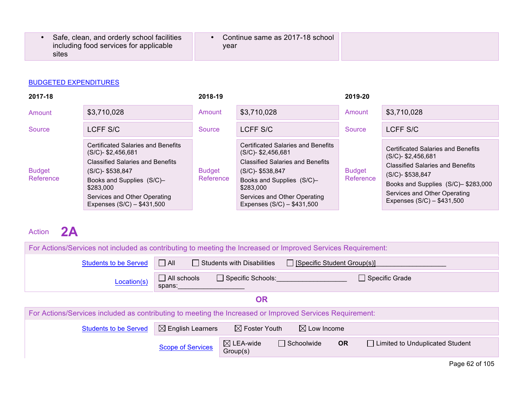| Safe, clean, and orderly school facilities | Continue same as 2017-18 school |
|--------------------------------------------|---------------------------------|
| including food services for applicable     | vear                            |
| sites                                      |                                 |

| 2017-18                    |                                                                                                                                                                                                                                           | 2018-19                    |                                                                                                                                                                                                                                          | 2019-20                    |                                                                                                                                                                                                                                       |
|----------------------------|-------------------------------------------------------------------------------------------------------------------------------------------------------------------------------------------------------------------------------------------|----------------------------|------------------------------------------------------------------------------------------------------------------------------------------------------------------------------------------------------------------------------------------|----------------------------|---------------------------------------------------------------------------------------------------------------------------------------------------------------------------------------------------------------------------------------|
| Amount                     | \$3,710,028                                                                                                                                                                                                                               | Amount                     | \$3,710,028                                                                                                                                                                                                                              | Amount                     | \$3,710,028                                                                                                                                                                                                                           |
| Source                     | LCFF S/C                                                                                                                                                                                                                                  | Source                     | LCFF S/C                                                                                                                                                                                                                                 | Source                     | LCFF S/C                                                                                                                                                                                                                              |
| <b>Budget</b><br>Reference | <b>Certificated Salaries and Benefits</b><br>$(S/C)$ - \$2,456,681<br><b>Classified Salaries and Benefits</b><br>(S/C)- \$538,847<br>Books and Supplies (S/C)-<br>\$283,000<br>Services and Other Operating<br>Expenses (S/C) - \$431,500 | <b>Budget</b><br>Reference | <b>Certificated Salaries and Benefits</b><br>$(S/C)$ - \$2,456,681<br><b>Classified Salaries and Benefits</b><br>(S/C)-\$538,847<br>Books and Supplies (S/C)-<br>\$283,000<br>Services and Other Operating<br>Expenses (S/C) - \$431,500 | <b>Budget</b><br>Reference | <b>Certificated Salaries and Benefits</b><br>$(S/C)$ - \$2,456,681<br><b>Classified Salaries and Benefits</b><br>(S/C)- \$538,847<br>Books and Supplies (S/C)-\$283,000<br>Services and Other Operating<br>Expenses (S/C) - \$431,500 |

## Action **2A**

| For Actions/Services not included as contributing to meeting the Increased or Improved Services Requirement:       |                                                                                   |                                   |                                    |                                   |  |  |  |
|--------------------------------------------------------------------------------------------------------------------|-----------------------------------------------------------------------------------|-----------------------------------|------------------------------------|-----------------------------------|--|--|--|
| <b>Students to be Served</b>                                                                                       | $\Box$ All                                                                        | $\Box$ Students with Disabilities | $\Box$ [Specific Student Group(s)] |                                   |  |  |  |
| Location(s)                                                                                                        | $\Box$ All schools<br>$\Box$ Specific Schools:<br>$\Box$ Specific Grade<br>spans: |                                   |                                    |                                   |  |  |  |
| <b>OR</b>                                                                                                          |                                                                                   |                                   |                                    |                                   |  |  |  |
| For Actions/Services included as contributing to meeting the Increased or Improved Services Requirement:           |                                                                                   |                                   |                                    |                                   |  |  |  |
| $\boxtimes$ English Learners<br>$\boxtimes$ Foster Youth<br>$\boxtimes$ Low Income<br><b>Students to be Served</b> |                                                                                   |                                   |                                    |                                   |  |  |  |
|                                                                                                                    | <b>Scope of Services</b>                                                          | $\boxtimes$ LEA-wide<br>Group(s)  | Schoolwide<br><b>OR</b>            | □ Limited to Unduplicated Student |  |  |  |

Page 62 of 105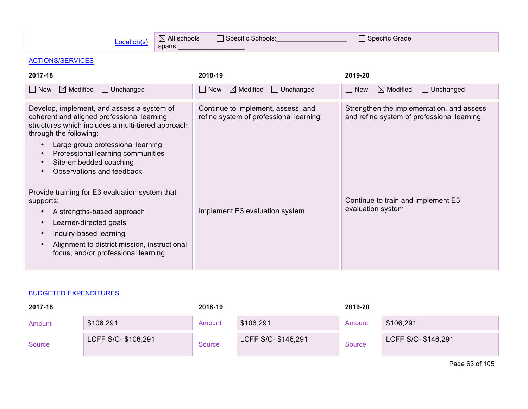| $\boxtimes$ All schools<br>Location(s)<br>spans:                                                                                                                                                                                                                                                         | Specific Grade                                                               |                                                                                         |  |
|----------------------------------------------------------------------------------------------------------------------------------------------------------------------------------------------------------------------------------------------------------------------------------------------------------|------------------------------------------------------------------------------|-----------------------------------------------------------------------------------------|--|
| <b>ACTIONS/SERVICES</b>                                                                                                                                                                                                                                                                                  |                                                                              |                                                                                         |  |
| 2017-18                                                                                                                                                                                                                                                                                                  | 2018-19                                                                      | 2019-20                                                                                 |  |
| $\boxtimes$ Modified<br>$\Box$ Unchanged<br>$\Box$ New                                                                                                                                                                                                                                                   | $\Box$ Unchanged<br>$\boxtimes$ Modified<br>$\Box$ New                       | $\Box$ New<br>$\Box$ Unchanged<br>$\boxtimes$ Modified                                  |  |
| Develop, implement, and assess a system of<br>coherent and aligned professional learning<br>structures which includes a multi-tiered approach<br>through the following:<br>Large group professional learning<br>Professional learning communities<br>Site-embedded coaching<br>Observations and feedback | Continue to implement, assess, and<br>refine system of professional learning | Strengthen the implementation, and assess<br>and refine system of professional learning |  |
| Provide training for E3 evaluation system that<br>supports:<br>A strengths-based approach<br>$\bullet$<br>Learner-directed goals<br>$\bullet$<br>Inquiry-based learning<br>Alignment to district mission, instructional<br>focus, and/or professional learning                                           | Implement E3 evaluation system                                               | Continue to train and implement E3<br>evaluation system                                 |  |

| 2017-18 |                     | 2018-19 |                     | 2019-20 |                     |
|---------|---------------------|---------|---------------------|---------|---------------------|
| Amount  | \$106,291           | Amount  | \$106,291           | Amount  | \$106,291           |
| Source  | LCFF S/C- \$106,291 | Source  | LCFF S/C- \$146,291 | Source  | LCFF S/C- \$146,291 |
|         |                     |         |                     |         | Page 63 of 105      |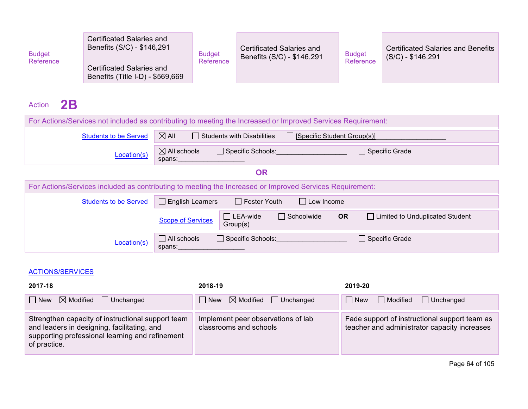| Benefits (Title I-D) - \$569,669 | <b>Budget</b><br>Reference | Certificated Salaries and<br>Benefits (S/C) - \$146,291<br>Certificated Salaries and | <b>Budget</b><br>Reference | <b>Certificated Salaries and</b><br>Benefits (S/C) - \$146,291 | <b>Budget</b><br>Reference | <b>Certificated Salaries and Benefits</b><br>$(S/C) - $146,291$ |
|----------------------------------|----------------------------|--------------------------------------------------------------------------------------|----------------------------|----------------------------------------------------------------|----------------------------|-----------------------------------------------------------------|
|----------------------------------|----------------------------|--------------------------------------------------------------------------------------|----------------------------|----------------------------------------------------------------|----------------------------|-----------------------------------------------------------------|

# Action **2B**

| For Actions/Services not included as contributing to meeting the Increased or Improved Services Requirement: |                                   |                                   |                                    |                       |                                   |  |
|--------------------------------------------------------------------------------------------------------------|-----------------------------------|-----------------------------------|------------------------------------|-----------------------|-----------------------------------|--|
| <b>Students to be Served</b>                                                                                 | $\boxtimes$ All                   | $\Box$ Students with Disabilities | $\Box$ [Specific Student Group(s)] |                       |                                   |  |
| Location(s)                                                                                                  | $\boxtimes$ All schools<br>spans: | $\Box$ Specific Schools:          |                                    | $\Box$ Specific Grade |                                   |  |
|                                                                                                              |                                   | <b>OR</b>                         |                                    |                       |                                   |  |
| For Actions/Services included as contributing to meeting the Increased or Improved Services Requirement:     |                                   |                                   |                                    |                       |                                   |  |
| <b>Students to be Served</b>                                                                                 | $\Box$ English Learners           | $\Box$ Foster Youth               | $\Box$ Low Income                  |                       |                                   |  |
|                                                                                                              | <b>Scope of Services</b>          | $\Box$ LEA-wide<br>Group(s)       | $\Box$ Schoolwide                  | <b>OR</b>             | □ Limited to Unduplicated Student |  |
| Location(s)                                                                                                  | $\Box$ All schools<br>spans:      | $\Box$ Specific Schools:          |                                    |                       | $\Box$ Specific Grade             |  |

### ACTIONS/SERVICES

| 2017-18                                                                                                                                                             | 2018-19                                                      | 2019-20                                                                                       |
|---------------------------------------------------------------------------------------------------------------------------------------------------------------------|--------------------------------------------------------------|-----------------------------------------------------------------------------------------------|
| $\Box$ New $\boxtimes$ Modified $\Box$ Unchanged                                                                                                                    | $\Box$ New $\boxtimes$ Modified $\Box$ Unchanged             | $\Box$ New $\Box$ Modified $\Box$ Unchanged                                                   |
| Strengthen capacity of instructional support team<br>and leaders in designing, facilitating, and<br>supporting professional learning and refinement<br>of practice. | Implement peer observations of lab<br>classrooms and schools | Fade support of instructional support team as<br>teacher and administrator capacity increases |

Page 64 of 105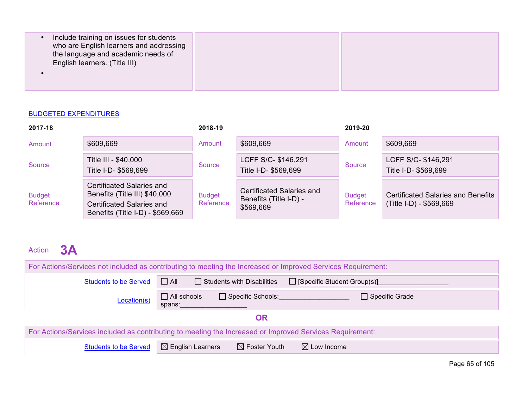| Include training on issues for students<br>who are English learners and addressing<br>the language and academic needs of<br>English learners. (Title III) |  |
|-----------------------------------------------------------------------------------------------------------------------------------------------------------|--|
|                                                                                                                                                           |  |

| 2017-18                    |                                                                                                                             | 2018-19                    |                                                                  | 2019-20                    |                                                                      |
|----------------------------|-----------------------------------------------------------------------------------------------------------------------------|----------------------------|------------------------------------------------------------------|----------------------------|----------------------------------------------------------------------|
| Amount                     | \$609,669                                                                                                                   | Amount                     | \$609,669                                                        | Amount                     | \$609,669                                                            |
| Source                     | Title III - \$40,000<br>Title I-D- \$569,699                                                                                | Source                     | LCFF S/C- \$146,291<br>Title I-D- \$569,699                      | Source                     | LCFF S/C- \$146,291<br>Title I-D- \$569,699                          |
| <b>Budget</b><br>Reference | Certificated Salaries and<br>Benefits (Title III) \$40,000<br>Certificated Salaries and<br>Benefits (Title I-D) - \$569,669 | <b>Budget</b><br>Reference | Certificated Salaries and<br>Benefits (Title I-D) -<br>\$569,669 | <b>Budget</b><br>Reference | <b>Certificated Salaries and Benefits</b><br>(Title I-D) - \$569,669 |

## Action **3A**

| For Actions/Services not included as contributing to meeting the Increased or Improved Services Requirement: |                                                                                       |  |  |  |  |  |  |  |
|--------------------------------------------------------------------------------------------------------------|---------------------------------------------------------------------------------------|--|--|--|--|--|--|--|
| <b>Students to be Served</b>                                                                                 | $\Box$ All<br>$\Box$ Students with Disabilities<br>$\Box$ [Specific Student Group(s)] |  |  |  |  |  |  |  |
| Location(s)                                                                                                  | $\Box$ All schools<br>Specific Schools:<br>Specific Grade<br>spans:                   |  |  |  |  |  |  |  |
|                                                                                                              | <b>OR</b>                                                                             |  |  |  |  |  |  |  |
| For Actions/Services included as contributing to meeting the Increased or Improved Services Requirement:     |                                                                                       |  |  |  |  |  |  |  |
| <b>Students to be Served</b>                                                                                 | $\boxtimes$ Foster Youth<br>$\boxtimes$ English Learners<br>$\boxtimes$ Low Income    |  |  |  |  |  |  |  |

Page 65 of 105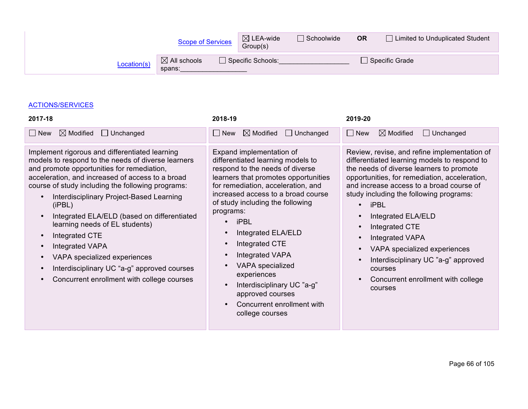|             | <b>Scope of Services</b>          | $\boxtimes$ LEA-wide<br>Group(s) | $\Box$ Schoolwide | <b>OR</b> | □ Limited to Unduplicated Student |
|-------------|-----------------------------------|----------------------------------|-------------------|-----------|-----------------------------------|
| Location(s) | $\boxtimes$ All schools<br>spans: | Specific Schools:                |                   |           | $\Box$ Specific Grade             |

#### ACTIONS/SERVICES

| 2017-18                                                                                                                                                                                                                                                                                                                                                                                                                                                                                                                                                              | 2018-19                                                                                                                                                                                                                                                                                                                                                                                                                                                                                      | 2019-20                                                                                                                                                                                                                                                                                                                                                                                                                                                                                                                        |
|----------------------------------------------------------------------------------------------------------------------------------------------------------------------------------------------------------------------------------------------------------------------------------------------------------------------------------------------------------------------------------------------------------------------------------------------------------------------------------------------------------------------------------------------------------------------|----------------------------------------------------------------------------------------------------------------------------------------------------------------------------------------------------------------------------------------------------------------------------------------------------------------------------------------------------------------------------------------------------------------------------------------------------------------------------------------------|--------------------------------------------------------------------------------------------------------------------------------------------------------------------------------------------------------------------------------------------------------------------------------------------------------------------------------------------------------------------------------------------------------------------------------------------------------------------------------------------------------------------------------|
| $\boxtimes$ Modified<br>$\Box$ Unchanged<br>$\Box$ New                                                                                                                                                                                                                                                                                                                                                                                                                                                                                                               | $\boxtimes$ Modified<br>$\Box$ Unchanged<br>$\Box$ New                                                                                                                                                                                                                                                                                                                                                                                                                                       | $\boxtimes$ Modified<br>$\Box$ New<br>$\Box$ Unchanged                                                                                                                                                                                                                                                                                                                                                                                                                                                                         |
| Implement rigorous and differentiated learning<br>models to respond to the needs of diverse learners<br>and promote opportunities for remediation,<br>acceleration, and increased of access to a broad<br>course of study including the following programs:<br>Interdisciplinary Project-Based Learning<br>(iPBL)<br>Integrated ELA/ELD (based on differentiated<br>learning needs of EL students)<br>Integrated CTE<br>Integrated VAPA<br>VAPA specialized experiences<br>Interdisciplinary UC "a-g" approved courses<br>Concurrent enrollment with college courses | Expand implementation of<br>differentiated learning models to<br>respond to the needs of diverse<br>learners that promotes opportunities<br>for remediation, acceleration, and<br>increased access to a broad course<br>of study including the following<br>programs:<br><b>iPBL</b><br>Integrated ELA/ELD<br>Integrated CTE<br>Integrated VAPA<br><b>VAPA</b> specialized<br>experiences<br>Interdisciplinary UC "a-g"<br>approved courses<br>Concurrent enrollment with<br>college courses | Review, revise, and refine implementation of<br>differentiated learning models to respond to<br>the needs of diverse learners to promote<br>opportunities, for remediation, acceleration,<br>and increase access to a broad course of<br>study including the following programs:<br><b>iPBL</b><br>$\bullet$<br>Integrated ELA/ELD<br>Integrated CTE<br><b>Integrated VAPA</b><br>VAPA specialized experiences<br>$\bullet$<br>Interdisciplinary UC "a-g" approved<br>courses<br>Concurrent enrollment with college<br>courses |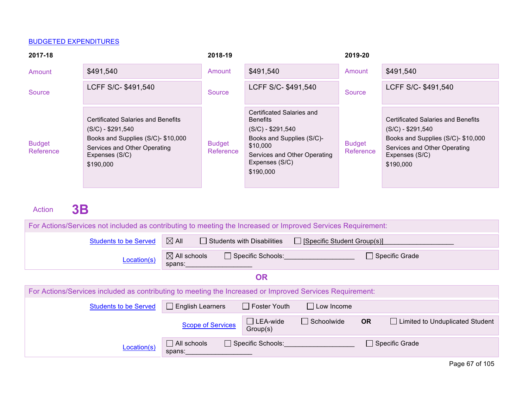| 2017-18                    |                                                                                                                                                                      | 2018-19                    |                                                                                                                                                                            | 2019-20                    |                                                                                                                                                                      |
|----------------------------|----------------------------------------------------------------------------------------------------------------------------------------------------------------------|----------------------------|----------------------------------------------------------------------------------------------------------------------------------------------------------------------------|----------------------------|----------------------------------------------------------------------------------------------------------------------------------------------------------------------|
| Amount                     | \$491,540                                                                                                                                                            | Amount                     | \$491,540                                                                                                                                                                  | Amount                     | \$491,540                                                                                                                                                            |
| Source                     | LCFF S/C- \$491,540                                                                                                                                                  | Source                     | LCFF S/C- \$491,540                                                                                                                                                        | Source                     | LCFF S/C- \$491,540                                                                                                                                                  |
| <b>Budget</b><br>Reference | <b>Certificated Salaries and Benefits</b><br>$(S/C) - $291,540$<br>Books and Supplies (S/C)- \$10,000<br>Services and Other Operating<br>Expenses (S/C)<br>\$190,000 | <b>Budget</b><br>Reference | Certificated Salaries and<br><b>Benefits</b><br>$(S/C) - $291,540$<br>Books and Supplies (S/C)-<br>\$10,000<br>Services and Other Operating<br>Expenses (S/C)<br>\$190,000 | <b>Budget</b><br>Reference | <b>Certificated Salaries and Benefits</b><br>$(S/C) - $291,540$<br>Books and Supplies (S/C)- \$10,000<br>Services and Other Operating<br>Expenses (S/C)<br>\$190,000 |

Action **3B** 

| For Actions/Services not included as contributing to meeting the Increased or Improved Services Requirement: |                                   |                                   |                                    |           |                                                                |  |
|--------------------------------------------------------------------------------------------------------------|-----------------------------------|-----------------------------------|------------------------------------|-----------|----------------------------------------------------------------|--|
| <b>Students to be Served</b>                                                                                 | $\boxtimes$ All                   | $\Box$ Students with Disabilities | $\Box$ [Specific Student Group(s)] |           |                                                                |  |
| Location(s)                                                                                                  | $\boxtimes$ All schools<br>spans: | $\Box$ Specific Schools:          |                                    |           | Specific Grade                                                 |  |
|                                                                                                              | <b>OR</b>                         |                                   |                                    |           |                                                                |  |
| For Actions/Services included as contributing to meeting the Increased or Improved Services Requirement:     |                                   |                                   |                                    |           |                                                                |  |
| <b>Students to be Served</b>                                                                                 | $\Box$ English Learners           | $\Box$ Foster Youth               | $\Box$ Low Income                  |           |                                                                |  |
|                                                                                                              | <b>Scope of Services</b>          | $\Box$ LEA-wide<br>Group(s)       | $\Box$ Schoolwide                  | <b>OR</b> | Limited to Unduplicated Student                                |  |
| Location(s)                                                                                                  | $\Box$ All schools<br>spans:      | $\Box$ Specific Schools:          |                                    |           | □ Specific Grade                                               |  |
|                                                                                                              |                                   |                                   |                                    |           | $D_{\alpha\alpha\alpha}$ $C7$ $\alpha$ $\beta$ $\beta$ $\beta$ |  |

Page 67 of 105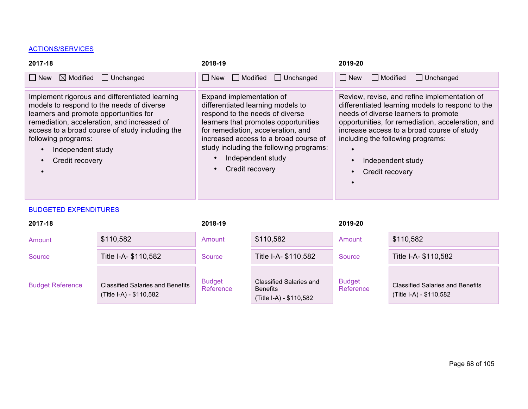#### ACTIONS/SERVICES

| 2017-18                                                                                                                                                                                                                                                                                                | 2018-19                                                                                                                                                                                                                                                                                                    | 2019-20                                                                                                                                                                                                                                                                                                                  |
|--------------------------------------------------------------------------------------------------------------------------------------------------------------------------------------------------------------------------------------------------------------------------------------------------------|------------------------------------------------------------------------------------------------------------------------------------------------------------------------------------------------------------------------------------------------------------------------------------------------------------|--------------------------------------------------------------------------------------------------------------------------------------------------------------------------------------------------------------------------------------------------------------------------------------------------------------------------|
| $\boxtimes$ Modified<br>$\Box$ Unchanged<br>∣ I New                                                                                                                                                                                                                                                    | $\Box$ New<br>$\Box$ Modified<br>$\Box$ Unchanged                                                                                                                                                                                                                                                          | Modified<br>$\Box$ Unchanged<br>  New                                                                                                                                                                                                                                                                                    |
| Implement rigorous and differentiated learning<br>models to respond to the needs of diverse<br>learners and promote opportunities for<br>remediation, acceleration, and increased of<br>access to a broad course of study including the<br>following programs:<br>Independent study<br>Credit recovery | Expand implementation of<br>differentiated learning models to<br>respond to the needs of diverse<br>learners that promotes opportunities<br>for remediation, acceleration, and<br>increased access to a broad course of<br>study including the following programs:<br>Independent study<br>Credit recovery | Review, revise, and refine implementation of<br>differentiated learning models to respond to the<br>needs of diverse learners to promote<br>opportunities, for remediation, acceleration, and<br>increase access to a broad course of study<br>including the following programs:<br>Independent study<br>Credit recovery |

#### **BUDGETED EXPENDITURES**

| 2017-18                 |                                                                    | 2018-19                    |                                                                              | 2019-20                    |                                                                    |
|-------------------------|--------------------------------------------------------------------|----------------------------|------------------------------------------------------------------------------|----------------------------|--------------------------------------------------------------------|
| Amount                  | \$110,582                                                          | Amount                     | \$110,582                                                                    | Amount                     | \$110,582                                                          |
| Source                  | Title I-A- \$110,582                                               | Source                     | Title I-A- \$110,582                                                         | Source                     | Title I-A- \$110,582                                               |
| <b>Budget Reference</b> | <b>Classified Salaries and Benefits</b><br>(Title I-A) - \$110,582 | <b>Budget</b><br>Reference | <b>Classified Salaries and</b><br><b>Benefits</b><br>(Title I-A) - \$110,582 | <b>Budget</b><br>Reference | <b>Classified Salaries and Benefits</b><br>(Title I-A) - \$110,582 |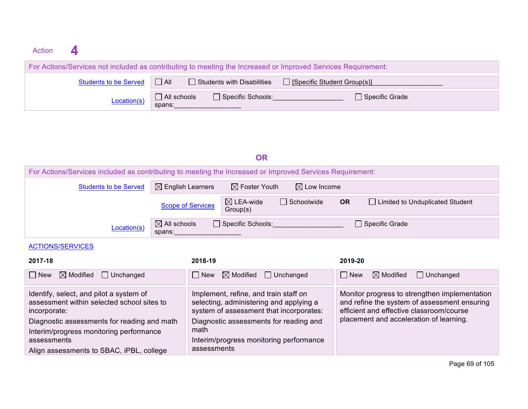| Action |                              |                                                                                                              |  |
|--------|------------------------------|--------------------------------------------------------------------------------------------------------------|--|
|        |                              | For Actions/Services not included as contributing to meeting the Increased or Improved Services Requirement: |  |
|        | <b>Students to be Served</b> | $\Box$ Students with Disabilities<br>$\Box$ All<br>$\Box$ [Specific Student Group(s)]                        |  |
|        | Location(s)                  | $\Box$ All schools<br>$\Box$ Specific Schools:<br>Specific Grade<br>spans:                                   |  |

### **OR**

| For Actions/Services included as contributing to meeting the Increased or Improved Services Requirement: |                                                                                   |                                                                                                                             |                        |            |                                                                                                                                           |  |  |
|----------------------------------------------------------------------------------------------------------|-----------------------------------------------------------------------------------|-----------------------------------------------------------------------------------------------------------------------------|------------------------|------------|-------------------------------------------------------------------------------------------------------------------------------------------|--|--|
| <b>Students to be Served</b>                                                                             | $\boxtimes$ English Learners                                                      | $\boxtimes$ Foster Youth                                                                                                    | $\boxtimes$ Low Income |            |                                                                                                                                           |  |  |
|                                                                                                          | <b>Scope of Services</b>                                                          | $\boxtimes$ LEA-wide<br>Group(s)                                                                                            | □ Schoolwide           | <b>OR</b>  | □ Limited to Unduplicated Student                                                                                                         |  |  |
| Location(s)                                                                                              | $\boxtimes$ All schools<br>spans:                                                 | $\Box$ Specific Schools:                                                                                                    |                        |            | □ Specific Grade                                                                                                                          |  |  |
| <b>ACTIONS/SERVICES</b>                                                                                  |                                                                                   |                                                                                                                             |                        |            |                                                                                                                                           |  |  |
| 2017-18                                                                                                  | 2018-19                                                                           |                                                                                                                             |                        | 2019-20    |                                                                                                                                           |  |  |
| $\boxtimes$ Modified<br>$\Box$ Unchanged<br>$\Box$ New                                                   | $\Box$ New                                                                        | $\boxtimes$ Modified                                                                                                        | $\Box$ Unchanged       | $\Box$ New | $\boxtimes$ Modified<br>$\Box$ Unchanged                                                                                                  |  |  |
| Identify, select, and pilot a system of<br>assessment within selected school sites to<br>incorporate:    |                                                                                   | Implement, refine, and train staff on<br>selecting, administering and applying a<br>system of assessment that incorporates: |                        |            | Monitor progress to strengthen implementation<br>and refine the system of assessment ensuring<br>efficient and effective classroom/course |  |  |
| Diagnostic assessments for reading and math                                                              | placement and acceleration of learning.<br>Diagnostic assessments for reading and |                                                                                                                             |                        |            |                                                                                                                                           |  |  |
| Interim/progress monitoring performance<br>assessments                                                   | math                                                                              | Interim/progress monitoring performance                                                                                     |                        |            |                                                                                                                                           |  |  |
| Align assessments to SBAC, iPBL, college                                                                 | assessments                                                                       |                                                                                                                             |                        |            |                                                                                                                                           |  |  |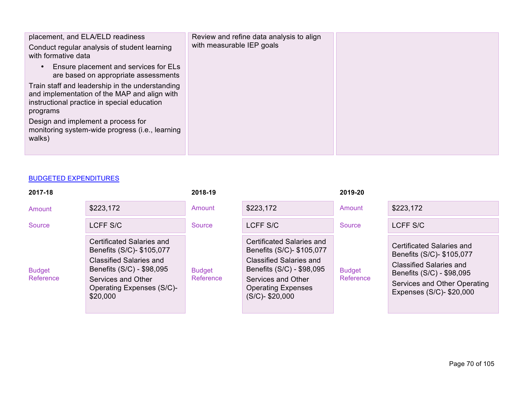| placement, and ELA/ELD readiness<br>Conduct regular analysis of student learning<br>with formative data                                                                                                                                                       | Review and refine data analysis to align<br>with measurable IEP goals |  |
|---------------------------------------------------------------------------------------------------------------------------------------------------------------------------------------------------------------------------------------------------------------|-----------------------------------------------------------------------|--|
| Ensure placement and services for ELs<br>$\bullet$<br>are based on appropriate assessments                                                                                                                                                                    |                                                                       |  |
| Train staff and leadership in the understanding<br>and implementation of the MAP and align with<br>instructional practice in special education<br>programs<br>Design and implement a process for<br>monitoring system-wide progress (i.e., learning<br>walks) |                                                                       |  |

| 2017-18                    |                                                                                                                                                                                      | 2018-19                    |                                                                                                                                                                                            | 2019-20                    |                                                                                                                                                                                   |
|----------------------------|--------------------------------------------------------------------------------------------------------------------------------------------------------------------------------------|----------------------------|--------------------------------------------------------------------------------------------------------------------------------------------------------------------------------------------|----------------------------|-----------------------------------------------------------------------------------------------------------------------------------------------------------------------------------|
| Amount                     | \$223,172                                                                                                                                                                            | Amount                     | \$223,172                                                                                                                                                                                  | Amount                     | \$223,172                                                                                                                                                                         |
| Source                     | LCFF S/C                                                                                                                                                                             | Source                     | LCFF S/C                                                                                                                                                                                   | Source                     | LCFF S/C                                                                                                                                                                          |
| <b>Budget</b><br>Reference | Certificated Salaries and<br>Benefits (S/C)- \$105,077<br><b>Classified Salaries and</b><br>Benefits (S/C) - \$98,095<br>Services and Other<br>Operating Expenses (S/C)-<br>\$20,000 | <b>Budget</b><br>Reference | Certificated Salaries and<br>Benefits (S/C)- \$105,077<br><b>Classified Salaries and</b><br>Benefits (S/C) - \$98,095<br>Services and Other<br><b>Operating Expenses</b><br>(S/C)-\$20,000 | <b>Budget</b><br>Reference | Certificated Salaries and<br>Benefits (S/C)- \$105,077<br><b>Classified Salaries and</b><br>Benefits (S/C) - \$98,095<br>Services and Other Operating<br>Expenses (S/C)- \$20,000 |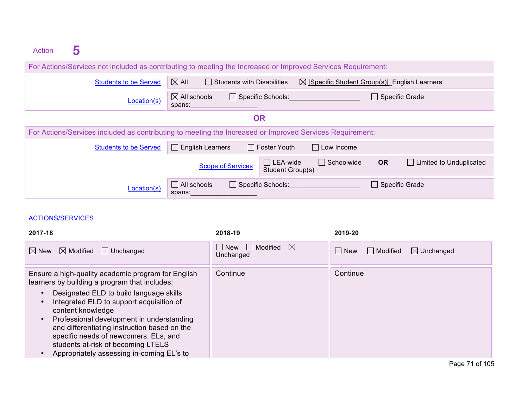| Action |                                                                                                          |                              |                                   |                            |                                                                                                              |  |  |  |
|--------|----------------------------------------------------------------------------------------------------------|------------------------------|-----------------------------------|----------------------------|--------------------------------------------------------------------------------------------------------------|--|--|--|
|        |                                                                                                          |                              |                                   |                            | For Actions/Services not included as contributing to meeting the Increased or Improved Services Requirement: |  |  |  |
|        |                                                                                                          | <b>Students to be Served</b> | $\boxtimes$ All                   | Students with Disabilities | $\boxtimes$ [Specific Student Group(s)] English Learners                                                     |  |  |  |
|        |                                                                                                          | Location(s)                  | $\boxtimes$ All schools<br>spans: | $\Box$ Specific Schools:   | Specific Grade                                                                                               |  |  |  |
|        |                                                                                                          |                              |                                   | OR                         |                                                                                                              |  |  |  |
|        | For Actions/Services included as contributing to meeting the Increased or Improved Services Requirement: |                              |                                   |                            |                                                                                                              |  |  |  |
|        |                                                                                                          |                              |                                   |                            |                                                                                                              |  |  |  |

| <b>Students to be Served</b> | $\Box$ English Learners      |                     | $\Box$ Foster Youth                 | $\Box$ Low Income |                  |                                |
|------------------------------|------------------------------|---------------------|-------------------------------------|-------------------|------------------|--------------------------------|
|                              | <b>Scope of Services</b>     |                     | $\Box$ LEA-wide<br>Student Group(s) | $\Box$ Schoolwide | <b>OR</b>        | $\Box$ Limited to Unduplicated |
| Location(s)                  | $\Box$ All schools<br>spans: | □ Specific Schools: |                                     |                   | □ Specific Grade |                                |

#### ACTIONS/SERVICES

| 2017-18                                                                                                                                                                                                                                                                                                                                                                                                                                                                         | 2018-19                                       | 2019-20                                         |
|---------------------------------------------------------------------------------------------------------------------------------------------------------------------------------------------------------------------------------------------------------------------------------------------------------------------------------------------------------------------------------------------------------------------------------------------------------------------------------|-----------------------------------------------|-------------------------------------------------|
| $\boxtimes$ Modified $\Box$ Unchanged<br>$\boxtimes$ New                                                                                                                                                                                                                                                                                                                                                                                                                        | $\bowtie$<br>  New<br>  Modified<br>Unchanged | $\Box$ New<br>$\boxtimes$ Unchanged<br>Modified |
| Ensure a high-quality academic program for English<br>learners by building a program that includes:<br>Designated ELD to build language skills<br>$\bullet$<br>Integrated ELD to support acquisition of<br>$\bullet$<br>content knowledge<br>Professional development in understanding<br>$\bullet$<br>and differentiating instruction based on the<br>specific needs of newcomers. ELs, and<br>students at-risk of becoming LTELS<br>Appropriately assessing in-coming EL's to | Continue                                      | Continue                                        |

Page 71 of 105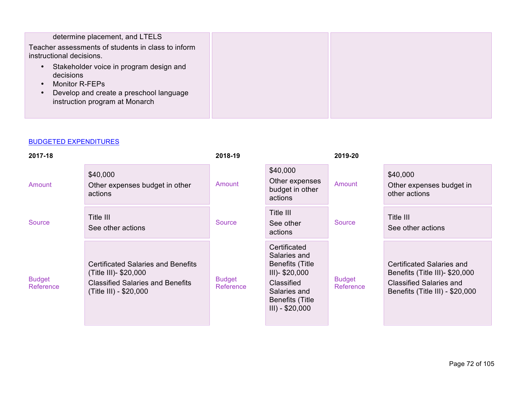| determine placement, and LTELS<br>Teacher assessments of students in class to inform<br>instructional decisions.                                                                                  |  |
|---------------------------------------------------------------------------------------------------------------------------------------------------------------------------------------------------|--|
| Stakeholder voice in program design and<br>$\bullet$<br>decisions<br><b>Monitor R-FEPs</b><br>$\bullet$<br>Develop and create a preschool language<br>$\bullet$<br>instruction program at Monarch |  |

| 2017-18                    |                                                                                                                                         | 2018-19                    |                                                                                                                                                           | 2019-20                    |                                                                                                                                  |
|----------------------------|-----------------------------------------------------------------------------------------------------------------------------------------|----------------------------|-----------------------------------------------------------------------------------------------------------------------------------------------------------|----------------------------|----------------------------------------------------------------------------------------------------------------------------------|
| Amount                     | \$40,000<br>Other expenses budget in other<br>actions                                                                                   | Amount                     | \$40,000<br>Other expenses<br>budget in other<br>actions                                                                                                  | Amount                     | \$40,000<br>Other expenses budget in<br>other actions                                                                            |
| Source                     | Title III<br>See other actions                                                                                                          | Source                     | Title III<br>See other<br>actions                                                                                                                         | Source                     | Title III<br>See other actions                                                                                                   |
| <b>Budget</b><br>Reference | <b>Certificated Salaries and Benefits</b><br>(Title III)- \$20,000<br><b>Classified Salaries and Benefits</b><br>(Title III) - \$20,000 | <b>Budget</b><br>Reference | Certificated<br>Salaries and<br><b>Benefits (Title</b><br>$III$ )- \$20,000<br>Classified<br>Salaries and<br><b>Benefits (Title</b><br>$III$ ) - \$20,000 | <b>Budget</b><br>Reference | Certificated Salaries and<br>Benefits (Title III)- \$20,000<br><b>Classified Salaries and</b><br>Benefits (Title III) - \$20,000 |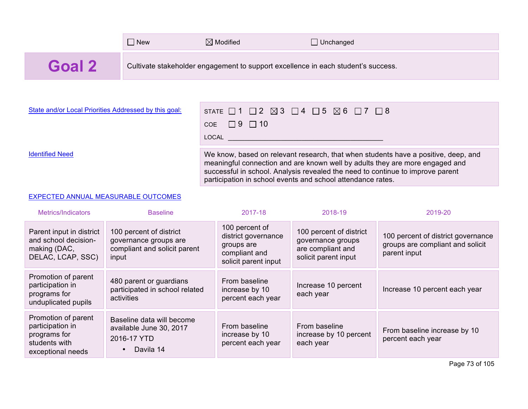|        | $\Box$ New | $\boxtimes$ Modified                                                              | JUnchanged |
|--------|------------|-----------------------------------------------------------------------------------|------------|
| Goal 2 |            | Cultivate stakeholder engagement to support excellence in each student's success. |            |

| State and/or Local Priorities Addressed by this goal: | STATE $\Box$ 1 $\Box$ 2 $\boxtimes$ 3 $\Box$ 4 $\Box$ 5 $\boxtimes$ 6 $\Box$ 7 $\Box$ 8<br>COE $\Box$ 9 $\Box$ 10<br>LOCAL <b>Algebra</b>                                                                                                                                                                           |
|-------------------------------------------------------|---------------------------------------------------------------------------------------------------------------------------------------------------------------------------------------------------------------------------------------------------------------------------------------------------------------------|
| <b>Identified Need</b>                                | We know, based on relevant research, that when students have a positive, deep, and<br>meaningful connection and are known well by adults they are more engaged and<br>successful in school. Analysis revealed the need to continue to improve parent<br>participation in school events and school attendance rates. |

### EXPECTED ANNUAL MEASURABLE OUTCOMES

| Metrics/Indicators                                                                            | <b>Baseline</b>                                                                               | 2017-18                                                                                      | 2018-19                                                                                   | 2019-20                                                                                |
|-----------------------------------------------------------------------------------------------|-----------------------------------------------------------------------------------------------|----------------------------------------------------------------------------------------------|-------------------------------------------------------------------------------------------|----------------------------------------------------------------------------------------|
| Parent input in district<br>and school decision-<br>making (DAC,<br>DELAC, LCAP, SSC)         | 100 percent of district<br>governance groups are<br>compliant and solicit parent<br>input     | 100 percent of<br>district governance<br>groups are<br>compliant and<br>solicit parent input | 100 percent of district<br>governance groups<br>are compliant and<br>solicit parent input | 100 percent of district governance<br>groups are compliant and solicit<br>parent input |
| Promotion of parent<br>participation in<br>programs for<br>unduplicated pupils                | 480 parent or guardians<br>participated in school related<br>activities                       | From baseline<br>increase by 10<br>percent each year                                         | Increase 10 percent<br>each year                                                          | Increase 10 percent each year                                                          |
| Promotion of parent<br>participation in<br>programs for<br>students with<br>exceptional needs | Baseline data will become<br>available June 30, 2017<br>2016-17 YTD<br>Davila 14<br>$\bullet$ | From baseline<br>increase by 10<br>percent each year                                         | From baseline<br>increase by 10 percent<br>each year                                      | From baseline increase by 10<br>percent each year                                      |

Page 73 of 105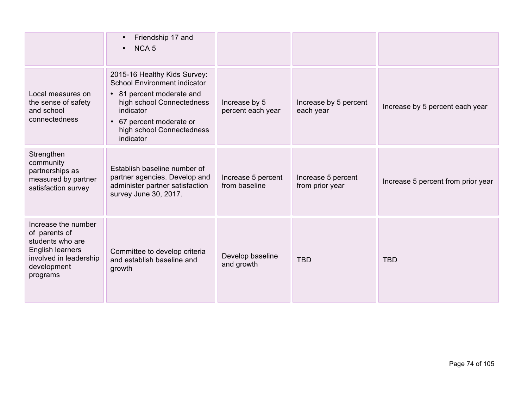|                                                                                                                                   | Friendship 17 and<br>NCA <sub>5</sub><br>$\bullet$                                                                                                                                                             |                                     |                                       |                                    |
|-----------------------------------------------------------------------------------------------------------------------------------|----------------------------------------------------------------------------------------------------------------------------------------------------------------------------------------------------------------|-------------------------------------|---------------------------------------|------------------------------------|
| Local measures on<br>the sense of safety<br>and school<br>connectedness                                                           | 2015-16 Healthy Kids Survey:<br><b>School Environment indicator</b><br>• 81 percent moderate and<br>high school Connectedness<br>indicator<br>67 percent moderate or<br>high school Connectedness<br>indicator | Increase by 5<br>percent each year  | Increase by 5 percent<br>each year    | Increase by 5 percent each year    |
| Strengthen<br>community<br>partnerships as<br>measured by partner<br>satisfaction survey                                          | Establish baseline number of<br>partner agencies. Develop and<br>administer partner satisfaction<br>survey June 30, 2017.                                                                                      | Increase 5 percent<br>from baseline | Increase 5 percent<br>from prior year | Increase 5 percent from prior year |
| Increase the number<br>of parents of<br>students who are<br>English learners<br>involved in leadership<br>development<br>programs | Committee to develop criteria<br>and establish baseline and<br>growth                                                                                                                                          | Develop baseline<br>and growth      | <b>TBD</b>                            | <b>TBD</b>                         |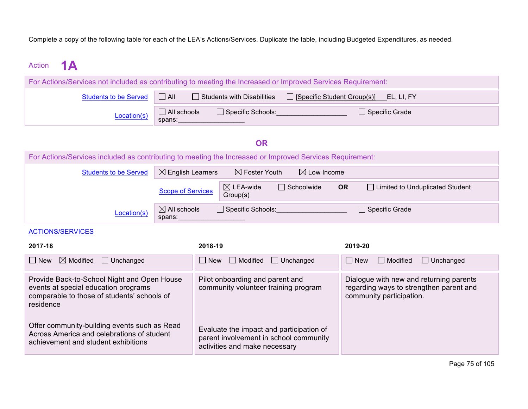Complete a copy of the following table for each of the LEA's Actions/Services. Duplicate the table, including Budgeted Expenditures, as needed.

# Action **1A**

| For Actions/Services not included as contributing to meeting the Increased or Improved Services Requirement: |                       |                                   |                                             |  |  |  |
|--------------------------------------------------------------------------------------------------------------|-----------------------|-----------------------------------|---------------------------------------------|--|--|--|
| <b>Students to be Served</b>                                                                                 | $\Box$ All            | $\Box$ Students with Disabilities | □ [Specific Student Group(s)]<br>EL, LI, FY |  |  |  |
| Location(s)                                                                                                  | All schools<br>spans: | □ Specific Schools:               | □ Specific Grade                            |  |  |  |

## **OR**

| For Actions/Services included as contributing to meeting the Increased or Improved Services Requirement: |                                                               |                                  |                        |                |                                   |  |
|----------------------------------------------------------------------------------------------------------|---------------------------------------------------------------|----------------------------------|------------------------|----------------|-----------------------------------|--|
| <b>Students to be Served</b>                                                                             | $\boxtimes$ English Learners                                  | $\boxtimes$ Foster Youth         | $\boxtimes$ Low Income |                |                                   |  |
|                                                                                                          | <b>Scope of Services</b>                                      | $\boxtimes$ LEA-wide<br>Group(s) | $\Box$ Schoolwide      | <b>OR</b>      | □ Limited to Unduplicated Student |  |
| Location(s)                                                                                              | $\boxtimes$ All schools<br>$\Box$ Specific Schools:<br>spans: |                                  |                        | Specific Grade |                                   |  |
| <b>ACTIONS/SERVICES</b>                                                                                  |                                                               |                                  |                        |                |                                   |  |

| 2017-18                                                                                                                                         | 2018-19                                                                                                             | 2019-20                                                                                                        |
|-------------------------------------------------------------------------------------------------------------------------------------------------|---------------------------------------------------------------------------------------------------------------------|----------------------------------------------------------------------------------------------------------------|
| $\Box$ New<br>$\boxtimes$ Modified<br>$\Box$ Unchanged                                                                                          | $\Box$ New<br>Modified<br>$\Box$ Unchanged                                                                          | $\Box$ New<br>$\Box$ Modified<br>$\Box$ Unchanged                                                              |
| Provide Back-to-School Night and Open House<br>events at special education programs<br>comparable to those of students' schools of<br>residence | Pilot onboarding and parent and<br>community volunteer training program                                             | Dialogue with new and returning parents<br>regarding ways to strengthen parent and<br>community participation. |
| Offer community-building events such as Read<br>Across America and celebrations of student<br>achievement and student exhibitions               | Evaluate the impact and participation of<br>parent involvement in school community<br>activities and make necessary |                                                                                                                |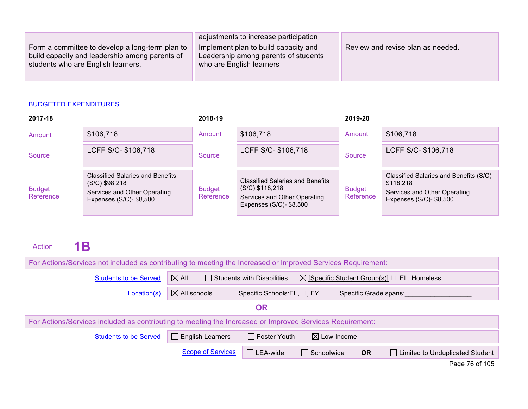|                                                                                                                                         | adjustments to increase participation                                                                    |                                   |
|-----------------------------------------------------------------------------------------------------------------------------------------|----------------------------------------------------------------------------------------------------------|-----------------------------------|
| Form a committee to develop a long-term plan to<br>build capacity and leadership among parents of<br>students who are English learners. | Implement plan to build capacity and<br>Leadership among parents of students<br>who are English learners | Review and revise plan as needed. |

| 2017-18                    |                                                                                                                        | 2018-19                    |                                                                                                                         | 2019-20                    |                                                                                                                |
|----------------------------|------------------------------------------------------------------------------------------------------------------------|----------------------------|-------------------------------------------------------------------------------------------------------------------------|----------------------------|----------------------------------------------------------------------------------------------------------------|
| Amount                     | \$106,718                                                                                                              | Amount                     | \$106,718                                                                                                               | Amount                     | \$106,718                                                                                                      |
| Source                     | LCFF S/C- \$106,718                                                                                                    | Source                     | LCFF S/C- \$106,718                                                                                                     | Source                     | LCFF S/C- \$106,718                                                                                            |
| <b>Budget</b><br>Reference | <b>Classified Salaries and Benefits</b><br>$(S/C)$ \$98,218<br>Services and Other Operating<br>Expenses (S/C)- \$8,500 | <b>Budget</b><br>Reference | <b>Classified Salaries and Benefits</b><br>$(S/C)$ \$118,218<br>Services and Other Operating<br>Expenses (S/C)- \$8,500 | <b>Budget</b><br>Reference | Classified Salaries and Benefits (S/C)<br>\$118,218<br>Services and Other Operating<br>Expenses (S/C)- \$8,500 |

# Action **1B**

| For Actions/Services not included as contributing to meeting the Increased or Improved Services Requirement: |                                                                                                                  |  |  |
|--------------------------------------------------------------------------------------------------------------|------------------------------------------------------------------------------------------------------------------|--|--|
| <b>Students to be Served</b>                                                                                 | $\boxtimes$ All<br>Students with Disabilities<br>$\boxtimes$ [Specific Student Group(s)] LI, EL, Homeless        |  |  |
| Location(s)                                                                                                  | $\boxtimes$ All schools<br>Specific Schools: EL, LI, FY<br>$\Box$ Specific Grade spans:                          |  |  |
|                                                                                                              | <b>OR</b>                                                                                                        |  |  |
|                                                                                                              | For Actions/Services included as contributing to meeting the Increased or Improved Services Requirement:         |  |  |
| <b>Students to be Served</b>                                                                                 | $\Box$ English Learners<br>$\boxtimes$ Low Income<br>$\Box$ Foster Youth                                         |  |  |
|                                                                                                              | <b>Scope of Services</b><br>$\Box$ LEA-wide<br>$\Box$ Schoolwide<br><b>OR</b><br>Limited to Unduplicated Student |  |  |

Page 76 of 105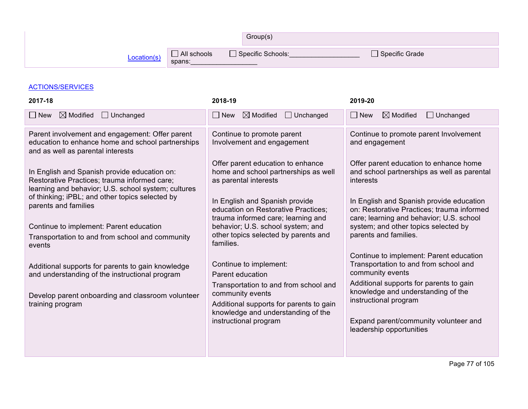|             |                       | Group(s)            |                |
|-------------|-----------------------|---------------------|----------------|
| Location(s) | All schools<br>spans: | □ Specific Schools: | Specific Grade |

## ACTIONS/SERVICES

| 2017-18                                                                                                                                                                                | 2018-19                                                                                                                                                                                                                        | 2019-20                                                                                                                                                                                                                                                                             |
|----------------------------------------------------------------------------------------------------------------------------------------------------------------------------------------|--------------------------------------------------------------------------------------------------------------------------------------------------------------------------------------------------------------------------------|-------------------------------------------------------------------------------------------------------------------------------------------------------------------------------------------------------------------------------------------------------------------------------------|
| $\boxtimes$ Modified<br>$\Box$ Unchanged<br>$\Box$ New                                                                                                                                 | $\boxtimes$ Modified<br>$\Box$ Unchanged<br>$\Box$ New                                                                                                                                                                         | $\Box$ New<br>$\boxtimes$ Modified<br>$\Box$ Unchanged                                                                                                                                                                                                                              |
| Parent involvement and engagement: Offer parent<br>education to enhance home and school partnerships<br>and as well as parental interests                                              | Continue to promote parent<br>Involvement and engagement                                                                                                                                                                       | Continue to promote parent Involvement<br>and engagement                                                                                                                                                                                                                            |
| In English and Spanish provide education on:<br>Restorative Practices; trauma informed care;<br>learning and behavior; U.S. school system; cultures                                    | Offer parent education to enhance<br>home and school partnerships as well<br>as parental interests                                                                                                                             | Offer parent education to enhance home<br>and school partnerships as well as parental<br>interests                                                                                                                                                                                  |
| of thinking; iPBL; and other topics selected by<br>parents and families<br>Continue to implement: Parent education<br>Transportation to and from school and community                  | In English and Spanish provide<br>education on Restorative Practices;<br>trauma informed care; learning and<br>behavior; U.S. school system; and<br>other topics selected by parents and                                       | In English and Spanish provide education<br>on: Restorative Practices; trauma informed<br>care; learning and behavior; U.S. school<br>system; and other topics selected by<br>parents and families.                                                                                 |
| events<br>Additional supports for parents to gain knowledge<br>and understanding of the instructional program<br>Develop parent onboarding and classroom volunteer<br>training program | families.<br>Continue to implement:<br>Parent education<br>Transportation to and from school and<br>community events<br>Additional supports for parents to gain<br>knowledge and understanding of the<br>instructional program | Continue to implement: Parent education<br>Transportation to and from school and<br>community events<br>Additional supports for parents to gain<br>knowledge and understanding of the<br>instructional program<br>Expand parent/community volunteer and<br>leadership opportunities |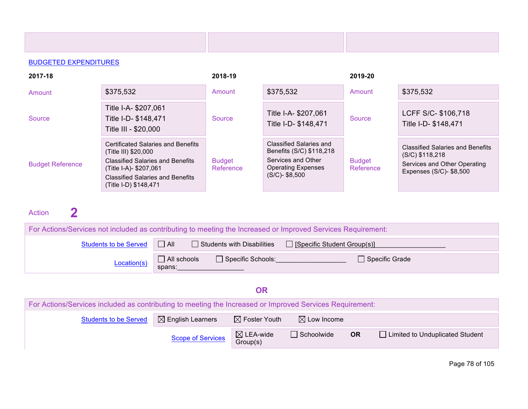| 2017-18                 |                                                                                                                                                                                                            | 2018-19                    |                                                                                                                             | 2019-20                    |                                                                                                                         |
|-------------------------|------------------------------------------------------------------------------------------------------------------------------------------------------------------------------------------------------------|----------------------------|-----------------------------------------------------------------------------------------------------------------------------|----------------------------|-------------------------------------------------------------------------------------------------------------------------|
| Amount                  | \$375,532                                                                                                                                                                                                  | Amount                     | \$375,532                                                                                                                   | Amount                     | \$375,532                                                                                                               |
| Source                  | Title I-A- \$207,061<br>Title I-D- \$148,471<br>Title III - \$20,000                                                                                                                                       | Source                     | Title I-A- \$207,061<br>Title I-D- \$148,471                                                                                | Source                     | LCFF S/C- \$106,718<br>Title I-D- \$148,471                                                                             |
| <b>Budget Reference</b> | <b>Certificated Salaries and Benefits</b><br>(Title III) \$20,000<br><b>Classified Salaries and Benefits</b><br>(Title I-A)- \$207,061<br><b>Classified Salaries and Benefits</b><br>(Title I-D) \$148,471 | <b>Budget</b><br>Reference | Classified Salaries and<br>Benefits (S/C) \$118,218<br>Services and Other<br><b>Operating Expenses</b><br>$(S/C)$ - \$8,500 | <b>Budget</b><br>Reference | <b>Classified Salaries and Benefits</b><br>$(S/C)$ \$118,218<br>Services and Other Operating<br>Expenses (S/C)- \$8,500 |

# Action **2 Empty Cell Empty** Cell

| For Actions/Services not included as contributing to meeting the Increased or Improved Services Requirement: |                              |                                   |                                    |  |
|--------------------------------------------------------------------------------------------------------------|------------------------------|-----------------------------------|------------------------------------|--|
| <b>Students to be Served</b>                                                                                 | $\Box$ All                   | $\Box$ Students with Disabilities | $\Box$ [Specific Student Group(s)] |  |
| Location(s)                                                                                                  | $\Box$ All schools<br>spans: | Specific Schools:                 | $\Box$ Specific Grade              |  |

## **OR**

| For Actions/Services included as contributing to meeting the Increased or Improved Services Requirement: |                              |                                  |                        |           |                                   |
|----------------------------------------------------------------------------------------------------------|------------------------------|----------------------------------|------------------------|-----------|-----------------------------------|
| <b>Students to be Served</b>                                                                             | $\boxtimes$ English Learners | $\boxtimes$ Foster Youth         | $\boxtimes$ Low Income |           |                                   |
|                                                                                                          | <b>Scope of Services</b>     | $\boxtimes$ LEA-wide<br>Group(s) | $\Box$ Schoolwide      | <b>OR</b> | □ Limited to Unduplicated Student |

Page 78 of 105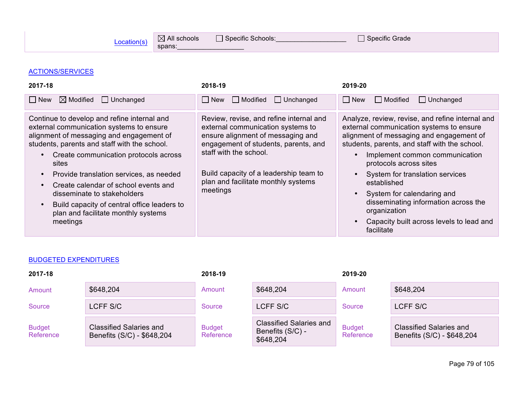spans:

 $\frac{\text{Location(s)}}{\text{Anance}}$   $\Box$  All schools  $\Box$  Specific Schools:  $\Box$  Specific Grade

### ACTIONS/SERVICES

| 2017-18                                                                                                                                                                                                                                                                                                                                                                                                                                                   | 2018-19                                                                                                                                                                                                                                                                          | 2019-20                                                                                                                                                                                                                                                                                                                                                                                                                                                 |
|-----------------------------------------------------------------------------------------------------------------------------------------------------------------------------------------------------------------------------------------------------------------------------------------------------------------------------------------------------------------------------------------------------------------------------------------------------------|----------------------------------------------------------------------------------------------------------------------------------------------------------------------------------------------------------------------------------------------------------------------------------|---------------------------------------------------------------------------------------------------------------------------------------------------------------------------------------------------------------------------------------------------------------------------------------------------------------------------------------------------------------------------------------------------------------------------------------------------------|
| $\boxtimes$ Modified $\Box$ Unchanged<br>∣ I New                                                                                                                                                                                                                                                                                                                                                                                                          | $\Box$ Modified $\Box$ Unchanged<br>l New                                                                                                                                                                                                                                        | $\Box$ New<br>$\Box$ Unchanged<br>    Modified                                                                                                                                                                                                                                                                                                                                                                                                          |
| Continue to develop and refine internal and<br>external communication systems to ensure<br>alignment of messaging and engagement of<br>students, parents and staff with the school.<br>Create communication protocols across<br>sites<br>Provide translation services, as needed<br>Create calendar of school events and<br>disseminate to stakeholders<br>Build capacity of central office leaders to<br>plan and facilitate monthly systems<br>meetings | Review, revise, and refine internal and<br>external communication systems to<br>ensure alignment of messaging and<br>engagement of students, parents, and<br>staff with the school.<br>Build capacity of a leadership team to<br>plan and facilitate monthly systems<br>meetings | Analyze, review, revise, and refine internal and<br>external communication systems to ensure<br>alignment of messaging and engagement of<br>students, parents, and staff with the school.<br>Implement common communication<br>protocols across sites<br>System for translation services<br>established<br>System for calendaring and<br>disseminating information across the<br>organization<br>Capacity built across levels to lead and<br>facilitate |

#### BUDGETED EXPENDITURES

| 2017-18                    |                                                              | 2018-19                    |                                                                 | 2019-20                    |                                                              |
|----------------------------|--------------------------------------------------------------|----------------------------|-----------------------------------------------------------------|----------------------------|--------------------------------------------------------------|
| Amount                     | \$648,204                                                    | Amount                     | \$648,204                                                       | Amount                     | \$648,204                                                    |
| Source                     | LCFF S/C                                                     | Source                     | LCFF S/C                                                        | Source                     | LCFF S/C                                                     |
| <b>Budget</b><br>Reference | <b>Classified Salaries and</b><br>Benefits (S/C) - \$648,204 | <b>Budget</b><br>Reference | <b>Classified Salaries and</b><br>Benefits (S/C) -<br>\$648,204 | <b>Budget</b><br>Reference | <b>Classified Salaries and</b><br>Benefits (S/C) - \$648,204 |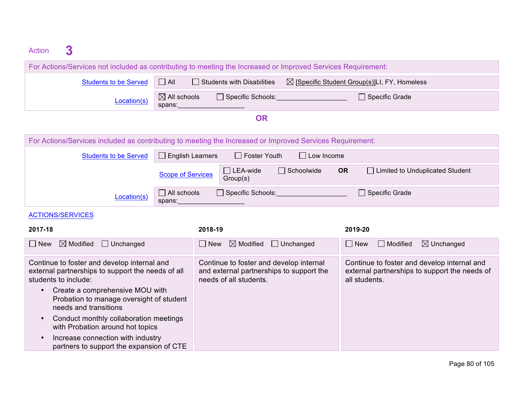| 3<br><b>Action</b>                                                                                                                                                                                      |                                   |                                                                                                               |                   |                                                                                                               |
|---------------------------------------------------------------------------------------------------------------------------------------------------------------------------------------------------------|-----------------------------------|---------------------------------------------------------------------------------------------------------------|-------------------|---------------------------------------------------------------------------------------------------------------|
| For Actions/Services not included as contributing to meeting the Increased or Improved Services Requirement:                                                                                            |                                   |                                                                                                               |                   |                                                                                                               |
| <b>Students to be Served</b>                                                                                                                                                                            | $\Box$ All                        | $\Box$ Students with Disabilities                                                                             |                   | $\boxtimes$ [Specific Student Group(s)]LI, FY, Homeless                                                       |
| Location(s)                                                                                                                                                                                             | $\boxtimes$ All schools<br>spans: | □ Specific Schools: Network of Specific Schools:                                                              |                   | $\Box$ Specific Grade                                                                                         |
|                                                                                                                                                                                                         |                                   | <b>OR</b>                                                                                                     |                   |                                                                                                               |
| For Actions/Services included as contributing to meeting the Increased or Improved Services Requirement:                                                                                                |                                   |                                                                                                               |                   |                                                                                                               |
| <b>Students to be Served</b>                                                                                                                                                                            | $\Box$ English Learners           | <b>Foster Youth</b><br>$\mathbf{L}$                                                                           | $\Box$ Low Income |                                                                                                               |
|                                                                                                                                                                                                         | <b>Scope of Services</b>          | $\Box$ LEA-wide<br>Group(s)                                                                                   | $\Box$ Schoolwide | <b>OR</b><br>□ Limited to Unduplicated Student                                                                |
| Location(s)                                                                                                                                                                                             | $\Box$ All schools<br>spans:      | $\Box$ Specific Schools:                                                                                      |                   | $\Box$ Specific Grade                                                                                         |
| <b>ACTIONS/SERVICES</b>                                                                                                                                                                                 |                                   |                                                                                                               |                   |                                                                                                               |
| 2017-18                                                                                                                                                                                                 |                                   | 2018-19                                                                                                       |                   | 2019-20                                                                                                       |
| $\boxtimes$ Modified<br>$\Box$ Unchanged<br>$\Box$ New                                                                                                                                                  |                                   | $\boxtimes$ Modified<br>New                                                                                   | $\Box$ Unchanged  | $\Box$ Modified<br>$\Box$ New<br>$\boxtimes$ Unchanged                                                        |
| Continue to foster and develop internal and<br>external partnerships to support the needs of all<br>students to include:<br>Create a comprehensive MOU with<br>Probation to manage oversight of student |                                   | Continue to foster and develop internal<br>and external partnerships to support the<br>needs of all students. |                   | Continue to foster and develop internal and<br>external partnerships to support the needs of<br>all students. |

• Conduct monthly collaboration meetings with Probation around hot topics

needs and transitions

• Increase connection with industry partners to support the expansion of CTE

Page 80 of 105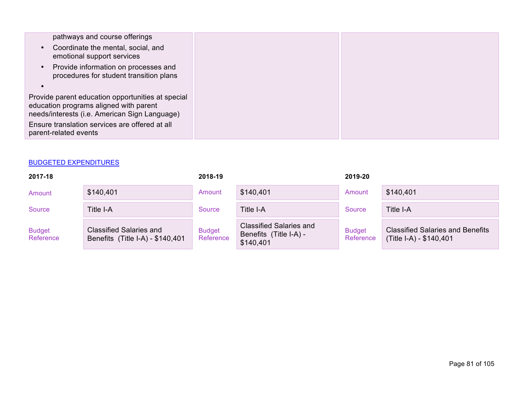| pathways and course offerings<br>Coordinate the mental, social, and                                                                          |  |
|----------------------------------------------------------------------------------------------------------------------------------------------|--|
| emotional support services                                                                                                                   |  |
| Provide information on processes and<br>procedures for student transition plans                                                              |  |
|                                                                                                                                              |  |
| Provide parent education opportunities at special<br>education programs aligned with parent<br>needs/interests (i.e. American Sign Language) |  |
| Ensure translation services are offered at all<br>parent-related events                                                                      |  |
|                                                                                                                                              |  |

| 2017-18                    |                                                                    | 2018-19                    |                                                                       | 2019-20                    |                                                                    |
|----------------------------|--------------------------------------------------------------------|----------------------------|-----------------------------------------------------------------------|----------------------------|--------------------------------------------------------------------|
| Amount                     | \$140,401                                                          | Amount                     | \$140,401                                                             | Amount                     | \$140,401                                                          |
| Source                     | Title I-A                                                          | Source                     | Title I-A                                                             | Source                     | Title I-A                                                          |
| <b>Budget</b><br>Reference | <b>Classified Salaries and</b><br>Benefits (Title I-A) - \$140,401 | <b>Budget</b><br>Reference | <b>Classified Salaries and</b><br>Benefits (Title I-A) -<br>\$140,401 | <b>Budget</b><br>Reference | <b>Classified Salaries and Benefits</b><br>(Title I-A) - \$140,401 |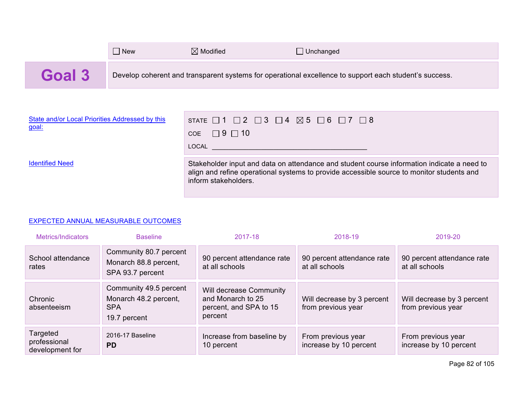|        | <b>New</b> | $\boxtimes$ Modified | Unchanged                                                                                              |
|--------|------------|----------------------|--------------------------------------------------------------------------------------------------------|
| Goal 3 |            |                      | Develop coherent and transparent systems for operational excellence to support each student's success. |

| State and/or Local Priorities Addressed by this<br>goal: | STATE $\Box$ 1 $\Box$ 2 $\Box$ 3 $\Box$ 4 $\boxtimes$ 5 $\Box$ 6 $\Box$ 7 $\Box$ 8<br>COE $\Box$ 9 $\Box$ 10<br>LOCAL And the control of the control of the control of the control of the control of the control of the control of the control of the control of the control of the control of the control of the control of the control of th |
|----------------------------------------------------------|------------------------------------------------------------------------------------------------------------------------------------------------------------------------------------------------------------------------------------------------------------------------------------------------------------------------------------------------|
| <b>Identified Need</b>                                   | Stakeholder input and data on attendance and student course information indicate a need to<br>align and refine operational systems to provide accessible source to monitor students and<br>inform stakeholders.                                                                                                                                |

## EXPECTED ANNUAL MEASURABLE OUTCOMES

| Metrics/Indicators                          | <b>Baseline</b>                                                               | 2017-18                                                                           | 2018-19                                          | 2019-20                                          |
|---------------------------------------------|-------------------------------------------------------------------------------|-----------------------------------------------------------------------------------|--------------------------------------------------|--------------------------------------------------|
| School attendance<br>rates                  | Community 80.7 percent<br>Monarch 88.8 percent,<br>SPA 93.7 percent           | 90 percent attendance rate<br>at all schools                                      | 90 percent attendance rate<br>at all schools     | 90 percent attendance rate<br>at all schools     |
| Chronic<br>absenteeism                      | Community 49.5 percent<br>Monarch 48.2 percent,<br><b>SPA</b><br>19.7 percent | Will decrease Community<br>and Monarch to 25<br>percent, and SPA to 15<br>percent | Will decrease by 3 percent<br>from previous year | Will decrease by 3 percent<br>from previous year |
| Targeted<br>professional<br>development for | 2016-17 Baseline<br><b>PD</b>                                                 | Increase from baseline by<br>10 percent                                           | From previous year<br>increase by 10 percent     | From previous year<br>increase by 10 percent     |

Page 82 of 105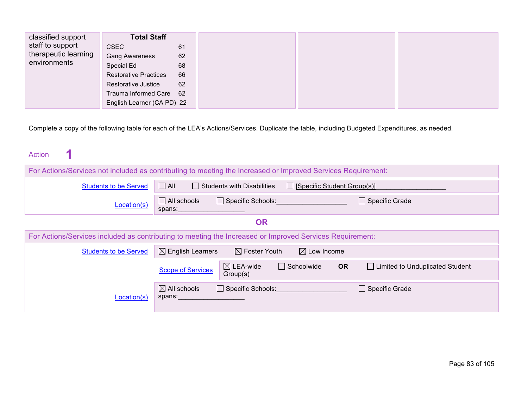| classified support   | <b>Total Staff</b>           |    |
|----------------------|------------------------------|----|
| staff to support     | <b>CSEC</b>                  | 61 |
| therapeutic learning | <b>Gang Awareness</b>        | 62 |
| environments         | Special Ed                   | 68 |
|                      | <b>Restorative Practices</b> | 66 |
|                      | <b>Restorative Justice</b>   | 62 |
|                      | Trauma Informed Care 62      |    |
|                      | English Learner (CA PD) 22   |    |

Complete a copy of the following table for each of the LEA's Actions/Services. Duplicate the table, including Budgeted Expenditures, as needed.

| <b>Action</b> |  |  |  |  |  |  |
|---------------|--|--|--|--|--|--|
|---------------|--|--|--|--|--|--|

| For Actions/Services not included as contributing to meeting the Increased or Improved Services Requirement: |                                   |                                   |                                    |           |                                   |
|--------------------------------------------------------------------------------------------------------------|-----------------------------------|-----------------------------------|------------------------------------|-----------|-----------------------------------|
| <b>Students to be Served</b>                                                                                 | $\Box$ All                        | $\Box$ Students with Disabilities | $\Box$ [Specific Student Group(s)] |           |                                   |
| Location(s)                                                                                                  | $\Box$ All schools<br>spans:      | $\Box$ Specific Schools:          |                                    |           | $\Box$ Specific Grade             |
|                                                                                                              |                                   | <b>OR</b>                         |                                    |           |                                   |
| For Actions/Services included as contributing to meeting the Increased or Improved Services Requirement:     |                                   |                                   |                                    |           |                                   |
| <b>Students to be Served</b>                                                                                 | $\boxtimes$ English Learners      | $\boxtimes$ Foster Youth          | $\boxtimes$ Low Income             |           |                                   |
|                                                                                                              | <b>Scope of Services</b>          | $\boxtimes$ LEA-wide<br>Group(s)  | $\Box$ Schoolwide                  | <b>OR</b> | □ Limited to Unduplicated Student |
| Location(s)                                                                                                  | $\boxtimes$ All schools<br>spans: | $\Box$ Specific Schools:          |                                    |           | $\Box$ Specific Grade             |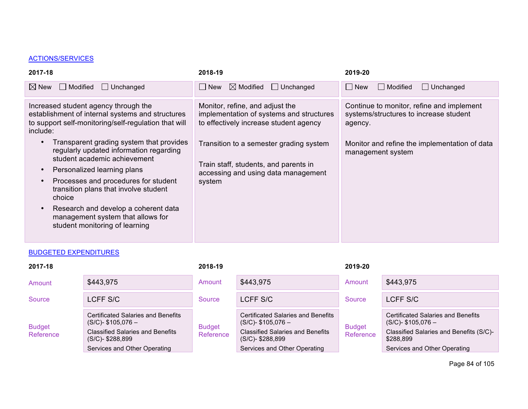## ACTIONS/SERVICES

| 2017-18                                                                                                                                                                                                                                                                                                                                                                                                                                                                                                                      | 2018-19                                                                                                                                                                                                                                                    | 2019-20                                                                                                                                                              |
|------------------------------------------------------------------------------------------------------------------------------------------------------------------------------------------------------------------------------------------------------------------------------------------------------------------------------------------------------------------------------------------------------------------------------------------------------------------------------------------------------------------------------|------------------------------------------------------------------------------------------------------------------------------------------------------------------------------------------------------------------------------------------------------------|----------------------------------------------------------------------------------------------------------------------------------------------------------------------|
| $\Box$ Modified<br>$\Box$ Unchanged<br>$\boxtimes$ New                                                                                                                                                                                                                                                                                                                                                                                                                                                                       | $\boxtimes$ Modified<br>$\Box$ Unchanged<br>$\Box$ New                                                                                                                                                                                                     | $\Box$ Unchanged<br>$\Box$ New<br><b>■ Modified</b>                                                                                                                  |
| Increased student agency through the<br>establishment of internal systems and structures<br>to support self-monitoring/self-regulation that will<br>include:<br>Transparent grading system that provides<br>regularly updated information regarding<br>student academic achievement<br>Personalized learning plans<br>Processes and procedures for student<br>transition plans that involve student<br>choice<br>Research and develop a coherent data<br>management system that allows for<br>student monitoring of learning | Monitor, refine, and adjust the<br>implementation of systems and structures<br>to effectively increase student agency<br>Transition to a semester grading system<br>Train staff, students, and parents in<br>accessing and using data management<br>system | Continue to monitor, refine and implement<br>systems/structures to increase student<br>agency.<br>Monitor and refine the implementation of data<br>management system |
|                                                                                                                                                                                                                                                                                                                                                                                                                                                                                                                              |                                                                                                                                                                                                                                                            |                                                                                                                                                                      |

## **BUDGETED EXPENDITURES**

| 2017-18                    |                                                                                                                                                               | 2018-19                    |                                                                                                                                                               | 2019-20                    |                                                                                                                                                            |
|----------------------------|---------------------------------------------------------------------------------------------------------------------------------------------------------------|----------------------------|---------------------------------------------------------------------------------------------------------------------------------------------------------------|----------------------------|------------------------------------------------------------------------------------------------------------------------------------------------------------|
| Amount                     | \$443,975                                                                                                                                                     | Amount                     | \$443,975                                                                                                                                                     | Amount                     | \$443,975                                                                                                                                                  |
| Source                     | LCFF S/C                                                                                                                                                      | Source                     | LCFF S/C                                                                                                                                                      | Source                     | LCFF S/C                                                                                                                                                   |
| <b>Budget</b><br>Reference | Certificated Salaries and Benefits<br>$(S/C)$ - \$105,076 –<br><b>Classified Salaries and Benefits</b><br>$(S/C)$ - \$288,899<br>Services and Other Operating | <b>Budget</b><br>Reference | Certificated Salaries and Benefits<br>$(S/C)$ - \$105,076 -<br><b>Classified Salaries and Benefits</b><br>$(S/C)$ - \$288,899<br>Services and Other Operating | <b>Budget</b><br>Reference | <b>Certificated Salaries and Benefits</b><br>$(S/C)$ - \$105,076 –<br>Classified Salaries and Benefits (S/C)-<br>\$288,899<br>Services and Other Operating |

Page 84 of 105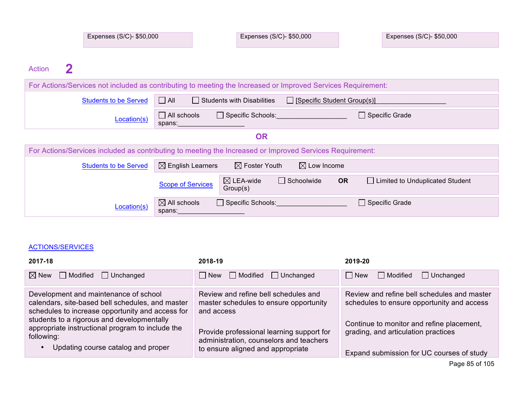| Expenses (S/C)- \$50,000 | Expenses (S/C)- \$50,000 | Expenses (S/C)- \$50,000 |
|--------------------------|--------------------------|--------------------------|
|                          |                          |                          |

Action **2** 

|                              | For Actions/Services not included as contributing to meeting the Increased or Improved Services Requirement:                        |
|------------------------------|-------------------------------------------------------------------------------------------------------------------------------------|
| <b>Students to be Served</b> | $\Box$ All<br>$\Box$ Students with Disabilities<br>$\Box$ [Specific Student Group(s)]                                               |
| Location(s)                  | $\Box$ All schools<br>$\Box$ Specific Schools:<br>$\Box$ Specific Grade<br>spans:                                                   |
|                              | <b>OR</b>                                                                                                                           |
|                              | For Actions/Services included as contributing to meeting the Increased or Improved Services Requirement:                            |
| <b>Students to be Served</b> | $\boxtimes$ English Learners<br>$\boxtimes$ Foster Youth<br>$\boxtimes$ Low Income                                                  |
|                              | $\boxtimes$ LEA-wide<br>$\Box$ Schoolwide<br><b>OR</b><br>□ Limited to Unduplicated Student<br><b>Scope of Services</b><br>Group(s) |
| Location(s)                  | $\boxtimes$ All schools<br>$\Box$ Specific Schools:<br>$\Box$ Specific Grade<br>spans:                                              |

## ACTIONS/SERVICES

| 2017-18                                                                                                                                                                                                                                                                                             | 2018-19                                                                                                                                                                                                                   | 2019-20                                                                                                                                                                                                                    |
|-----------------------------------------------------------------------------------------------------------------------------------------------------------------------------------------------------------------------------------------------------------------------------------------------------|---------------------------------------------------------------------------------------------------------------------------------------------------------------------------------------------------------------------------|----------------------------------------------------------------------------------------------------------------------------------------------------------------------------------------------------------------------------|
| $\boxtimes$ New<br>Modified<br>$\Box$ Unchanged                                                                                                                                                                                                                                                     | $\Box$ Modified<br>$\Box$ New<br>$\Box$ Unchanged                                                                                                                                                                         | $\Box$ New<br>    Modified<br>$\Box$ Unchanged                                                                                                                                                                             |
| Development and maintenance of school<br>calendars, site-based bell schedules, and master<br>schedules to increase opportunity and access for<br>students to a rigorous and developmentally<br>appropriate instructional program to include the<br>following:<br>Updating course catalog and proper | Review and refine bell schedules and<br>master schedules to ensure opportunity<br>and access<br>Provide professional learning support for<br>administration, counselors and teachers<br>to ensure aligned and appropriate | Review and refine bell schedules and master<br>schedules to ensure opportunity and access<br>Continue to monitor and refine placement,<br>grading, and articulation practices<br>Expand submission for UC courses of study |
|                                                                                                                                                                                                                                                                                                     |                                                                                                                                                                                                                           | Page 85 of 105                                                                                                                                                                                                             |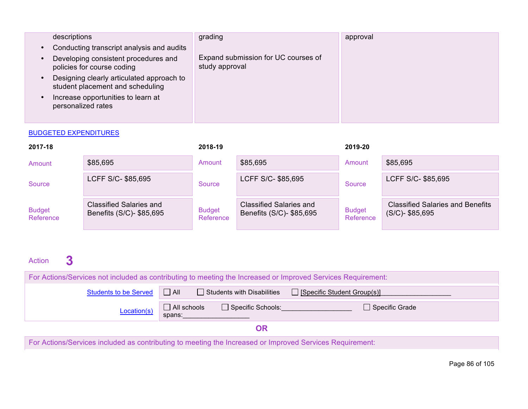|           | descriptions                                                                  | grading                                               | approval |
|-----------|-------------------------------------------------------------------------------|-------------------------------------------------------|----------|
| $\bullet$ | Conducting transcript analysis and audits                                     |                                                       |          |
|           | Developing consistent procedures and<br>policies for course coding            | Expand submission for UC courses of<br>study approval |          |
|           | Designing clearly articulated approach to<br>student placement and scheduling |                                                       |          |
|           | Increase opportunities to learn at<br>personalized rates                      |                                                       |          |
|           |                                                                               |                                                       |          |

| 2017-18                    |                                                            | 2018-19                    |                                                            | 2019-20                    |                                                               |
|----------------------------|------------------------------------------------------------|----------------------------|------------------------------------------------------------|----------------------------|---------------------------------------------------------------|
| Amount                     | \$85,695                                                   | Amount                     | \$85,695                                                   | Amount                     | \$85,695                                                      |
| Source                     | LCFF S/C- \$85,695                                         | Source                     | LCFF S/C- \$85,695                                         | Source                     | LCFF S/C- \$85,695                                            |
| <b>Budget</b><br>Reference | <b>Classified Salaries and</b><br>Benefits (S/C)- \$85,695 | <b>Budget</b><br>Reference | <b>Classified Salaries and</b><br>Benefits (S/C)- \$85,695 | <b>Budget</b><br>Reference | <b>Classified Salaries and Benefits</b><br>$(S/C)$ - \$85,695 |

# Action **3 Exercise Cell Empty** Cell

| For Actions/Services not included as contributing to meeting the Increased or Improved Services Requirement: |                                                                      |  |  |  |  |
|--------------------------------------------------------------------------------------------------------------|----------------------------------------------------------------------|--|--|--|--|
| Students to be Served <b>D</b> All                                                                           | $\Box$ Students with Disabilities $\Box$ [Specific Student Group(s)] |  |  |  |  |
| Location(s)                                                                                                  | $\Box$ All schools<br>Specific Schools:<br>Specific Grade<br>spans:  |  |  |  |  |
| ЭR                                                                                                           |                                                                      |  |  |  |  |

For Actions/Services included as contributing to meeting the Increased or Improved Services Requirement: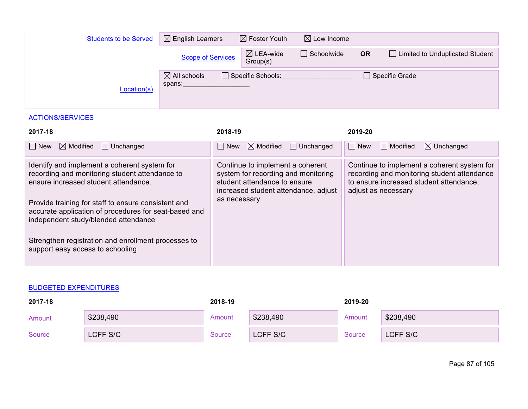| <b>Students to be Served</b> | $\boxtimes$ English Learners      | $\boxtimes$ Foster Youth         | $\boxtimes$ Low Income |           |                                   |
|------------------------------|-----------------------------------|----------------------------------|------------------------|-----------|-----------------------------------|
|                              | <b>Scope of Services</b>          | $\boxtimes$ LEA-wide<br>Group(s) | $\Box$ Schoolwide      | <b>OR</b> | □ Limited to Unduplicated Student |
| Location(s)                  | $\boxtimes$ All schools<br>spans: | Specific Schools:                |                        |           | $\Box$ Specific Grade             |

## ACTIONS/SERVICES

| 2017-18                                                                                                                                              | 2018-19                                                                                                                                         | 2019-20                                                                                                                                                      |
|------------------------------------------------------------------------------------------------------------------------------------------------------|-------------------------------------------------------------------------------------------------------------------------------------------------|--------------------------------------------------------------------------------------------------------------------------------------------------------------|
| $\boxtimes$ Modified<br>$\Box$ Unchanged<br>  New                                                                                                    | $\boxtimes$ Modified<br>$\Box$ Unchanged<br>  New                                                                                               | New<br>  Modified<br>$\boxtimes$ Unchanged                                                                                                                   |
| Identify and implement a coherent system for<br>recording and monitoring student attendance to<br>ensure increased student attendance.               | Continue to implement a coherent<br>system for recording and monitoring<br>student attendance to ensure<br>increased student attendance, adjust | Continue to implement a coherent system for<br>recording and monitoring student attendance<br>to ensure increased student attendance;<br>adjust as necessary |
| Provide training for staff to ensure consistent and<br>accurate application of procedures for seat-based and<br>independent study/blended attendance | as necessary                                                                                                                                    |                                                                                                                                                              |
| Strengthen registration and enrollment processes to<br>support easy access to schooling                                                              |                                                                                                                                                 |                                                                                                                                                              |

## BUDGETED EXPENDITURES

| 2017-18 |           | 2018-19 |           | 2019-20 |           |
|---------|-----------|---------|-----------|---------|-----------|
| Amount  | \$238,490 | Amount  | \$238,490 | Amount  | \$238,490 |
| Source  | LCFF S/C  | Source  | LCFF S/C  | Source  | LCFF S/C  |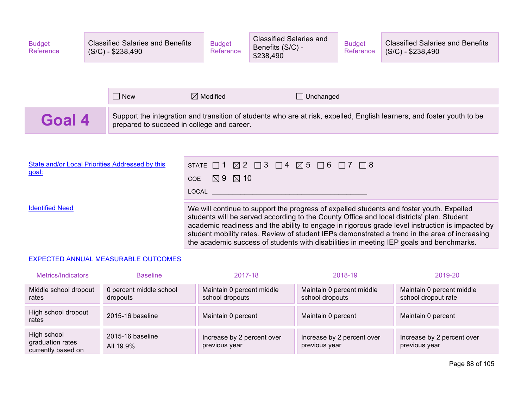| <b>Budget</b><br>Reference                               |                                            | <b>Classified Salaries and Benefits</b><br>$(S/C) - $238,490$ |                                                                                                                                                                                                                                                                                                                                                                                                                                                                                      | <b>Budget</b><br>Reference | <b>Classified Salaries and</b><br>Benefits (S/C) -<br>\$238,490 | <b>Budget</b><br>Reference | <b>Classified Salaries and Benefits</b><br>$(S/C) - $238,490$                                                          |
|----------------------------------------------------------|--------------------------------------------|---------------------------------------------------------------|--------------------------------------------------------------------------------------------------------------------------------------------------------------------------------------------------------------------------------------------------------------------------------------------------------------------------------------------------------------------------------------------------------------------------------------------------------------------------------------|----------------------------|-----------------------------------------------------------------|----------------------------|------------------------------------------------------------------------------------------------------------------------|
|                                                          |                                            |                                                               |                                                                                                                                                                                                                                                                                                                                                                                                                                                                                      |                            |                                                                 |                            |                                                                                                                        |
|                                                          |                                            | $\Box$ New                                                    |                                                                                                                                                                                                                                                                                                                                                                                                                                                                                      | $\boxtimes$ Modified       | $\Box$ Unchanged                                                |                            |                                                                                                                        |
| Goal 4                                                   | prepared to succeed in college and career. |                                                               |                                                                                                                                                                                                                                                                                                                                                                                                                                                                                      |                            |                                                                 |                            | Support the integration and transition of students who are at risk, expelled, English learners, and foster youth to be |
|                                                          |                                            |                                                               |                                                                                                                                                                                                                                                                                                                                                                                                                                                                                      |                            |                                                                 |                            |                                                                                                                        |
| State and/or Local Priorities Addressed by this<br>goal: |                                            |                                                               | STATE $\Box$ 1 $\boxtimes$ 2 $\Box$ 3 $\Box$ 4 $\boxtimes$ 5 $\Box$ 6 $\Box$ 7 $\Box$ 8<br>$\boxtimes$ 9 $\boxtimes$ 10<br>COE<br>LOCAL                                                                                                                                                                                                                                                                                                                                              |                            |                                                                 |                            |                                                                                                                        |
| <b>Identified Need</b>                                   |                                            |                                                               | We will continue to support the progress of expelled students and foster youth. Expelled<br>students will be served according to the County Office and local districts' plan. Student<br>academic readiness and the ability to engage in rigorous grade level instruction is impacted by<br>student mobility rates. Review of student IEPs demonstrated a trend in the area of increasing<br>the academic success of students with disabilities in meeting IEP goals and benchmarks. |                            |                                                                 |                            |                                                                                                                        |

#### EXPECTED ANNUAL MEASURABLE OUTCOMES

| Metrics/Indicators                                    | <b>Baseline</b>                     | 2017-18                                      | 2018-19                                      | 2019-20                                          |
|-------------------------------------------------------|-------------------------------------|----------------------------------------------|----------------------------------------------|--------------------------------------------------|
| Middle school dropout<br>rates                        | 0 percent middle school<br>dropouts | Maintain 0 percent middle<br>school dropouts | Maintain 0 percent middle<br>school dropouts | Maintain 0 percent middle<br>school dropout rate |
| High school dropout<br>rates                          | 2015-16 baseline                    | Maintain 0 percent                           | Maintain 0 percent                           | Maintain 0 percent                               |
| High school<br>graduation rates<br>currently based on | 2015-16 baseline<br>All 19.9%       | Increase by 2 percent over<br>previous year  | Increase by 2 percent over<br>previous year  | Increase by 2 percent over<br>previous year      |

Page 88 of 105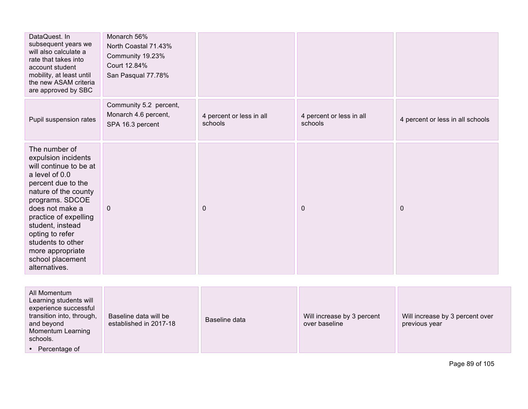| DataQuest. In<br>subsequent years we<br>will also calculate a<br>rate that takes into<br>account student<br>mobility, at least until<br>the new ASAM criteria<br>are approved by SBC                                                                                                                               | Monarch 56%<br>North Coastal 71.43%<br>Community 19.23%<br>Court 12.84%<br>San Pasqual 77.78% |                                     |                                     |                                  |
|--------------------------------------------------------------------------------------------------------------------------------------------------------------------------------------------------------------------------------------------------------------------------------------------------------------------|-----------------------------------------------------------------------------------------------|-------------------------------------|-------------------------------------|----------------------------------|
| Pupil suspension rates                                                                                                                                                                                                                                                                                             | Community 5.2 percent,<br>Monarch 4.6 percent,<br>SPA 16.3 percent                            | 4 percent or less in all<br>schools | 4 percent or less in all<br>schools | 4 percent or less in all schools |
| The number of<br>expulsion incidents<br>will continue to be at<br>a level of 0.0<br>percent due to the<br>nature of the county<br>programs. SDCOE<br>does not make a<br>practice of expelling<br>student, instead<br>opting to refer<br>students to other<br>more appropriate<br>school placement<br>alternatives. | $\mathbf{0}$                                                                                  | $\mathbf{0}$                        | $\mathbf 0$                         | $\mathbf 0$                      |
| All Momentum                                                                                                                                                                                                                                                                                                       |                                                                                               |                                     |                                     |                                  |

| All Momentum<br>Learning students will<br>experience successful<br>transition into, through,<br>Baseline data will be<br>established in 2017-18<br>and beyond<br>Momentum Learning<br>schools.<br>Percentage of | Baseline data | Will increase by 3 percent<br>over baseline | Will increase by 3 percent over<br>previous year |
|-----------------------------------------------------------------------------------------------------------------------------------------------------------------------------------------------------------------|---------------|---------------------------------------------|--------------------------------------------------|
|-----------------------------------------------------------------------------------------------------------------------------------------------------------------------------------------------------------------|---------------|---------------------------------------------|--------------------------------------------------|

Page 89 of 105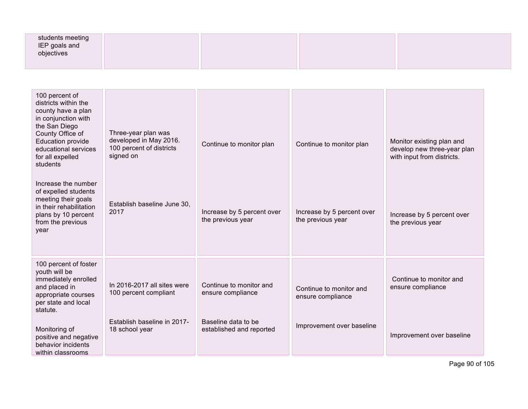| students meeting<br>IEP goals and<br>objectives |  |  |
|-------------------------------------------------|--|--|
|                                                 |  |  |

| 100 percent of<br>districts within the<br>county have a plan<br>in conjunction with<br>the San Diego<br>County Office of<br><b>Education provide</b><br>educational services<br>for all expelled<br>students<br>Increase the number<br>of expelled students<br>meeting their goals<br>in their rehabilitation<br>plans by 10 percent<br>from the previous<br>year | Three-year plan was<br>developed in May 2016.<br>100 percent of districts<br>signed on<br>Establish baseline June 30,<br>2017 | Continue to monitor plan<br>Increase by 5 percent over<br>the previous year | Continue to monitor plan<br>Increase by 5 percent over<br>the previous year | Monitor existing plan and<br>develop new three-year plan<br>with input from districts.<br>Increase by 5 percent over<br>the previous year |
|-------------------------------------------------------------------------------------------------------------------------------------------------------------------------------------------------------------------------------------------------------------------------------------------------------------------------------------------------------------------|-------------------------------------------------------------------------------------------------------------------------------|-----------------------------------------------------------------------------|-----------------------------------------------------------------------------|-------------------------------------------------------------------------------------------------------------------------------------------|
| 100 percent of foster<br>youth will be<br>immediately enrolled<br>and placed in<br>appropriate courses<br>per state and local<br>statute.                                                                                                                                                                                                                         | In 2016-2017 all sites were<br>100 percent compliant                                                                          | Continue to monitor and<br>ensure compliance                                | Continue to monitor and<br>ensure compliance                                | Continue to monitor and<br>ensure compliance                                                                                              |
| Monitoring of<br>positive and negative<br>behavior incidents<br>within classrooms                                                                                                                                                                                                                                                                                 | Establish baseline in 2017-<br>18 school year                                                                                 | Baseline data to be<br>established and reported                             | Improvement over baseline                                                   | Improvement over baseline                                                                                                                 |

Page 90 of 105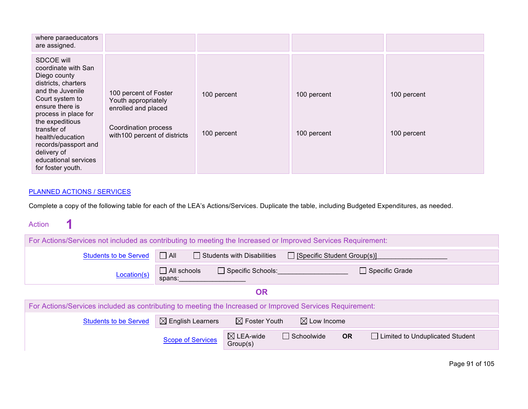| where paraeducators<br>are assigned.                                                                                                                                                                                                                                                                 |                                                                                                                              |                            |                            |                            |
|------------------------------------------------------------------------------------------------------------------------------------------------------------------------------------------------------------------------------------------------------------------------------------------------------|------------------------------------------------------------------------------------------------------------------------------|----------------------------|----------------------------|----------------------------|
| SDCOE will<br>coordinate with San<br>Diego county<br>districts, charters<br>and the Juvenile<br>Court system to<br>ensure there is<br>process in place for<br>the expeditious<br>transfer of<br>health/education<br>records/passport and<br>delivery of<br>educational services<br>for foster youth. | 100 percent of Foster<br>Youth appropriately<br>enrolled and placed<br>Coordination process<br>with 100 percent of districts | 100 percent<br>100 percent | 100 percent<br>100 percent | 100 percent<br>100 percent |

#### PLANNED ACTIONS / SERVICES

Complete a copy of the following table for each of the LEA's Actions/Services. Duplicate the table, including Budgeted Expenditures, as needed.

| <b>Action</b> |  |
|---------------|--|
|---------------|--|

| For Actions/Services not included as contributing to meeting the Increased or Improved Services Requirement: |                                                                                    |                                  |                                    |                                                |  |  |  |
|--------------------------------------------------------------------------------------------------------------|------------------------------------------------------------------------------------|----------------------------------|------------------------------------|------------------------------------------------|--|--|--|
| <b>Students to be Served</b>                                                                                 | $\Box$ All                                                                         | Students with Disabilities       | $\Box$ [Specific Student Group(s)] |                                                |  |  |  |
| $\Box$ All schools<br>$\Box$ Specific Schools:<br>$\Box$ Specific Grade<br>Location(s)<br>spans:             |                                                                                    |                                  |                                    |                                                |  |  |  |
|                                                                                                              |                                                                                    | <b>OR</b>                        |                                    |                                                |  |  |  |
| For Actions/Services included as contributing to meeting the Increased or Improved Services Requirement:     |                                                                                    |                                  |                                    |                                                |  |  |  |
| <b>Students to be Served</b>                                                                                 | $\boxtimes$ English Learners<br>$\boxtimes$ Foster Youth<br>$\boxtimes$ Low Income |                                  |                                    |                                                |  |  |  |
|                                                                                                              | <b>Scope of Services</b>                                                           | $\boxtimes$ LEA-wide<br>Group(s) | $\Box$ Schoolwide                  | <b>OR</b><br>□ Limited to Unduplicated Student |  |  |  |

Page 91 of 105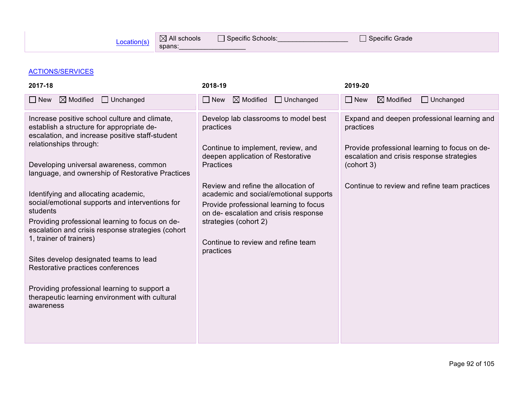### ACTIONS/SERVICES

| 2017-18                                                                                                                                                                                                                                                                                                                                                                                                                                                                                                                                                                                                                                                                                                       | 2018-19                                                                                                                                                                                                                                                                                                                                                                                          | 2019-20                                                                                                                                                                                                              |
|---------------------------------------------------------------------------------------------------------------------------------------------------------------------------------------------------------------------------------------------------------------------------------------------------------------------------------------------------------------------------------------------------------------------------------------------------------------------------------------------------------------------------------------------------------------------------------------------------------------------------------------------------------------------------------------------------------------|--------------------------------------------------------------------------------------------------------------------------------------------------------------------------------------------------------------------------------------------------------------------------------------------------------------------------------------------------------------------------------------------------|----------------------------------------------------------------------------------------------------------------------------------------------------------------------------------------------------------------------|
| $\boxtimes$ Modified<br>$\Box$ New<br>$\Box$ Unchanged                                                                                                                                                                                                                                                                                                                                                                                                                                                                                                                                                                                                                                                        | $\boxtimes$ Modified<br>$\Box$ Unchanged<br>$\Box$ New                                                                                                                                                                                                                                                                                                                                           | $\boxtimes$ Modified<br>$\Box$ Unchanged<br>$\Box$ New                                                                                                                                                               |
| Increase positive school culture and climate,<br>establish a structure for appropriate de-<br>escalation, and increase positive staff-student<br>relationships through:<br>Developing universal awareness, common<br>language, and ownership of Restorative Practices<br>Identifying and allocating academic,<br>social/emotional supports and interventions for<br>students<br>Providing professional learning to focus on de-<br>escalation and crisis response strategies (cohort<br>1, trainer of trainers)<br>Sites develop designated teams to lead<br>Restorative practices conferences<br>Providing professional learning to support a<br>therapeutic learning environment with cultural<br>awareness | Develop lab classrooms to model best<br>practices<br>Continue to implement, review, and<br>deepen application of Restorative<br><b>Practices</b><br>Review and refine the allocation of<br>academic and social/emotional supports<br>Provide professional learning to focus<br>on de- escalation and crisis response<br>strategies (cohort 2)<br>Continue to review and refine team<br>practices | Expand and deepen professional learning and<br>practices<br>Provide professional learning to focus on de-<br>escalation and crisis response strategies<br>(cohort 3)<br>Continue to review and refine team practices |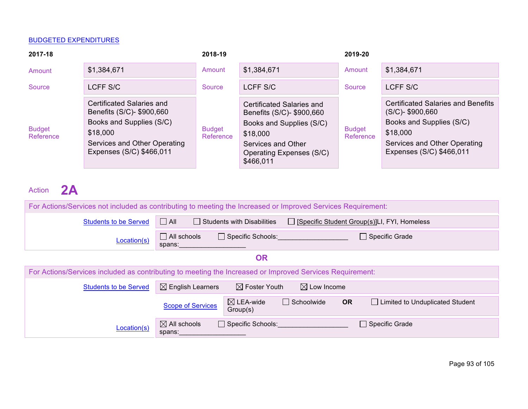| 2017-18                    |                                                                                                                                                            | 2018-19                    |                                                                                                                                                               | 2019-20                    |                                                                                                                                                                      |
|----------------------------|------------------------------------------------------------------------------------------------------------------------------------------------------------|----------------------------|---------------------------------------------------------------------------------------------------------------------------------------------------------------|----------------------------|----------------------------------------------------------------------------------------------------------------------------------------------------------------------|
| Amount                     | \$1,384,671                                                                                                                                                | Amount                     | \$1,384,671                                                                                                                                                   | Amount                     | \$1,384,671                                                                                                                                                          |
| Source                     | LCFF S/C                                                                                                                                                   | Source                     | LCFF S/C                                                                                                                                                      | Source                     | LCFF S/C                                                                                                                                                             |
| <b>Budget</b><br>Reference | Certificated Salaries and<br>Benefits (S/C)- \$900,660<br>Books and Supplies (S/C)<br>\$18,000<br>Services and Other Operating<br>Expenses (S/C) \$466,011 | <b>Budget</b><br>Reference | Certificated Salaries and<br>Benefits (S/C)- \$900,660<br>Books and Supplies (S/C)<br>\$18,000<br>Services and Other<br>Operating Expenses (S/C)<br>\$466,011 | <b>Budget</b><br>Reference | <b>Certificated Salaries and Benefits</b><br>$(S/C)$ - \$900,660<br>Books and Supplies (S/C)<br>\$18,000<br>Services and Other Operating<br>Expenses (S/C) \$466,011 |

Action **2A** 

| For Actions/Services not included as contributing to meeting the Increased or Improved Services Requirement: |                                                                                                   |                                  |                        |                       |                                        |  |
|--------------------------------------------------------------------------------------------------------------|---------------------------------------------------------------------------------------------------|----------------------------------|------------------------|-----------------------|----------------------------------------|--|
| <b>Students to be Served</b>                                                                                 | $\Box$ All<br>$\Box$ Students with Disabilities<br>□ [Specific Student Group(s)]LI, FYI, Homeless |                                  |                        |                       |                                        |  |
| Location(s)                                                                                                  | $\Box$ All schools<br>spans:                                                                      | $\Box$ Specific Schools:         |                        | $\Box$ Specific Grade |                                        |  |
|                                                                                                              | <b>OR</b>                                                                                         |                                  |                        |                       |                                        |  |
| For Actions/Services included as contributing to meeting the Increased or Improved Services Requirement:     |                                                                                                   |                                  |                        |                       |                                        |  |
| <b>Students to be Served</b>                                                                                 | $\boxtimes$ English Learners                                                                      | $\boxtimes$ Foster Youth         | $\boxtimes$ Low Income |                       |                                        |  |
|                                                                                                              | <b>Scope of Services</b>                                                                          | $\boxtimes$ LEA-wide<br>Group(s) | $\Box$ Schoolwide      | <b>OR</b>             | $\Box$ Limited to Unduplicated Student |  |
| Location(s)                                                                                                  | $\boxtimes$ All schools<br>spans:                                                                 | $\Box$ Specific Schools:         |                        | $\Box$ Specific Grade |                                        |  |

Page 93 of 105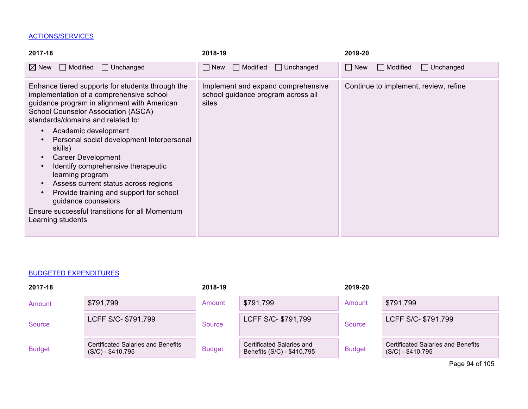## ACTIONS/SERVICES

| $\boxtimes$ New<br>$\Box$ Modified<br>$\Box$ Unchanged<br>$\Box$ Modified<br>$\Box$ New<br>$\Box$ Unchanged<br>$\Box$ Unchanged<br>$\Box$ Modified<br>$\Box$ New                                                                                                                                                                                                                                                                                                                                                                                                                                                                                                                                                                                                               |  |
|--------------------------------------------------------------------------------------------------------------------------------------------------------------------------------------------------------------------------------------------------------------------------------------------------------------------------------------------------------------------------------------------------------------------------------------------------------------------------------------------------------------------------------------------------------------------------------------------------------------------------------------------------------------------------------------------------------------------------------------------------------------------------------|--|
|                                                                                                                                                                                                                                                                                                                                                                                                                                                                                                                                                                                                                                                                                                                                                                                |  |
| Continue to implement, review, refine<br>Enhance tiered supports for students through the<br>Implement and expand comprehensive<br>implementation of a comprehensive school<br>school guidance program across all<br>guidance program in alignment with American<br>sites<br>School Counselor Association (ASCA)<br>standards/domains and related to:<br>Academic development<br>$\bullet$<br>Personal social development Interpersonal<br>$\bullet$<br>skills)<br><b>Career Development</b><br>$\bullet$<br>Identify comprehensive therapeutic<br>learning program<br>Assess current status across regions<br>$\bullet$<br>Provide training and support for school<br>$\bullet$<br>guidance counselors<br>Ensure successful transitions for all Momentum<br>Learning students |  |

#### BUDGETED EXPENDITURES

| 2017-18       |                                                                 | 2018-19       |                                                         | 2019-20       |                                                                 |
|---------------|-----------------------------------------------------------------|---------------|---------------------------------------------------------|---------------|-----------------------------------------------------------------|
| Amount        | \$791,799                                                       | Amount        | \$791,799                                               | Amount        | \$791,799                                                       |
| Source        | LCFF S/C- \$791,799                                             | Source        | LCFF S/C- \$791,799                                     | Source        | LCFF S/C- \$791,799                                             |
| <b>Budget</b> | <b>Certificated Salaries and Benefits</b><br>$(S/C) - $410,795$ | <b>Budget</b> | Certificated Salaries and<br>Benefits (S/C) - \$410,795 | <b>Budget</b> | <b>Certificated Salaries and Benefits</b><br>$(S/C) - $410,795$ |

Page 94 of 105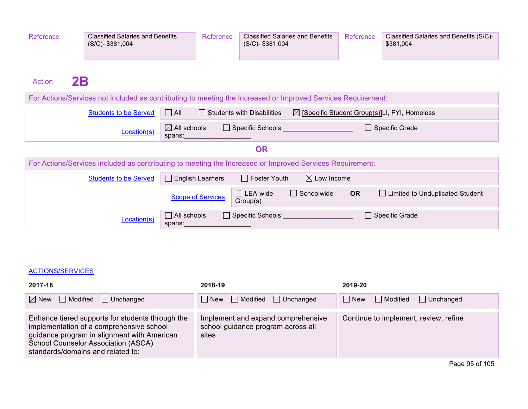| Reference           | <b>Classified Salaries and Benefits</b><br>(S/C)-\$381,004                                                   | Reference                         |                          | <b>Classified Salaries and Benefits</b><br>(S/C)-\$381,004 |                                     | Reference | Classified Salaries and Benefits (S/C)-<br>\$381,004     |
|---------------------|--------------------------------------------------------------------------------------------------------------|-----------------------------------|--------------------------|------------------------------------------------------------|-------------------------------------|-----------|----------------------------------------------------------|
| 2B<br><b>Action</b> |                                                                                                              |                                   |                          |                                                            |                                     |           |                                                          |
|                     | For Actions/Services not included as contributing to meeting the Increased or Improved Services Requirement: |                                   |                          |                                                            |                                     |           |                                                          |
|                     | <b>Students to be Served</b>                                                                                 | $\Box$ All                        |                          | <b>Students with Disabilities</b>                          |                                     |           | $\boxtimes$ [Specific Student Group(s)]LI, FYI, Homeless |
|                     | Location(s)                                                                                                  | $\boxtimes$ All schools<br>spans: |                          |                                                            | Specific Schools: Specific Schools: |           | <b>Specific Grade</b>                                    |
|                     |                                                                                                              |                                   |                          | <b>OR</b>                                                  |                                     |           |                                                          |
|                     | For Actions/Services included as contributing to meeting the Increased or Improved Services Requirement:     |                                   |                          |                                                            |                                     |           |                                                          |
|                     | <b>Students to be Served</b>                                                                                 | $\perp$                           | <b>English Learners</b>  | $\Box$ Foster Youth                                        | $\boxtimes$ Low Income              |           |                                                          |
|                     |                                                                                                              |                                   | <b>Scope of Services</b> | $\Box$ LEA-wide<br>Group(s)                                | $\Box$ Schoolwide                   | <b>OR</b> | □ Limited to Unduplicated Student                        |
|                     | Location(s)                                                                                                  | $\Box$ All schools<br>spans:      |                          | $\Box$ Specific Schools:                                   |                                     |           | Specific Grade                                           |

#### ACTIONS/SERVICES

| 2017-18                                                                                                                                                                                                                 | 2018-19                                                                           | 2019-20                                           |  |
|-------------------------------------------------------------------------------------------------------------------------------------------------------------------------------------------------------------------------|-----------------------------------------------------------------------------------|---------------------------------------------------|--|
| $\boxtimes$ New $\Box$ Modified $\Box$ Unchanged                                                                                                                                                                        | $\Box$ New $\Box$ Modified $\Box$ Unchanged                                       | $\Box$ New<br>$\Box$ Modified<br>$\Box$ Unchanged |  |
| Enhance tiered supports for students through the<br>implementation of a comprehensive school<br>guidance program in alignment with American<br>School Counselor Association (ASCA)<br>standards/domains and related to: | Implement and expand comprehensive<br>school guidance program across all<br>sites | Continue to implement, review, refine             |  |
|                                                                                                                                                                                                                         |                                                                                   |                                                   |  |

Page 95 of 105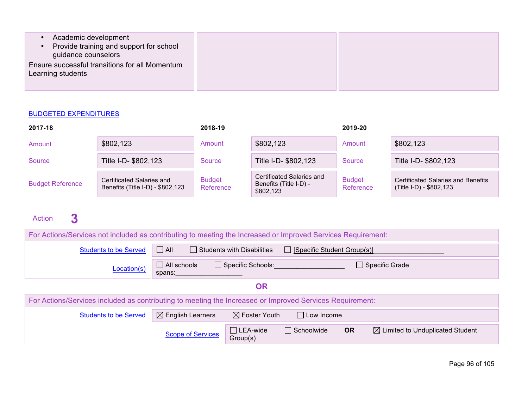| Academic development<br>Provide training and support for school<br>guidance counselors |  |
|----------------------------------------------------------------------------------------|--|
| Ensure successful transitions for all Momentum<br>Learning students                    |  |

| 2017-18                 |                                                               | 2018-19                    |                                                                  | 2019-20                    |                                                                      |
|-------------------------|---------------------------------------------------------------|----------------------------|------------------------------------------------------------------|----------------------------|----------------------------------------------------------------------|
| Amount                  | \$802,123                                                     | Amount                     | \$802,123                                                        | Amount                     | \$802,123                                                            |
| Source                  | Title I-D- \$802,123                                          | Source                     | Title I-D- \$802,123                                             | Source                     | Title I-D- \$802,123                                                 |
| <b>Budget Reference</b> | Certificated Salaries and<br>Benefits (Title I-D) - \$802,123 | <b>Budget</b><br>Reference | Certificated Salaries and<br>Benefits (Title I-D) -<br>\$802,123 | <b>Budget</b><br>Reference | <b>Certificated Salaries and Benefits</b><br>(Title I-D) - \$802,123 |

# Action **3 External**

| For Actions/Services not included as contributing to meeting the Increased or Improved Services Requirement:  |                          |                                   |                                    |                                                          |  |  |  |  |
|---------------------------------------------------------------------------------------------------------------|--------------------------|-----------------------------------|------------------------------------|----------------------------------------------------------|--|--|--|--|
| <b>Students to be Served</b>                                                                                  | $\Box$ All               | $\Box$ Students with Disabilities | $\Box$ [Specific Student Group(s)] |                                                          |  |  |  |  |
| $\Box$ All schools<br>$\Box$ Specific Schools:<br>$\Box$ Specific Grade<br>Location(s)<br>spans:              |                          |                                   |                                    |                                                          |  |  |  |  |
| <b>OR</b>                                                                                                     |                          |                                   |                                    |                                                          |  |  |  |  |
| For Actions/Services included as contributing to meeting the Increased or Improved Services Requirement:      |                          |                                   |                                    |                                                          |  |  |  |  |
| $\boxtimes$ English Learners<br>$\boxtimes$ Foster Youth<br>$\Box$ Low Income<br><b>Students to be Served</b> |                          |                                   |                                    |                                                          |  |  |  |  |
|                                                                                                               | <b>Scope of Services</b> | $\Box$ LEA-wide<br>Group(s)       | $\Box$ Schoolwide                  | $\boxtimes$ Limited to Unduplicated Student<br><b>OR</b> |  |  |  |  |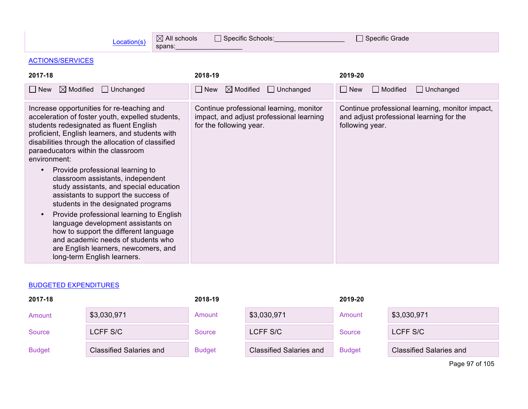| Location(s) | $\boxtimes$ All schools | Specific Schools: |  |
|-------------|-------------------------|-------------------|--|
|             | spans:                  |                   |  |

 $\Box$  Specific Grade

# ACTIONS/SERVICES

| $\boxtimes$ Modified<br>$\Box$ Unchanged<br>$\boxtimes$ Modified<br>$\Box$ Unchanged<br>$\Box$ New<br>$\Box$ New<br>$\Box$ Modified<br>$\Box$ New<br>Increase opportunities for re-teaching and<br>Continue professional learning, monitor<br>Continue professional learning, monitor impact,<br>acceleration of foster youth, expelled students,<br>and adjust professional learning for the<br>impact, and adjust professional learning                                                                                                                                                                                                                                                                   | $\Box$ Unchanged |
|-------------------------------------------------------------------------------------------------------------------------------------------------------------------------------------------------------------------------------------------------------------------------------------------------------------------------------------------------------------------------------------------------------------------------------------------------------------------------------------------------------------------------------------------------------------------------------------------------------------------------------------------------------------------------------------------------------------|------------------|
|                                                                                                                                                                                                                                                                                                                                                                                                                                                                                                                                                                                                                                                                                                             |                  |
| students redesignated as fluent English<br>for the following year.<br>following year.<br>proficient, English learners, and students with<br>disabilities through the allocation of classified<br>paraeducators within the classroom<br>environment:<br>Provide professional learning to<br>classroom assistants, independent<br>study assistants, and special education<br>assistants to support the success of<br>students in the designated programs<br>Provide professional learning to English<br>$\bullet$<br>language development assistants on<br>how to support the different language<br>and academic needs of students who<br>are English learners, newcomers, and<br>long-term English learners. |                  |

### BUDGETED EXPENDITURES

| 2017-18       |                                | 2018-19       |                                | 2019-20       |                         |
|---------------|--------------------------------|---------------|--------------------------------|---------------|-------------------------|
| Amount        | \$3,030,971                    | Amount        | \$3,030,971                    | Amount        | \$3,030,971             |
| Source        | LCFF S/C                       | Source        | LCFF S/C                       | Source        | LCFF S/C                |
| <b>Budget</b> | <b>Classified Salaries and</b> | <b>Budget</b> | <b>Classified Salaries and</b> | <b>Budget</b> | Classified Salaries and |

Page 97 of 105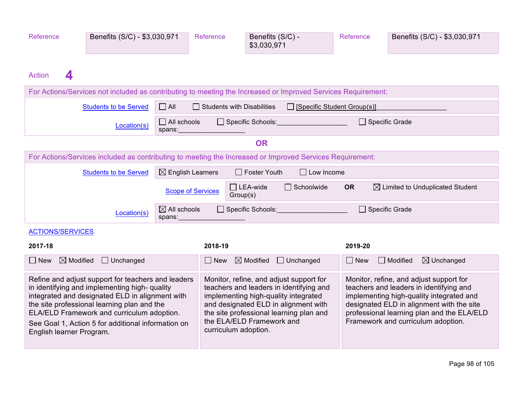| Reference<br><b>Action</b><br>4                                                                                                                                                                                                                                                                                                       | Benefits (S/C) - \$3,030,971                                                                                 |                                                                                                                                                                                                                                                                    | Reference                         | Benefits (S/C) -<br>\$3,030,971       |                                                                                                                                                                                                                                                                 | Reference             | Benefits (S/C) - \$3,030,971             |
|---------------------------------------------------------------------------------------------------------------------------------------------------------------------------------------------------------------------------------------------------------------------------------------------------------------------------------------|--------------------------------------------------------------------------------------------------------------|--------------------------------------------------------------------------------------------------------------------------------------------------------------------------------------------------------------------------------------------------------------------|-----------------------------------|---------------------------------------|-----------------------------------------------------------------------------------------------------------------------------------------------------------------------------------------------------------------------------------------------------------------|-----------------------|------------------------------------------|
|                                                                                                                                                                                                                                                                                                                                       | For Actions/Services not included as contributing to meeting the Increased or Improved Services Requirement: |                                                                                                                                                                                                                                                                    |                                   |                                       |                                                                                                                                                                                                                                                                 |                       |                                          |
|                                                                                                                                                                                                                                                                                                                                       | <b>Students to be Served</b>                                                                                 | $\Box$ All                                                                                                                                                                                                                                                         | $\Box$ Students with Disabilities |                                       | $\Box$ [Specific Student Group(s)]                                                                                                                                                                                                                              |                       |                                          |
|                                                                                                                                                                                                                                                                                                                                       | Location(s)                                                                                                  | $\Box$ All schools<br>spans:                                                                                                                                                                                                                                       |                                   |                                       | Specific Schools: Specific Schools:                                                                                                                                                                                                                             | $\Box$ Specific Grade |                                          |
|                                                                                                                                                                                                                                                                                                                                       |                                                                                                              |                                                                                                                                                                                                                                                                    |                                   | <b>OR</b>                             |                                                                                                                                                                                                                                                                 |                       |                                          |
|                                                                                                                                                                                                                                                                                                                                       | For Actions/Services included as contributing to meeting the Increased or Improved Services Requirement:     |                                                                                                                                                                                                                                                                    |                                   |                                       |                                                                                                                                                                                                                                                                 |                       |                                          |
|                                                                                                                                                                                                                                                                                                                                       | <b>Students to be Served</b>                                                                                 | $\boxtimes$ English Learners                                                                                                                                                                                                                                       |                                   | $\Box$ Foster Youth                   | $\Box$ Low Income                                                                                                                                                                                                                                               |                       |                                          |
| $\Box$ Schoolwide<br>$\boxtimes$ Limited to Unduplicated Student<br>$\Box$ LEA-wide<br><b>OR</b><br><b>Scope of Services</b><br>Group(s)                                                                                                                                                                                              |                                                                                                              |                                                                                                                                                                                                                                                                    |                                   |                                       |                                                                                                                                                                                                                                                                 |                       |                                          |
|                                                                                                                                                                                                                                                                                                                                       | Location(s)                                                                                                  | $\boxtimes$ All schools<br>spans:                                                                                                                                                                                                                                  |                                   | □ Specific Grade<br>Specific Schools: |                                                                                                                                                                                                                                                                 |                       |                                          |
| <b>ACTIONS/SERVICES</b>                                                                                                                                                                                                                                                                                                               |                                                                                                              |                                                                                                                                                                                                                                                                    |                                   |                                       |                                                                                                                                                                                                                                                                 |                       |                                          |
| 2017-18                                                                                                                                                                                                                                                                                                                               |                                                                                                              |                                                                                                                                                                                                                                                                    | 2018-19                           |                                       |                                                                                                                                                                                                                                                                 | 2019-20               |                                          |
| $\boxtimes$ Modified<br>$\Box$ New                                                                                                                                                                                                                                                                                                    | $\Box$ Unchanged                                                                                             |                                                                                                                                                                                                                                                                    | $\Box$ New                        |                                       | $\boxtimes$ Modified $\Box$ Unchanged                                                                                                                                                                                                                           | $\Box$ New            | $\Box$ Modified<br>$\boxtimes$ Unchanged |
| Refine and adjust support for teachers and leaders<br>in identifying and implementing high- quality<br>integrated and designated ELD in alignment with<br>the site professional learning plan and the<br>ELA/ELD Framework and curriculum adoption.<br>See Goal 1, Action 5 for additional information on<br>English learner Program. |                                                                                                              | Monitor, refine, and adjust support for<br>teachers and leaders in identifying and<br>implementing high-quality integrated<br>and designated ELD in alignment with<br>the site professional learning plan and<br>the ELA/ELD Framework and<br>curriculum adoption. |                                   |                                       | Monitor, refine, and adjust support for<br>teachers and leaders in identifying and<br>implementing high-quality integrated and<br>designated ELD in alignment with the site<br>professional learning plan and the ELA/ELD<br>Framework and curriculum adoption. |                       |                                          |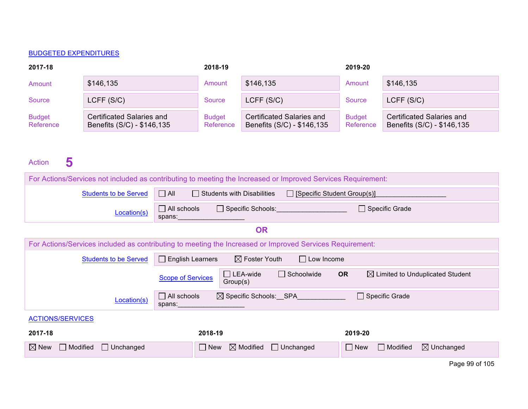| 2017-18                    |                                                         | 2018-19                    |                                                         | 2019-20                    |                                                                |
|----------------------------|---------------------------------------------------------|----------------------------|---------------------------------------------------------|----------------------------|----------------------------------------------------------------|
| Amount                     | \$146,135                                               | Amount                     | \$146,135                                               | Amount                     | \$146,135                                                      |
| Source                     | LCFF(S/C)                                               | Source                     | LCFF (S/C)                                              | Source                     | LCFF (S/C)                                                     |
| <b>Budget</b><br>Reference | Certificated Salaries and<br>Benefits (S/C) - \$146,135 | <b>Budget</b><br>Reference | Certificated Salaries and<br>Benefits (S/C) - \$146,135 | <b>Budget</b><br>Reference | <b>Certificated Salaries and</b><br>Benefits (S/C) - \$146,135 |

# Action 5

| For Actions/Services not included as contributing to meeting the Increased or Improved Services Requirement:                             |                                                                                              |                                       |                               |                       |  |  |  |  |
|------------------------------------------------------------------------------------------------------------------------------------------|----------------------------------------------------------------------------------------------|---------------------------------------|-------------------------------|-----------------------|--|--|--|--|
| <b>Students to be Served</b>                                                                                                             | $\Box$ All<br>$\Box$ Students with Disabilities<br>□ [Specific Student Group(s)]             |                                       |                               |                       |  |  |  |  |
| Location(s)                                                                                                                              | $\Box$ All schools<br>Specific Schools: Specific Schools:<br>$\Box$ Specific Grade<br>spans: |                                       |                               |                       |  |  |  |  |
| <b>OR</b>                                                                                                                                |                                                                                              |                                       |                               |                       |  |  |  |  |
| For Actions/Services included as contributing to meeting the Increased or Improved Services Requirement:                                 |                                                                                              |                                       |                               |                       |  |  |  |  |
| $\boxtimes$ Foster Youth<br>$\Box$ English Learners<br>$\Box$ Low Income<br><b>Students to be Served</b>                                 |                                                                                              |                                       |                               |                       |  |  |  |  |
| $\Box$ LEA-wide<br>$\Box$ Schoolwide<br><b>OR</b><br>$\boxtimes$ Limited to Unduplicated Student<br><b>Scope of Services</b><br>Group(s) |                                                                                              |                                       |                               |                       |  |  |  |  |
| Location(s)                                                                                                                              | $\Box$ All schools<br>spans:                                                                 | $\boxtimes$ Specific Schools: SPA     | $\Box$ Specific Grade         |                       |  |  |  |  |
| <b>ACTIONS/SERVICES</b>                                                                                                                  |                                                                                              |                                       |                               |                       |  |  |  |  |
| 2017-18                                                                                                                                  | 2018-19                                                                                      |                                       | 2019-20                       |                       |  |  |  |  |
| $\boxtimes$ New<br>$\Box$ Modified<br>$\Box$ Unchanged                                                                                   | $\Box$ New                                                                                   | $\boxtimes$ Modified $\Box$ Unchanged | $\Box$ New<br>$\Box$ Modified | $\boxtimes$ Unchanged |  |  |  |  |
|                                                                                                                                          |                                                                                              |                                       |                               | $D - 0.6$ $A$         |  |  |  |  |

Page 99 of 105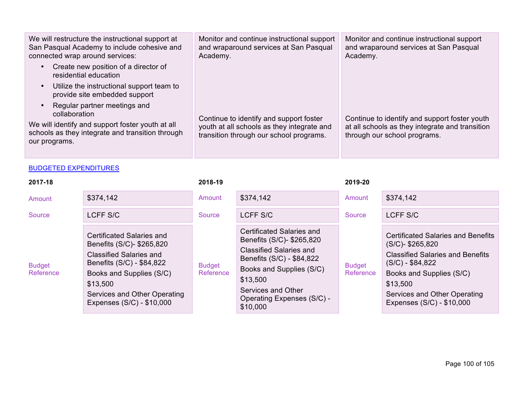| We will restructure the instructional support at<br>San Pasqual Academy to include cohesive and<br>connected wrap around services:                                                  | Monitor and continue instructional support<br>and wraparound services at San Pasqual<br>Academy.                                 | Monitor and continue instructional support<br>and wraparound services at San Pasqual<br>Academy.                                 |
|-------------------------------------------------------------------------------------------------------------------------------------------------------------------------------------|----------------------------------------------------------------------------------------------------------------------------------|----------------------------------------------------------------------------------------------------------------------------------|
| Create new position of a director of<br>$\bullet$<br>residential education                                                                                                          |                                                                                                                                  |                                                                                                                                  |
| Utilize the instructional support team to<br>$\bullet$<br>provide site embedded support                                                                                             |                                                                                                                                  |                                                                                                                                  |
| Regular partner meetings and<br>$\bullet$<br>collaboration<br>We will identify and support foster youth at all<br>schools as they integrate and transition through<br>our programs. | Continue to identify and support foster<br>youth at all schools as they integrate and<br>transition through our school programs. | Continue to identify and support foster youth<br>at all schools as they integrate and transition<br>through our school programs. |

| 2017-18                    |                                                                                                                                                                                                                            | 2018-19                    |                                                                                                                                                                                                                               | 2019-20                    |                                                                                                                                                                                                                                       |
|----------------------------|----------------------------------------------------------------------------------------------------------------------------------------------------------------------------------------------------------------------------|----------------------------|-------------------------------------------------------------------------------------------------------------------------------------------------------------------------------------------------------------------------------|----------------------------|---------------------------------------------------------------------------------------------------------------------------------------------------------------------------------------------------------------------------------------|
| Amount                     | \$374,142                                                                                                                                                                                                                  | Amount                     | \$374,142                                                                                                                                                                                                                     | Amount                     | \$374,142                                                                                                                                                                                                                             |
| Source                     | LCFF S/C                                                                                                                                                                                                                   | Source                     | LCFF S/C                                                                                                                                                                                                                      | Source                     | LCFF S/C                                                                                                                                                                                                                              |
| <b>Budget</b><br>Reference | Certificated Salaries and<br>Benefits (S/C)- \$265,820<br><b>Classified Salaries and</b><br>Benefits (S/C) - \$84,822<br>Books and Supplies (S/C)<br>\$13,500<br>Services and Other Operating<br>Expenses (S/C) - \$10,000 | <b>Budget</b><br>Reference | Certificated Salaries and<br>Benefits (S/C)- \$265,820<br><b>Classified Salaries and</b><br>Benefits (S/C) - \$84,822<br>Books and Supplies (S/C)<br>\$13,500<br>Services and Other<br>Operating Expenses (S/C) -<br>\$10,000 | <b>Budget</b><br>Reference | <b>Certificated Salaries and Benefits</b><br>$(S/C)$ - \$265,820<br><b>Classified Salaries and Benefits</b><br>$(S/C) - $84,822$<br>Books and Supplies (S/C)<br>\$13,500<br>Services and Other Operating<br>Expenses (S/C) - \$10,000 |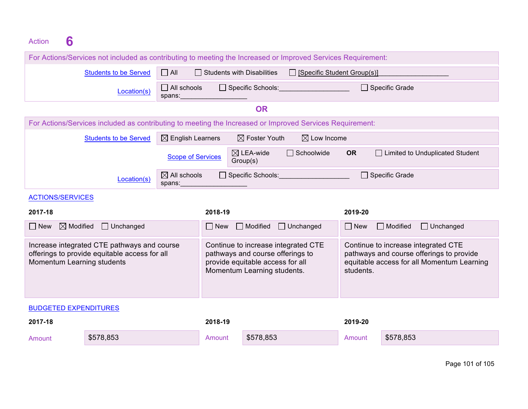# Action **6 Empty Empty** Cell

|                                                                                                                            | For Actions/Services not included as contributing to meeting the Increased or Improved Services Requirement: |                                                                                                                                            |            |                                                                                                                                            |                                     |                  |                                     |  |
|----------------------------------------------------------------------------------------------------------------------------|--------------------------------------------------------------------------------------------------------------|--------------------------------------------------------------------------------------------------------------------------------------------|------------|--------------------------------------------------------------------------------------------------------------------------------------------|-------------------------------------|------------------|-------------------------------------|--|
|                                                                                                                            | <b>Students to be Served</b>                                                                                 | $\Box$ All<br>$\Box$ Students with Disabilities<br>$\Box$ [Specific Student Group(s)]                                                      |            |                                                                                                                                            |                                     |                  |                                     |  |
|                                                                                                                            | Location(s)                                                                                                  | $\Box$ All schools<br>spans:                                                                                                               |            |                                                                                                                                            | Specific Schools: Specific Schools: | □ Specific Grade |                                     |  |
| <b>OR</b>                                                                                                                  |                                                                                                              |                                                                                                                                            |            |                                                                                                                                            |                                     |                  |                                     |  |
|                                                                                                                            | For Actions/Services included as contributing to meeting the Increased or Improved Services Requirement:     |                                                                                                                                            |            |                                                                                                                                            |                                     |                  |                                     |  |
|                                                                                                                            | <b>Students to be Served</b>                                                                                 | $\boxtimes$ English Learners                                                                                                               |            | $\boxtimes$ Foster Youth                                                                                                                   | $\boxtimes$ Low Income              |                  |                                     |  |
|                                                                                                                            |                                                                                                              | <b>Scope of Services</b>                                                                                                                   |            | $\boxtimes$ LEA-wide<br>Group(s)                                                                                                           | $\Box$ Schoolwide                   | <b>OR</b>        | Limited to Unduplicated Student     |  |
|                                                                                                                            | Location(s)                                                                                                  | $\boxtimes$ All schools<br>spans:                                                                                                          |            | $\Box$ Specific Schools:                                                                                                                   |                                     |                  | □ Specific Grade                    |  |
| <b>ACTIONS/SERVICES</b>                                                                                                    |                                                                                                              |                                                                                                                                            |            |                                                                                                                                            |                                     |                  |                                     |  |
| 2017-18                                                                                                                    |                                                                                                              |                                                                                                                                            | 2018-19    |                                                                                                                                            |                                     | 2019-20          |                                     |  |
| $\boxtimes$ Modified<br>$\Box$ New                                                                                         | $\Box$ Unchanged                                                                                             |                                                                                                                                            | $\Box$ New | $\Box$ Modified                                                                                                                            | $\Box$ Unchanged                    | $\Box$ New       | $\Box$ Unchanged<br>$\Box$ Modified |  |
| Increase integrated CTE pathways and course<br>offerings to provide equitable access for all<br>Momentum Learning students |                                                                                                              | Continue to increase integrated CTE<br>pathways and course offerings to<br>provide equitable access for all<br>Momentum Learning students. |            | Continue to increase integrated CTE<br>pathways and course offerings to provide<br>equitable access for all Momentum Learning<br>students. |                                     |                  |                                     |  |
| <b>BUDGETED EXPENDITURES</b>                                                                                               |                                                                                                              |                                                                                                                                            |            |                                                                                                                                            |                                     |                  |                                     |  |
| 2017-18                                                                                                                    |                                                                                                              |                                                                                                                                            | 2018-19    |                                                                                                                                            |                                     | 2019-20          |                                     |  |
| Amount                                                                                                                     | \$578,853                                                                                                    |                                                                                                                                            | Amount     | \$578,853                                                                                                                                  |                                     | Amount           | \$578,853                           |  |
|                                                                                                                            |                                                                                                              |                                                                                                                                            |            |                                                                                                                                            |                                     |                  |                                     |  |

Page 101 of 105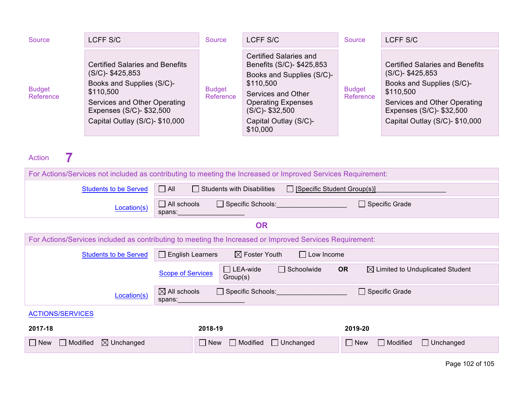| Source                     | LCFF S/C                                                                                                                                                                                              | Source                     | LCFF S/C                                                                                                                                                                                                    | Source                     | LCFF S/C                                                                                                                                                                                              |
|----------------------------|-------------------------------------------------------------------------------------------------------------------------------------------------------------------------------------------------------|----------------------------|-------------------------------------------------------------------------------------------------------------------------------------------------------------------------------------------------------------|----------------------------|-------------------------------------------------------------------------------------------------------------------------------------------------------------------------------------------------------|
| <b>Budget</b><br>Reference | <b>Certified Salaries and Benefits</b><br>$(S/C)$ - \$425,853<br>Books and Supplies (S/C)-<br>\$110,500<br>Services and Other Operating<br>Expenses (S/C)- \$32,500<br>Capital Outlay (S/C)- \$10,000 | <b>Budget</b><br>Reference | Certified Salaries and<br>Benefits (S/C)- \$425,853<br>Books and Supplies (S/C)-<br>\$110,500<br>Services and Other<br><b>Operating Expenses</b><br>$(S/C)$ - \$32,500<br>Capital Outlay (S/C)-<br>\$10,000 | <b>Budget</b><br>Reference | <b>Certified Salaries and Benefits</b><br>$(S/C)$ - \$425,853<br>Books and Supplies (S/C)-<br>\$110,500<br>Services and Other Operating<br>Expenses (S/C)- \$32,500<br>Capital Outlay (S/C)- \$10,000 |

# Action **7**

| For Actions/Services not included as contributing to meeting the Increased or Improved Services Requirement: |                                                                                                                                          |  |  |  |  |  |  |  |
|--------------------------------------------------------------------------------------------------------------|------------------------------------------------------------------------------------------------------------------------------------------|--|--|--|--|--|--|--|
| <b>Students to be Served</b>                                                                                 | $\Box$ All<br>$\Box$ Students with Disabilities<br>$\Box$ [Specific Student Group(s)]                                                    |  |  |  |  |  |  |  |
| Location(s)                                                                                                  | $\Box$ Specific Grade<br>$\Box$ All schools<br>□ Specific Schools: Network of Specific Schools:<br>spans:                                |  |  |  |  |  |  |  |
| <b>OR</b>                                                                                                    |                                                                                                                                          |  |  |  |  |  |  |  |
| For Actions/Services included as contributing to meeting the Increased or Improved Services Requirement:     |                                                                                                                                          |  |  |  |  |  |  |  |
| $\boxtimes$ Foster Youth<br>$\Box$ English Learners<br>$\Box$ Low Income<br><b>Students to be Served</b>     |                                                                                                                                          |  |  |  |  |  |  |  |
|                                                                                                              | $\Box$ LEA-wide<br>$\Box$ Schoolwide<br><b>OR</b><br>$\boxtimes$ Limited to Unduplicated Student<br><b>Scope of Services</b><br>Group(s) |  |  |  |  |  |  |  |
| Location(s)                                                                                                  | $\boxtimes$ All schools<br>$\Box$ Specific Schools:<br>□ Specific Grade<br>spans:                                                        |  |  |  |  |  |  |  |
| <b>ACTIONS/SERVICES</b>                                                                                      |                                                                                                                                          |  |  |  |  |  |  |  |
| 2017-18                                                                                                      | 2018-19<br>2019-20                                                                                                                       |  |  |  |  |  |  |  |
| $\boxtimes$ Unchanged<br>Modified<br>$\Box$ New                                                              | $\Box$ Unchanged<br>$\Box$ New<br>$\Box$ Unchanged<br>$\Box$ New<br>$\Box$ Modified<br>$\Box$ Modified                                   |  |  |  |  |  |  |  |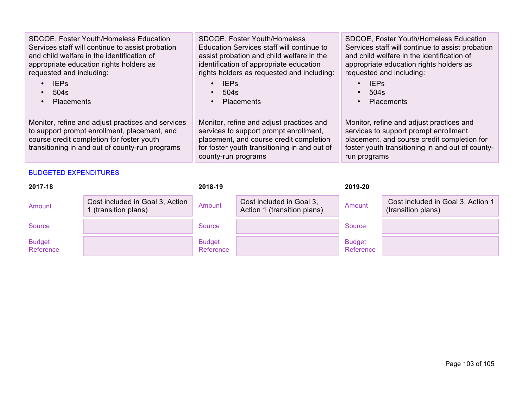| SDCOE, Foster Youth/Homeless Education<br>Services staff will continue to assist probation<br>and child welfare in the identification of<br>appropriate education rights holders as<br>requested and including:<br><b>IEPs</b><br>504s<br><b>Placements</b><br>Monitor, refine and adjust practices and services<br>to support prompt enrollment, placement, and<br>course credit completion for foster youth<br>transitioning in and out of county-run programs |                                                         | SDCOE, Foster Youth/Homeless<br>Education Services staff will continue to<br>assist probation and child welfare in the<br>identification of appropriate education<br>rights holders as requested and including:<br><b>IEPs</b><br>$\bullet$<br>504s<br>$\bullet$<br>Placements<br>$\bullet$<br>Monitor, refine and adjust practices and<br>services to support prompt enrollment,<br>placement, and course credit completion<br>for foster youth transitioning in and out of<br>county-run programs |                                                         | SDCOE, Foster Youth/Homeless Education<br>Services staff will continue to assist probation<br>and child welfare in the identification of<br>appropriate education rights holders as<br>requested and including:<br><b>IEPs</b><br>504s<br><b>Placements</b><br>$\bullet$<br>Monitor, refine and adjust practices and<br>services to support prompt enrollment,<br>placement, and course credit completion for<br>foster youth transitioning in and out of county-<br>run programs |                                                         |
|------------------------------------------------------------------------------------------------------------------------------------------------------------------------------------------------------------------------------------------------------------------------------------------------------------------------------------------------------------------------------------------------------------------------------------------------------------------|---------------------------------------------------------|-----------------------------------------------------------------------------------------------------------------------------------------------------------------------------------------------------------------------------------------------------------------------------------------------------------------------------------------------------------------------------------------------------------------------------------------------------------------------------------------------------|---------------------------------------------------------|-----------------------------------------------------------------------------------------------------------------------------------------------------------------------------------------------------------------------------------------------------------------------------------------------------------------------------------------------------------------------------------------------------------------------------------------------------------------------------------|---------------------------------------------------------|
| <b>BUDGETED EXPENDITURES</b>                                                                                                                                                                                                                                                                                                                                                                                                                                     |                                                         |                                                                                                                                                                                                                                                                                                                                                                                                                                                                                                     |                                                         |                                                                                                                                                                                                                                                                                                                                                                                                                                                                                   |                                                         |
| 2017-18                                                                                                                                                                                                                                                                                                                                                                                                                                                          |                                                         | 2018-19                                                                                                                                                                                                                                                                                                                                                                                                                                                                                             |                                                         | 2019-20                                                                                                                                                                                                                                                                                                                                                                                                                                                                           |                                                         |
| Amount                                                                                                                                                                                                                                                                                                                                                                                                                                                           | Cost included in Goal 3, Action<br>1 (transition plans) | Amount                                                                                                                                                                                                                                                                                                                                                                                                                                                                                              | Cost included in Goal 3,<br>Action 1 (transition plans) | Amount                                                                                                                                                                                                                                                                                                                                                                                                                                                                            | Cost included in Goal 3, Action 1<br>(transition plans) |
| <b>Source</b>                                                                                                                                                                                                                                                                                                                                                                                                                                                    |                                                         | <b>Source</b>                                                                                                                                                                                                                                                                                                                                                                                                                                                                                       |                                                         | <b>Source</b>                                                                                                                                                                                                                                                                                                                                                                                                                                                                     |                                                         |
| <b>Budget</b>                                                                                                                                                                                                                                                                                                                                                                                                                                                    |                                                         | <b>Budget</b>                                                                                                                                                                                                                                                                                                                                                                                                                                                                                       |                                                         | <b>Budget</b>                                                                                                                                                                                                                                                                                                                                                                                                                                                                     |                                                         |

Reference

Reference

Reference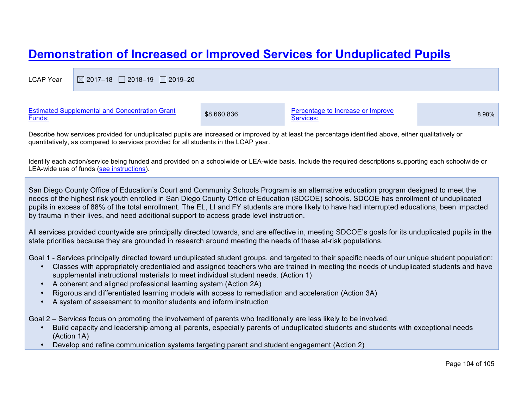# **Demonstration of Increased or Improved Services for Unduplicated Pupils**

LCAP Year  $\boxtimes$  2017–18  $\Box$  2018–19  $\Box$  2019–20

| <b>Estimated Supplemental and Concentration Grant</b><br>Funds: | \$8,660,836 | Percentage to Increase or Improve<br>Services: | 8.98% |
|-----------------------------------------------------------------|-------------|------------------------------------------------|-------|
|                                                                 |             |                                                |       |

Describe how services provided for unduplicated pupils are increased or improved by at least the percentage identified above, either qualitatively or quantitatively, as compared to services provided for all students in the LCAP year.

Identify each action/service being funded and provided on a schoolwide or LEA-wide basis. Include the required descriptions supporting each schoolwide or LEA-wide use of funds (see instructions).

San Diego County Office of Education's Court and Community Schools Program is an alternative education program designed to meet the needs of the highest risk youth enrolled in San Diego County Office of Education (SDCOE) schools. SDCOE has enrollment of unduplicated pupils in excess of 88% of the total enrollment. The EL, LI and FY students are more likely to have had interrupted educations, been impacted by trauma in their lives, and need additional support to access grade level instruction.

All services provided countywide are principally directed towards, and are effective in, meeting SDCOE's goals for its unduplicated pupils in the state priorities because they are grounded in research around meeting the needs of these at-risk populations.

Goal 1 - Services principally directed toward unduplicated student groups, and targeted to their specific needs of our unique student population:

- Classes with appropriately credentialed and assigned teachers who are trained in meeting the needs of unduplicated students and have supplemental instructional materials to meet individual student needs. (Action 1)
- A coherent and aligned professional learning system (Action 2A)
- Rigorous and differentiated learning models with access to remediation and acceleration (Action 3A)
- A system of assessment to monitor students and inform instruction

Goal 2 – Services focus on promoting the involvement of parents who traditionally are less likely to be involved.

- Build capacity and leadership among all parents, especially parents of unduplicated students and students with exceptional needs (Action 1A)
- Develop and refine communication systems targeting parent and student engagement (Action 2)